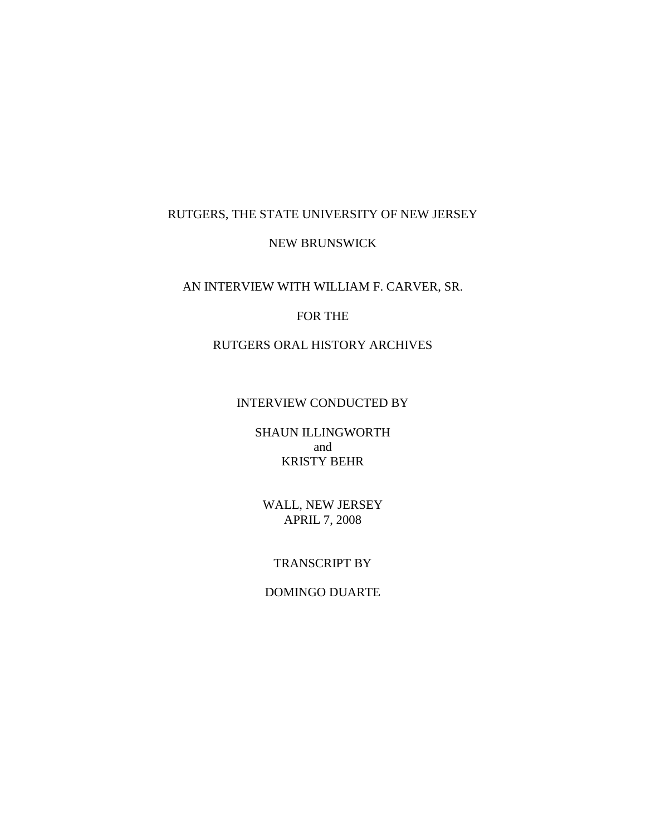# RUTGERS, THE STATE UNIVERSITY OF NEW JERSEY NEW BRUNSWICK

# AN INTERVIEW WITH WILLIAM F. CARVER, SR.

#### FOR THE

### RUTGERS ORAL HISTORY ARCHIVES

#### INTERVIEW CONDUCTED BY

SHAUN ILLINGWORTH and KRISTY BEHR

WALL, NEW JERSEY APRIL 7, 2008

#### TRANSCRIPT BY

## DOMINGO DUARTE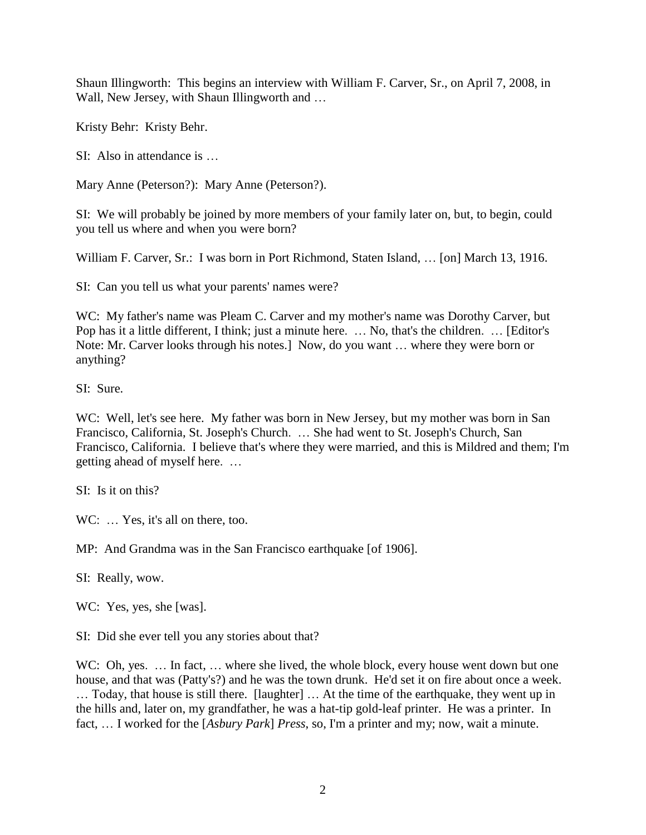Shaun Illingworth: This begins an interview with William F. Carver, Sr., on April 7, 2008, in Wall, New Jersey, with Shaun Illingworth and ...

Kristy Behr: Kristy Behr.

SI: Also in attendance is …

Mary Anne (Peterson?): Mary Anne (Peterson?).

SI: We will probably be joined by more members of your family later on, but, to begin, could you tell us where and when you were born?

William F. Carver, Sr.: I was born in Port Richmond, Staten Island, … [on] March 13, 1916.

SI: Can you tell us what your parents' names were?

WC: My father's name was Pleam C. Carver and my mother's name was Dorothy Carver, but Pop has it a little different, I think; just a minute here. … No, that's the children. … [Editor's Note: Mr. Carver looks through his notes.] Now, do you want … where they were born or anything?

SI: Sure.

WC: Well, let's see here. My father was born in New Jersey, but my mother was born in San Francisco, California, St. Joseph's Church. … She had went to St. Joseph's Church, San Francisco, California. I believe that's where they were married, and this is Mildred and them; I'm getting ahead of myself here. …

SI: Is it on this?

WC: ... Yes, it's all on there, too.

MP: And Grandma was in the San Francisco earthquake [of 1906].

SI: Really, wow.

WC: Yes, yes, she [was].

SI: Did she ever tell you any stories about that?

WC: Oh, yes. ... In fact, ... where she lived, the whole block, every house went down but one house, and that was (Patty's?) and he was the town drunk. He'd set it on fire about once a week. … Today, that house is still there. [laughter] … At the time of the earthquake, they went up in the hills and, later on, my grandfather, he was a hat-tip gold-leaf printer. He was a printer. In fact, … I worked for the [*Asbury Park*] *Press*, so, I'm a printer and my; now, wait a minute.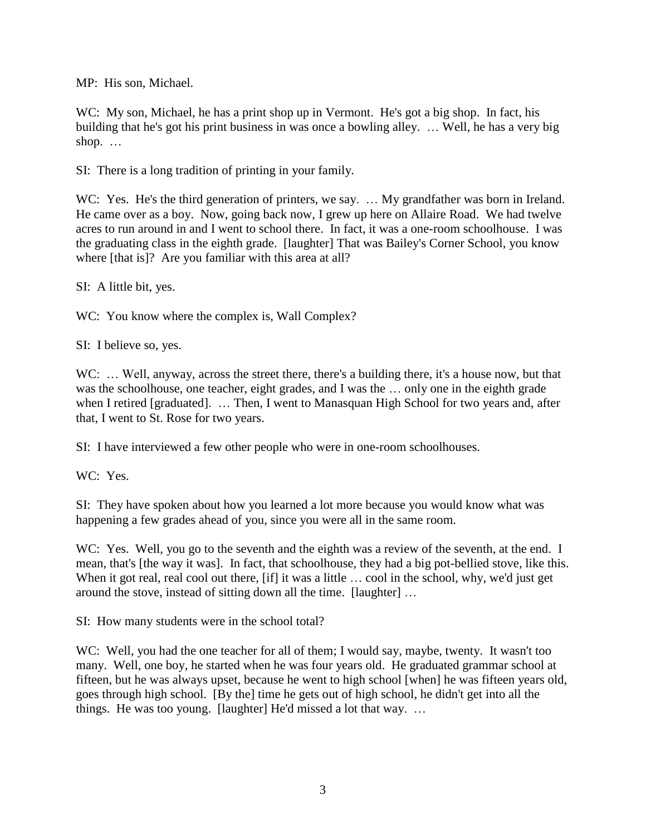MP: His son, Michael.

WC: My son, Michael, he has a print shop up in Vermont. He's got a big shop. In fact, his building that he's got his print business in was once a bowling alley. … Well, he has a very big shop. …

SI: There is a long tradition of printing in your family.

WC: Yes. He's the third generation of printers, we say. ... My grandfather was born in Ireland. He came over as a boy. Now, going back now, I grew up here on Allaire Road. We had twelve acres to run around in and I went to school there. In fact, it was a one-room schoolhouse. I was the graduating class in the eighth grade. [laughter] That was Bailey's Corner School, you know where [that is]? Are you familiar with this area at all?

SI: A little bit, yes.

WC: You know where the complex is, Wall Complex?

SI: I believe so, yes.

WC: ... Well, anyway, across the street there, there's a building there, it's a house now, but that was the schoolhouse, one teacher, eight grades, and I was the … only one in the eighth grade when I retired [graduated]. … Then, I went to Manasquan High School for two years and, after that, I went to St. Rose for two years.

SI: I have interviewed a few other people who were in one-room schoolhouses.

WC: Yes.

SI: They have spoken about how you learned a lot more because you would know what was happening a few grades ahead of you, since you were all in the same room.

WC: Yes. Well, you go to the seventh and the eighth was a review of the seventh, at the end. I mean, that's [the way it was]. In fact, that schoolhouse, they had a big pot-bellied stove, like this. When it got real, real cool out there, [if] it was a little ... cool in the school, why, we'd just get around the stove, instead of sitting down all the time. [laughter] …

SI: How many students were in the school total?

WC: Well, you had the one teacher for all of them; I would say, maybe, twenty. It wasn't too many. Well, one boy, he started when he was four years old. He graduated grammar school at fifteen, but he was always upset, because he went to high school [when] he was fifteen years old, goes through high school. [By the] time he gets out of high school, he didn't get into all the things. He was too young. [laughter] He'd missed a lot that way. …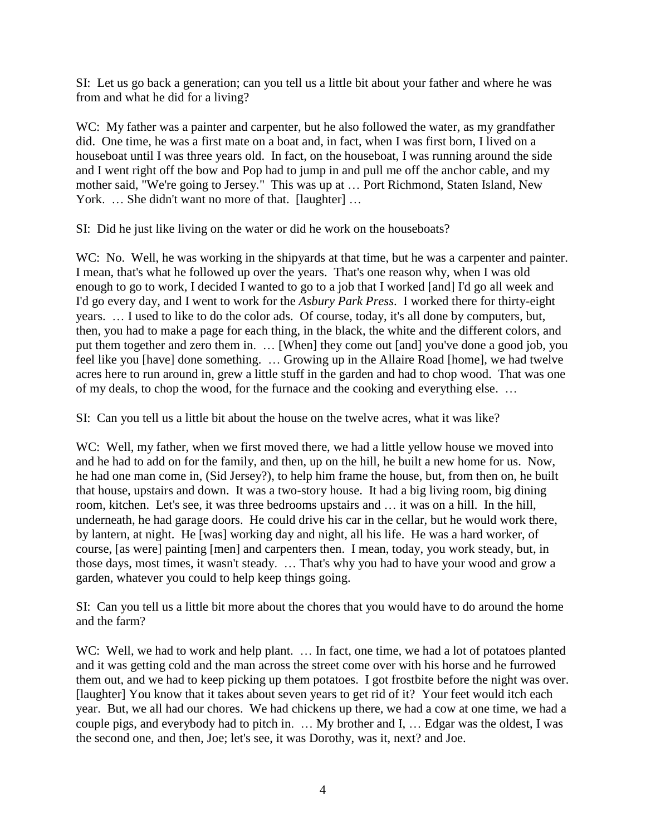SI: Let us go back a generation; can you tell us a little bit about your father and where he was from and what he did for a living?

WC: My father was a painter and carpenter, but he also followed the water, as my grandfather did. One time, he was a first mate on a boat and, in fact, when I was first born, I lived on a houseboat until I was three years old. In fact, on the houseboat, I was running around the side and I went right off the bow and Pop had to jump in and pull me off the anchor cable, and my mother said, "We're going to Jersey." This was up at … Port Richmond, Staten Island, New York. ... She didn't want no more of that. [laughter] ...

SI: Did he just like living on the water or did he work on the houseboats?

WC: No. Well, he was working in the ship artist at that time, but he was a carpenter and painter. I mean, that's what he followed up over the years. That's one reason why, when I was old enough to go to work, I decided I wanted to go to a job that I worked [and] I'd go all week and I'd go every day, and I went to work for the *Asbury Park Press*. I worked there for thirty-eight years. … I used to like to do the color ads. Of course, today, it's all done by computers, but, then, you had to make a page for each thing, in the black, the white and the different colors, and put them together and zero them in. … [When] they come out [and] you've done a good job, you feel like you [have] done something. … Growing up in the Allaire Road [home], we had twelve acres here to run around in, grew a little stuff in the garden and had to chop wood. That was one of my deals, to chop the wood, for the furnace and the cooking and everything else. …

SI: Can you tell us a little bit about the house on the twelve acres, what it was like?

WC: Well, my father, when we first moved there, we had a little yellow house we moved into and he had to add on for the family, and then, up on the hill, he built a new home for us. Now, he had one man come in, (Sid Jersey?), to help him frame the house, but, from then on, he built that house, upstairs and down. It was a two-story house. It had a big living room, big dining room, kitchen. Let's see, it was three bedrooms upstairs and … it was on a hill. In the hill, underneath, he had garage doors. He could drive his car in the cellar, but he would work there, by lantern, at night. He [was] working day and night, all his life. He was a hard worker, of course, [as were] painting [men] and carpenters then. I mean, today, you work steady, but, in those days, most times, it wasn't steady. … That's why you had to have your wood and grow a garden, whatever you could to help keep things going.

SI: Can you tell us a little bit more about the chores that you would have to do around the home and the farm?

WC: Well, we had to work and help plant. ... In fact, one time, we had a lot of potatoes planted and it was getting cold and the man across the street come over with his horse and he furrowed them out, and we had to keep picking up them potatoes. I got frostbite before the night was over. [laughter] You know that it takes about seven years to get rid of it? Your feet would itch each year. But, we all had our chores. We had chickens up there, we had a cow at one time, we had a couple pigs, and everybody had to pitch in. … My brother and I, … Edgar was the oldest, I was the second one, and then, Joe; let's see, it was Dorothy, was it, next? and Joe.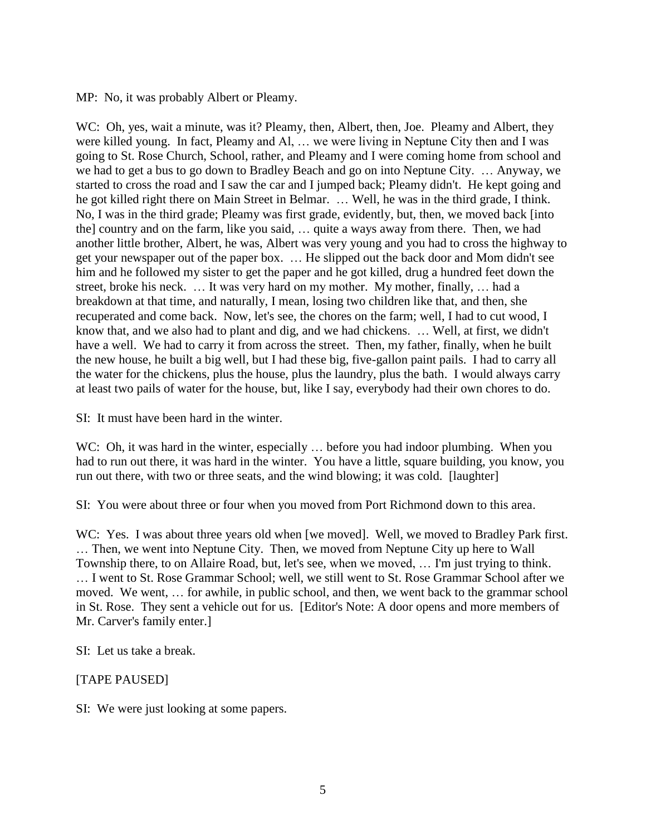MP: No, it was probably Albert or Pleamy.

WC: Oh, yes, wait a minute, was it? Pleamy, then, Albert, then, Joe. Pleamy and Albert, they were killed young. In fact, Pleamy and Al, … we were living in Neptune City then and I was going to St. Rose Church, School, rather, and Pleamy and I were coming home from school and we had to get a bus to go down to Bradley Beach and go on into Neptune City. … Anyway, we started to cross the road and I saw the car and I jumped back; Pleamy didn't. He kept going and he got killed right there on Main Street in Belmar. … Well, he was in the third grade, I think. No, I was in the third grade; Pleamy was first grade, evidently, but, then, we moved back [into the] country and on the farm, like you said, … quite a ways away from there. Then, we had another little brother, Albert, he was, Albert was very young and you had to cross the highway to get your newspaper out of the paper box. … He slipped out the back door and Mom didn't see him and he followed my sister to get the paper and he got killed, drug a hundred feet down the street, broke his neck. … It was very hard on my mother. My mother, finally, … had a breakdown at that time, and naturally, I mean, losing two children like that, and then, she recuperated and come back. Now, let's see, the chores on the farm; well, I had to cut wood, I know that, and we also had to plant and dig, and we had chickens. … Well, at first, we didn't have a well. We had to carry it from across the street. Then, my father, finally, when he built the new house, he built a big well, but I had these big, five-gallon paint pails. I had to carry all the water for the chickens, plus the house, plus the laundry, plus the bath. I would always carry at least two pails of water for the house, but, like I say, everybody had their own chores to do.

SI: It must have been hard in the winter.

WC: Oh, it was hard in the winter, especially ... before you had indoor plumbing. When you had to run out there, it was hard in the winter. You have a little, square building, you know, you run out there, with two or three seats, and the wind blowing; it was cold. [laughter]

SI: You were about three or four when you moved from Port Richmond down to this area.

WC: Yes. I was about three years old when [we moved]. Well, we moved to Bradley Park first. … Then, we went into Neptune City. Then, we moved from Neptune City up here to Wall Township there, to on Allaire Road, but, let's see, when we moved, … I'm just trying to think. … I went to St. Rose Grammar School; well, we still went to St. Rose Grammar School after we moved. We went, … for awhile, in public school, and then, we went back to the grammar school in St. Rose. They sent a vehicle out for us. [Editor's Note: A door opens and more members of Mr. Carver's family enter.]

SI: Let us take a break.

#### [TAPE PAUSED]

SI: We were just looking at some papers.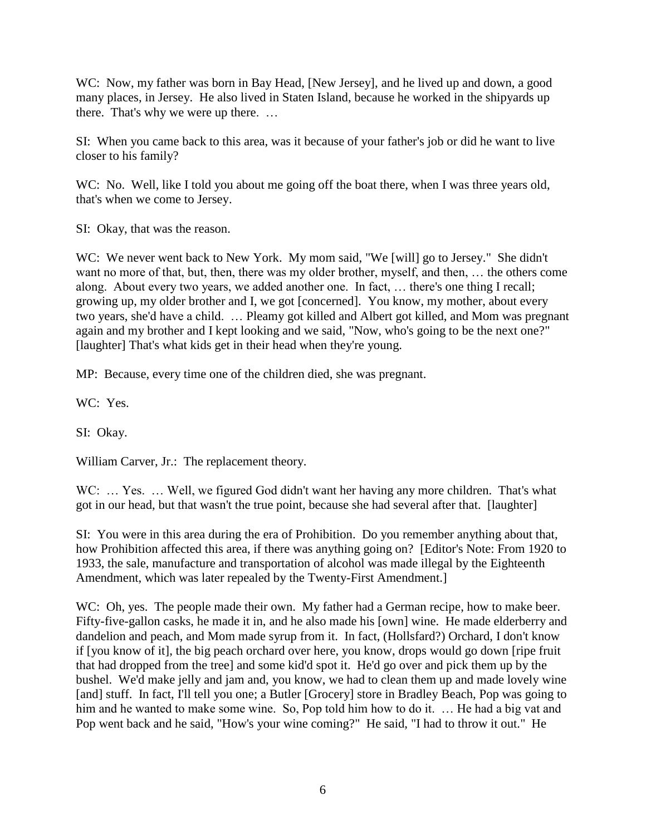WC: Now, my father was born in Bay Head, [New Jersey], and he lived up and down, a good many places, in Jersey. He also lived in Staten Island, because he worked in the shipyards up there. That's why we were up there. …

SI: When you came back to this area, was it because of your father's job or did he want to live closer to his family?

WC: No. Well, like I told you about me going off the boat there, when I was three years old, that's when we come to Jersey.

SI: Okay, that was the reason.

WC: We never went back to New York. My mom said, "We [will] go to Jersey." She didn't want no more of that, but, then, there was my older brother, myself, and then, … the others come along. About every two years, we added another one. In fact, … there's one thing I recall; growing up, my older brother and I, we got [concerned]. You know, my mother, about every two years, she'd have a child. … Pleamy got killed and Albert got killed, and Mom was pregnant again and my brother and I kept looking and we said, "Now, who's going to be the next one?" [laughter] That's what kids get in their head when they're young.

MP: Because, every time one of the children died, she was pregnant.

WC: Yes.

SI: Okay.

William Carver, Jr.: The replacement theory.

WC: ... Yes. ... Well, we figured God didn't want her having any more children. That's what got in our head, but that wasn't the true point, because she had several after that. [laughter]

SI: You were in this area during the era of Prohibition. Do you remember anything about that, how Prohibition affected this area, if there was anything going on? [Editor's Note: From 1920 to 1933, the sale, manufacture and transportation of alcohol was made illegal by the Eighteenth Amendment, which was later repealed by the Twenty-First Amendment.]

WC: Oh, yes. The people made their own. My father had a German recipe, how to make beer. Fifty-five-gallon casks, he made it in, and he also made his [own] wine. He made elderberry and dandelion and peach, and Mom made syrup from it. In fact, (Hollsfard?) Orchard, I don't know if [you know of it], the big peach orchard over here, you know, drops would go down [ripe fruit that had dropped from the tree] and some kid'd spot it. He'd go over and pick them up by the bushel. We'd make jelly and jam and, you know, we had to clean them up and made lovely wine [and] stuff. In fact, I'll tell you one; a Butler [Grocery] store in Bradley Beach, Pop was going to him and he wanted to make some wine. So, Pop told him how to do it. ... He had a big vat and Pop went back and he said, "How's your wine coming?" He said, "I had to throw it out." He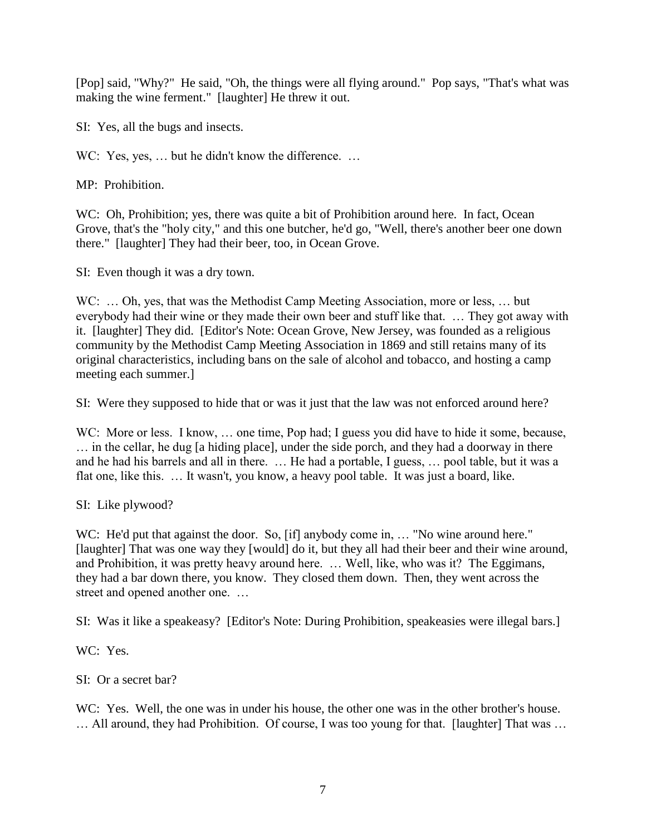[Pop] said, "Why?" He said, "Oh, the things were all flying around." Pop says, "That's what was making the wine ferment." [laughter] He threw it out.

SI: Yes, all the bugs and insects.

WC: Yes, yes, ... but he didn't know the difference. ...

MP: Prohibition.

WC: Oh, Prohibition; yes, there was quite a bit of Prohibition around here. In fact, Ocean Grove, that's the "holy city," and this one butcher, he'd go, "Well, there's another beer one down there." [laughter] They had their beer, too, in Ocean Grove.

SI: Even though it was a dry town.

WC: ... Oh, yes, that was the Methodist Camp Meeting Association, more or less, ... but everybody had their wine or they made their own beer and stuff like that. … They got away with it. [laughter] They did. [Editor's Note: Ocean Grove, New Jersey, was founded as a religious community by the Methodist Camp Meeting Association in 1869 and still retains many of its original characteristics, including bans on the sale of alcohol and tobacco, and hosting a camp meeting each summer.]

SI: Were they supposed to hide that or was it just that the law was not enforced around here?

WC: More or less. I know, ... one time, Pop had; I guess you did have to hide it some, because, … in the cellar, he dug [a hiding place], under the side porch, and they had a doorway in there and he had his barrels and all in there. … He had a portable, I guess, … pool table, but it was a flat one, like this. … It wasn't, you know, a heavy pool table. It was just a board, like.

SI: Like plywood?

WC: He'd put that against the door. So, [if] anybody come in, ... "No wine around here." [laughter] That was one way they [would] do it, but they all had their beer and their wine around, and Prohibition, it was pretty heavy around here. … Well, like, who was it? The Eggimans, they had a bar down there, you know. They closed them down. Then, they went across the street and opened another one. …

SI: Was it like a speakeasy? [Editor's Note: During Prohibition, speakeasies were illegal bars.]

WC: Yes.

SI: Or a secret bar?

WC: Yes. Well, the one was in under his house, the other one was in the other brother's house. … All around, they had Prohibition. Of course, I was too young for that. [laughter] That was …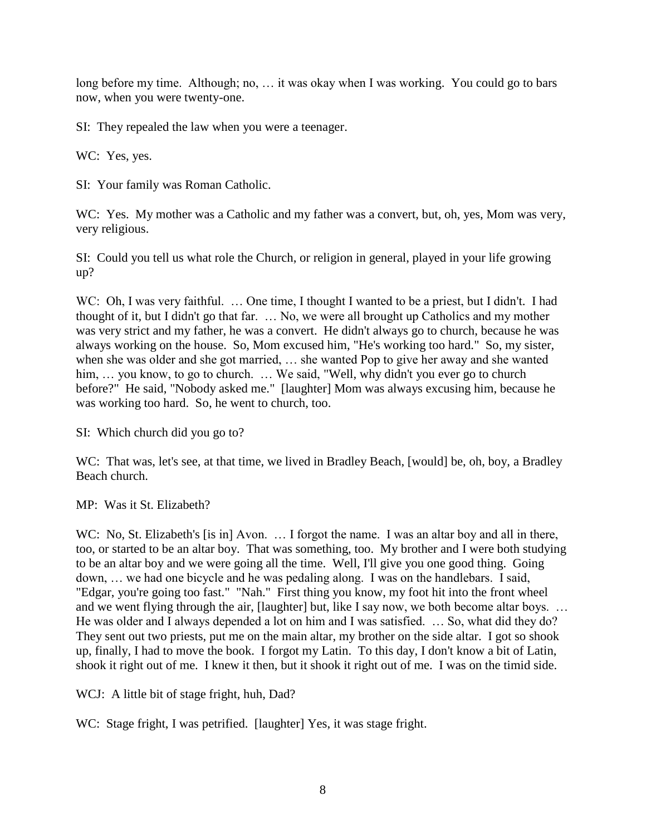long before my time. Although; no, … it was okay when I was working. You could go to bars now, when you were twenty-one.

SI: They repealed the law when you were a teenager.

WC: Yes, yes.

SI: Your family was Roman Catholic.

WC: Yes. My mother was a Catholic and my father was a convert, but, oh, yes, Mom was very, very religious.

SI: Could you tell us what role the Church, or religion in general, played in your life growing up?

WC: Oh, I was very faithful. ... One time, I thought I wanted to be a priest, but I didn't. I had thought of it, but I didn't go that far. … No, we were all brought up Catholics and my mother was very strict and my father, he was a convert. He didn't always go to church, because he was always working on the house. So, Mom excused him, "He's working too hard." So, my sister, when she was older and she got married, … she wanted Pop to give her away and she wanted him, ... you know, to go to church. ... We said, "Well, why didn't you ever go to church before?" He said, "Nobody asked me." [laughter] Mom was always excusing him, because he was working too hard. So, he went to church, too.

SI: Which church did you go to?

WC: That was, let's see, at that time, we lived in Bradley Beach, [would] be, oh, boy, a Bradley Beach church.

MP: Was it St. Elizabeth?

WC: No, St. Elizabeth's [is in] Avon. ... I forgot the name. I was an altar boy and all in there, too, or started to be an altar boy. That was something, too. My brother and I were both studying to be an altar boy and we were going all the time. Well, I'll give you one good thing. Going down, … we had one bicycle and he was pedaling along. I was on the handlebars. I said, "Edgar, you're going too fast." "Nah." First thing you know, my foot hit into the front wheel and we went flying through the air, [laughter] but, like I say now, we both become altar boys. … He was older and I always depended a lot on him and I was satisfied. … So, what did they do? They sent out two priests, put me on the main altar, my brother on the side altar. I got so shook up, finally, I had to move the book. I forgot my Latin. To this day, I don't know a bit of Latin, shook it right out of me. I knew it then, but it shook it right out of me. I was on the timid side.

WCJ: A little bit of stage fright, huh, Dad?

WC: Stage fright, I was petrified. [laughter] Yes, it was stage fright.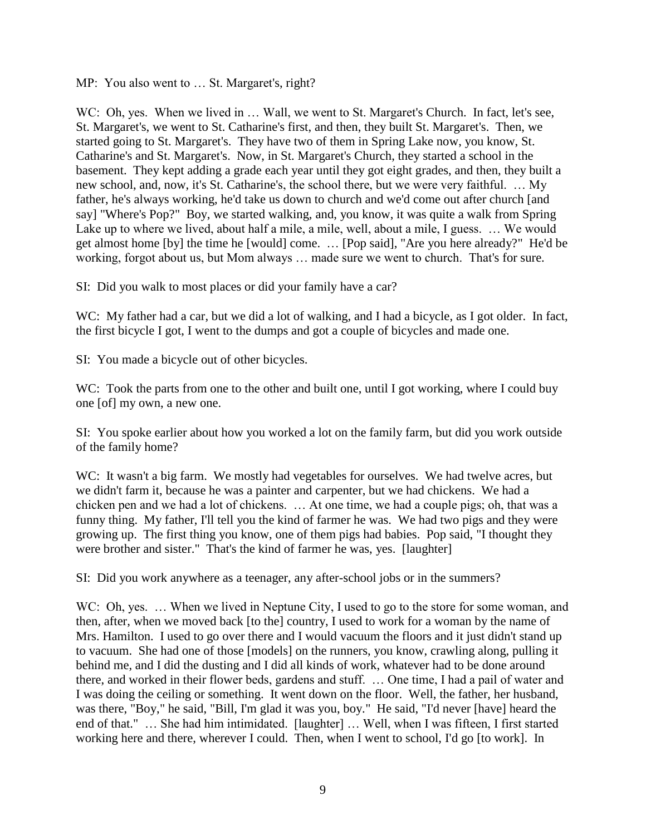MP: You also went to ... St. Margaret's, right?

WC: Oh, yes. When we lived in ... Wall, we went to St. Margaret's Church. In fact, let's see, St. Margaret's, we went to St. Catharine's first, and then, they built St. Margaret's. Then, we started going to St. Margaret's. They have two of them in Spring Lake now, you know, St. Catharine's and St. Margaret's. Now, in St. Margaret's Church, they started a school in the basement. They kept adding a grade each year until they got eight grades, and then, they built a new school, and, now, it's St. Catharine's, the school there, but we were very faithful. … My father, he's always working, he'd take us down to church and we'd come out after church [and say] "Where's Pop?" Boy, we started walking, and, you know, it was quite a walk from Spring Lake up to where we lived, about half a mile, a mile, well, about a mile, I guess. … We would get almost home [by] the time he [would] come. … [Pop said], "Are you here already?" He'd be working, forgot about us, but Mom always … made sure we went to church. That's for sure.

SI: Did you walk to most places or did your family have a car?

WC: My father had a car, but we did a lot of walking, and I had a bicycle, as I got older. In fact, the first bicycle I got, I went to the dumps and got a couple of bicycles and made one.

SI: You made a bicycle out of other bicycles.

WC: Took the parts from one to the other and built one, until I got working, where I could buy one [of] my own, a new one.

SI: You spoke earlier about how you worked a lot on the family farm, but did you work outside of the family home?

WC: It wasn't a big farm. We mostly had vegetables for ourselves. We had twelve acres, but we didn't farm it, because he was a painter and carpenter, but we had chickens. We had a chicken pen and we had a lot of chickens. … At one time, we had a couple pigs; oh, that was a funny thing. My father, I'll tell you the kind of farmer he was. We had two pigs and they were growing up. The first thing you know, one of them pigs had babies. Pop said, "I thought they were brother and sister." That's the kind of farmer he was, yes. [laughter]

SI: Did you work anywhere as a teenager, any after-school jobs or in the summers?

WC: Oh, yes. ... When we lived in Neptune City, I used to go to the store for some woman, and then, after, when we moved back [to the] country, I used to work for a woman by the name of Mrs. Hamilton. I used to go over there and I would vacuum the floors and it just didn't stand up to vacuum. She had one of those [models] on the runners, you know, crawling along, pulling it behind me, and I did the dusting and I did all kinds of work, whatever had to be done around there, and worked in their flower beds, gardens and stuff. … One time, I had a pail of water and I was doing the ceiling or something. It went down on the floor. Well, the father, her husband, was there, "Boy," he said, "Bill, I'm glad it was you, boy." He said, "I'd never [have] heard the end of that." … She had him intimidated. [laughter] … Well, when I was fifteen, I first started working here and there, wherever I could. Then, when I went to school, I'd go [to work]. In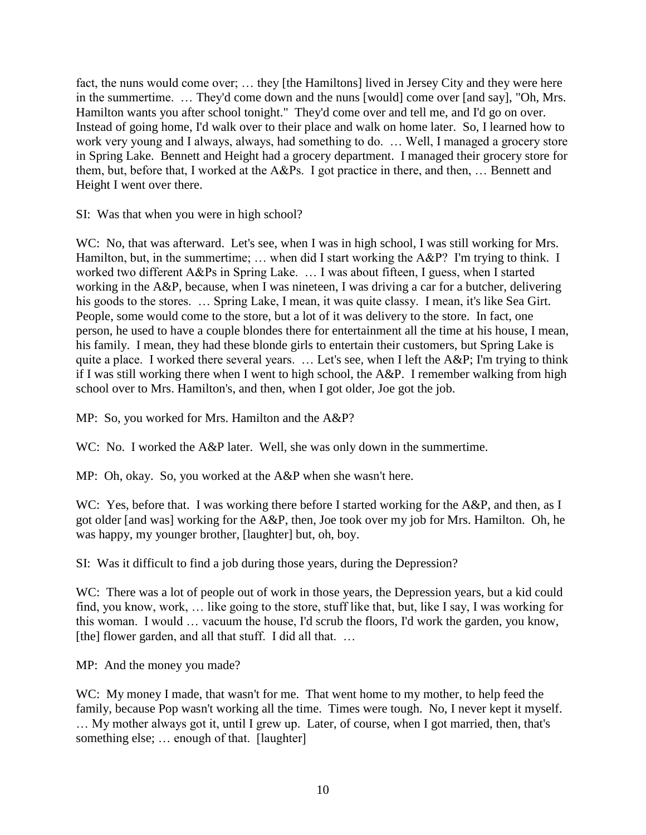fact, the nuns would come over; … they [the Hamiltons] lived in Jersey City and they were here in the summertime. … They'd come down and the nuns [would] come over [and say], "Oh, Mrs. Hamilton wants you after school tonight." They'd come over and tell me, and I'd go on over. Instead of going home, I'd walk over to their place and walk on home later. So, I learned how to work very young and I always, always, had something to do. … Well, I managed a grocery store in Spring Lake. Bennett and Height had a grocery department. I managed their grocery store for them, but, before that, I worked at the A&Ps. I got practice in there, and then, … Bennett and Height I went over there.

SI: Was that when you were in high school?

WC: No, that was afterward. Let's see, when I was in high school, I was still working for Mrs. Hamilton, but, in the summertime; ... when did I start working the A&P? I'm trying to think. I worked two different A&Ps in Spring Lake. … I was about fifteen, I guess, when I started working in the A&P, because, when I was nineteen, I was driving a car for a butcher, delivering his goods to the stores. ... Spring Lake, I mean, it was quite classy. I mean, it's like Sea Girt. People, some would come to the store, but a lot of it was delivery to the store. In fact, one person, he used to have a couple blondes there for entertainment all the time at his house, I mean, his family. I mean, they had these blonde girls to entertain their customers, but Spring Lake is quite a place. I worked there several years. … Let's see, when I left the A&P; I'm trying to think if I was still working there when I went to high school, the A&P. I remember walking from high school over to Mrs. Hamilton's, and then, when I got older, Joe got the job.

MP: So, you worked for Mrs. Hamilton and the A&P?

WC: No. I worked the A&P later. Well, she was only down in the summertime.

MP: Oh, okay. So, you worked at the A&P when she wasn't here.

WC: Yes, before that. I was working there before I started working for the A&P, and then, as I got older [and was] working for the A&P, then, Joe took over my job for Mrs. Hamilton. Oh, he was happy, my younger brother, [laughter] but, oh, boy.

SI: Was it difficult to find a job during those years, during the Depression?

WC: There was a lot of people out of work in those years, the Depression years, but a kid could find, you know, work, … like going to the store, stuff like that, but, like I say, I was working for this woman. I would … vacuum the house, I'd scrub the floors, I'd work the garden, you know, [the] flower garden, and all that stuff. I did all that. ...

MP: And the money you made?

WC: My money I made, that wasn't for me. That went home to my mother, to help feed the family, because Pop wasn't working all the time. Times were tough. No, I never kept it myself. … My mother always got it, until I grew up. Later, of course, when I got married, then, that's something else; ... enough of that. [laughter]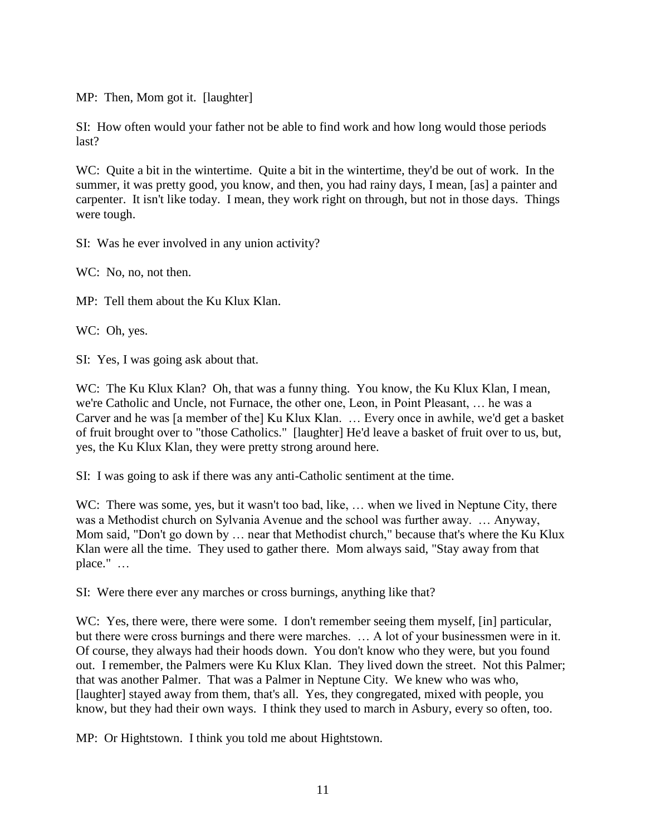MP: Then, Mom got it. [laughter]

SI: How often would your father not be able to find work and how long would those periods last?

WC: Quite a bit in the wintertime. Quite a bit in the wintertime, they'd be out of work. In the summer, it was pretty good, you know, and then, you had rainy days, I mean, [as] a painter and carpenter. It isn't like today. I mean, they work right on through, but not in those days. Things were tough.

SI: Was he ever involved in any union activity?

WC: No, no, not then.

MP: Tell them about the Ku Klux Klan.

WC: Oh, yes.

SI: Yes, I was going ask about that.

WC: The Ku Klux Klan? Oh, that was a funny thing. You know, the Ku Klux Klan, I mean, we're Catholic and Uncle, not Furnace, the other one, Leon, in Point Pleasant, … he was a Carver and he was [a member of the] Ku Klux Klan. … Every once in awhile, we'd get a basket of fruit brought over to "those Catholics." [laughter] He'd leave a basket of fruit over to us, but, yes, the Ku Klux Klan, they were pretty strong around here.

SI: I was going to ask if there was any anti-Catholic sentiment at the time.

WC: There was some, yes, but it wasn't too bad, like, ... when we lived in Neptune City, there was a Methodist church on Sylvania Avenue and the school was further away. … Anyway, Mom said, "Don't go down by … near that Methodist church," because that's where the Ku Klux Klan were all the time. They used to gather there. Mom always said, "Stay away from that place." …

SI: Were there ever any marches or cross burnings, anything like that?

WC: Yes, there were, there were some. I don't remember seeing them myself, [in] particular, but there were cross burnings and there were marches. … A lot of your businessmen were in it. Of course, they always had their hoods down. You don't know who they were, but you found out. I remember, the Palmers were Ku Klux Klan. They lived down the street. Not this Palmer; that was another Palmer. That was a Palmer in Neptune City. We knew who was who, [laughter] stayed away from them, that's all. Yes, they congregated, mixed with people, you know, but they had their own ways. I think they used to march in Asbury, every so often, too.

MP: Or Hightstown. I think you told me about Hightstown.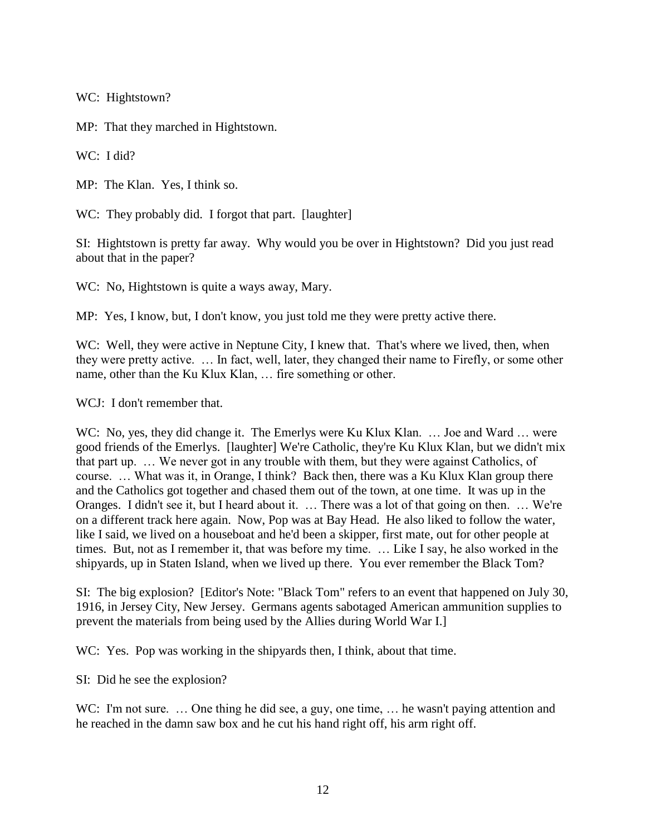WC: Hightstown?

MP: That they marched in Hightstown.

WC: I did?

MP: The Klan. Yes, I think so.

WC: They probably did. I forgot that part. [laughter]

SI: Hightstown is pretty far away. Why would you be over in Hightstown? Did you just read about that in the paper?

WC: No, Hightstown is quite a ways away, Mary.

MP: Yes, I know, but, I don't know, you just told me they were pretty active there.

WC: Well, they were active in Neptune City, I knew that. That's where we lived, then, when they were pretty active. … In fact, well, later, they changed their name to Firefly, or some other name, other than the Ku Klux Klan, … fire something or other.

WCJ: I don't remember that.

WC: No, yes, they did change it. The Emerlys were Ku Klux Klan. ... Joe and Ward ... were good friends of the Emerlys. [laughter] We're Catholic, they're Ku Klux Klan, but we didn't mix that part up. … We never got in any trouble with them, but they were against Catholics, of course. … What was it, in Orange, I think? Back then, there was a Ku Klux Klan group there and the Catholics got together and chased them out of the town, at one time. It was up in the Oranges. I didn't see it, but I heard about it. … There was a lot of that going on then. … We're on a different track here again. Now, Pop was at Bay Head. He also liked to follow the water, like I said, we lived on a houseboat and he'd been a skipper, first mate, out for other people at times. But, not as I remember it, that was before my time. … Like I say, he also worked in the shipyards, up in Staten Island, when we lived up there. You ever remember the Black Tom?

SI: The big explosion? [Editor's Note: "Black Tom" refers to an event that happened on July 30, 1916, in Jersey City, New Jersey. Germans agents sabotaged American ammunition supplies to prevent the materials from being used by the Allies during World War I.]

WC: Yes. Pop was working in the ship architector. I think, about that time.

SI: Did he see the explosion?

WC: I'm not sure. ... One thing he did see, a guy, one time, ... he wasn't paying attention and he reached in the damn saw box and he cut his hand right off, his arm right off.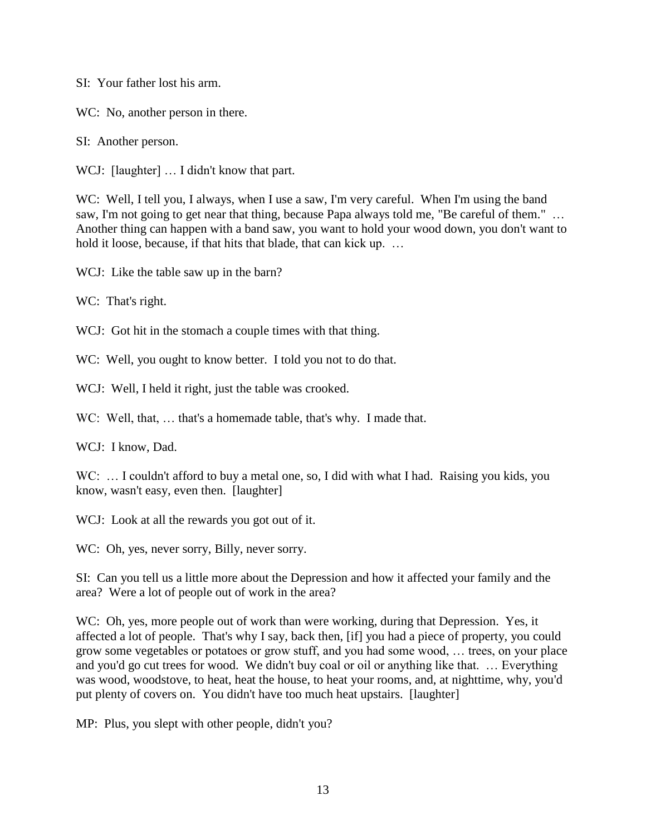SI: Your father lost his arm.

WC: No, another person in there.

SI: Another person.

WCJ: [laughter] ... I didn't know that part.

WC: Well, I tell you, I always, when I use a saw, I'm very careful. When I'm using the band saw, I'm not going to get near that thing, because Papa always told me, "Be careful of them." ... Another thing can happen with a band saw, you want to hold your wood down, you don't want to hold it loose, because, if that hits that blade, that can kick up. ...

WCJ: Like the table saw up in the barn?

WC: That's right.

WCJ: Got hit in the stomach a couple times with that thing.

WC: Well, you ought to know better. I told you not to do that.

WCJ: Well, I held it right, just the table was crooked.

WC: Well, that, ... that's a homemade table, that's why. I made that.

WCJ: I know, Dad.

WC: ... I couldn't afford to buy a metal one, so, I did with what I had. Raising you kids, you know, wasn't easy, even then. [laughter]

WCJ: Look at all the rewards you got out of it.

WC: Oh, yes, never sorry, Billy, never sorry.

SI: Can you tell us a little more about the Depression and how it affected your family and the area? Were a lot of people out of work in the area?

WC: Oh, yes, more people out of work than were working, during that Depression. Yes, it affected a lot of people. That's why I say, back then, [if] you had a piece of property, you could grow some vegetables or potatoes or grow stuff, and you had some wood, … trees, on your place and you'd go cut trees for wood. We didn't buy coal or oil or anything like that. … Everything was wood, woodstove, to heat, heat the house, to heat your rooms, and, at nighttime, why, you'd put plenty of covers on. You didn't have too much heat upstairs. [laughter]

MP: Plus, you slept with other people, didn't you?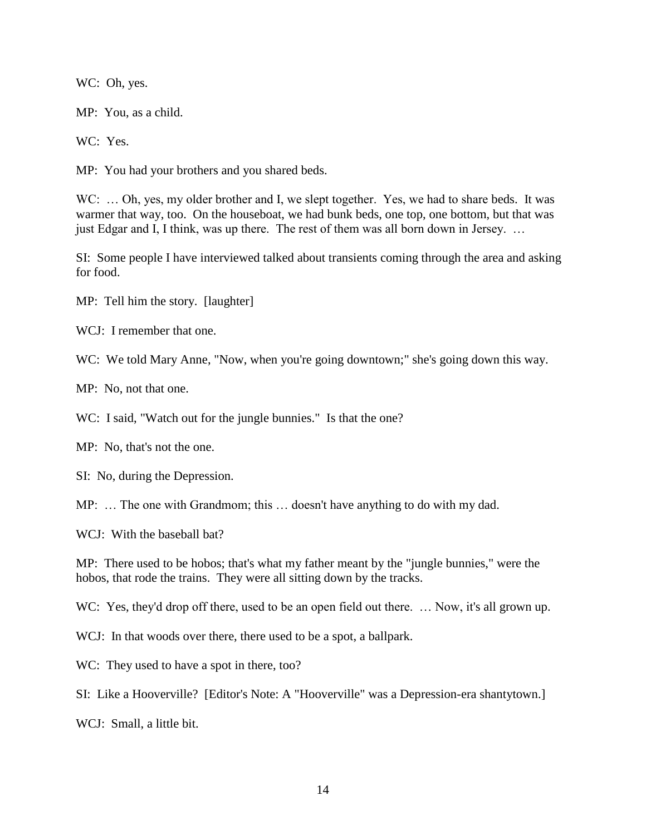WC: Oh, yes.

MP: You, as a child.

WC: Yes.

MP: You had your brothers and you shared beds.

WC: ... Oh, yes, my older brother and I, we slept together. Yes, we had to share beds. It was warmer that way, too. On the houseboat, we had bunk beds, one top, one bottom, but that was just Edgar and I, I think, was up there. The rest of them was all born down in Jersey. …

SI: Some people I have interviewed talked about transients coming through the area and asking for food.

MP: Tell him the story. [laughter]

WCJ: I remember that one.

WC: We told Mary Anne, "Now, when you're going downtown;" she's going down this way.

MP: No, not that one.

WC: I said, "Watch out for the jungle bunnies." Is that the one?

MP: No, that's not the one.

SI: No, during the Depression.

MP: … The one with Grandmom; this … doesn't have anything to do with my dad.

WCJ: With the baseball bat?

MP: There used to be hobos; that's what my father meant by the "jungle bunnies," were the hobos, that rode the trains. They were all sitting down by the tracks.

WC: Yes, they'd drop off there, used to be an open field out there. ... Now, it's all grown up.

WCJ: In that woods over there, there used to be a spot, a ballpark.

WC: They used to have a spot in there, too?

SI: Like a Hooverville? [Editor's Note: A "Hooverville" was a Depression-era shantytown.]

WCJ: Small, a little bit.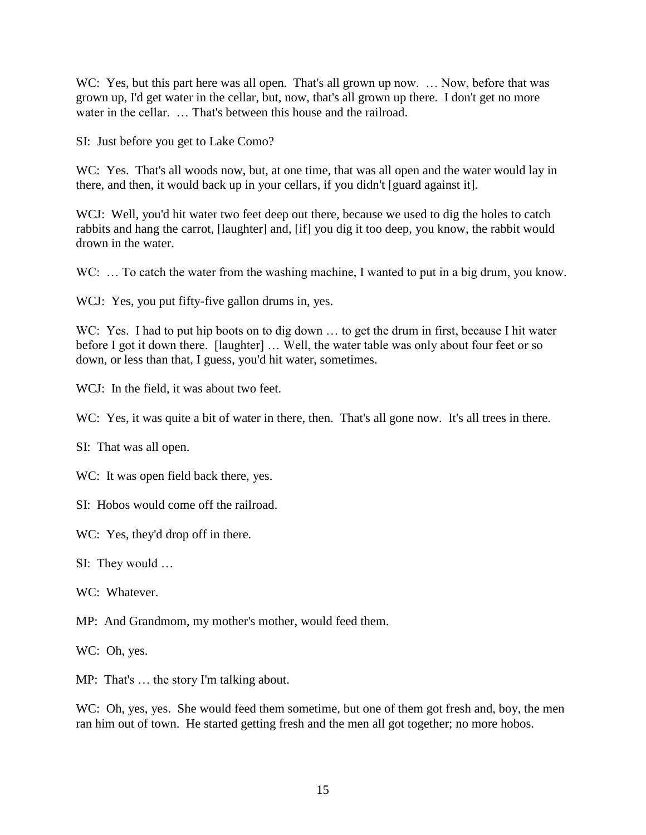WC: Yes, but this part here was all open. That's all grown up now. ... Now, before that was grown up, I'd get water in the cellar, but, now, that's all grown up there. I don't get no more water in the cellar. … That's between this house and the railroad.

SI: Just before you get to Lake Como?

WC: Yes. That's all woods now, but, at one time, that was all open and the water would lay in there, and then, it would back up in your cellars, if you didn't [guard against it].

WCJ: Well, you'd hit water two feet deep out there, because we used to dig the holes to catch rabbits and hang the carrot, [laughter] and, [if] you dig it too deep, you know, the rabbit would drown in the water.

WC: ... To catch the water from the washing machine, I wanted to put in a big drum, you know.

WCJ: Yes, you put fifty-five gallon drums in, yes.

WC: Yes. I had to put hip boots on to dig down ... to get the drum in first, because I hit water before I got it down there. [laughter] ... Well, the water table was only about four feet or so down, or less than that, I guess, you'd hit water, sometimes.

WCJ: In the field, it was about two feet.

WC: Yes, it was quite a bit of water in there, then. That's all gone now. It's all trees in there.

SI: That was all open.

WC: It was open field back there, yes.

SI: Hobos would come off the railroad.

WC: Yes, they'd drop off in there.

SI: They would …

WC: Whatever.

MP: And Grandmom, my mother's mother, would feed them.

WC: Oh, yes.

MP: That's … the story I'm talking about.

WC: Oh, yes, yes. She would feed them sometime, but one of them got fresh and, boy, the men ran him out of town. He started getting fresh and the men all got together; no more hobos.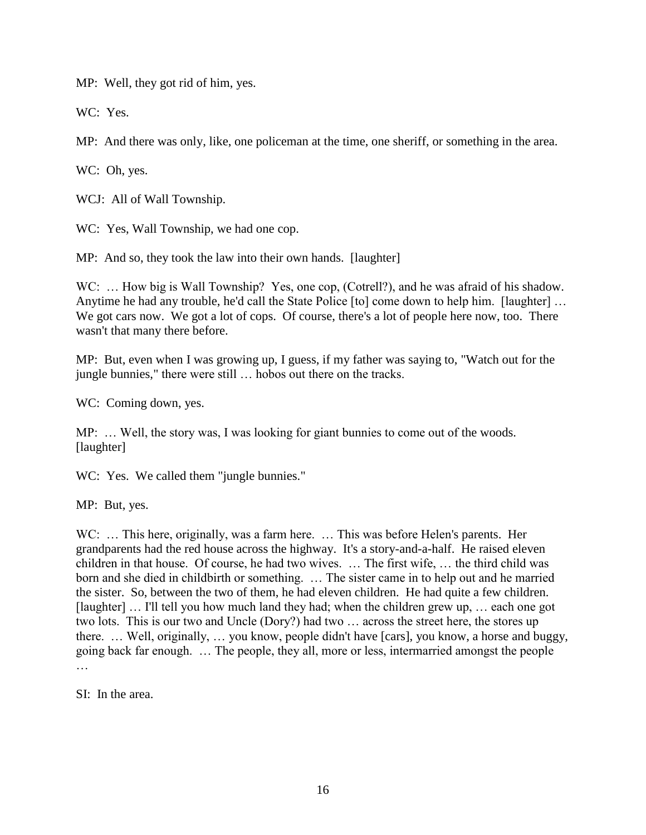MP: Well, they got rid of him, yes.

WC: Yes.

MP: And there was only, like, one policeman at the time, one sheriff, or something in the area.

WC: Oh, yes.

WCJ: All of Wall Township.

WC: Yes, Wall Township, we had one cop.

MP: And so, they took the law into their own hands. [laughter]

WC: ... How big is Wall Township? Yes, one cop, (Cotrell?), and he was afraid of his shadow. Anytime he had any trouble, he'd call the State Police [to] come down to help him. [laughter] … We got cars now. We got a lot of cops. Of course, there's a lot of people here now, too. There wasn't that many there before.

MP: But, even when I was growing up, I guess, if my father was saying to, "Watch out for the jungle bunnies," there were still … hobos out there on the tracks.

WC: Coming down, yes.

MP: … Well, the story was, I was looking for giant bunnies to come out of the woods. [laughter]

WC: Yes. We called them "jungle bunnies."

MP: But, yes.

WC: ... This here, originally, was a farm here. ... This was before Helen's parents. Her grandparents had the red house across the highway. It's a story-and-a-half. He raised eleven children in that house. Of course, he had two wives. … The first wife, … the third child was born and she died in childbirth or something. … The sister came in to help out and he married the sister. So, between the two of them, he had eleven children. He had quite a few children. [laughter] … I'll tell you how much land they had; when the children grew up, … each one got two lots. This is our two and Uncle (Dory?) had two … across the street here, the stores up there. … Well, originally, … you know, people didn't have [cars], you know, a horse and buggy, going back far enough. … The people, they all, more or less, intermarried amongst the people …

SI: In the area.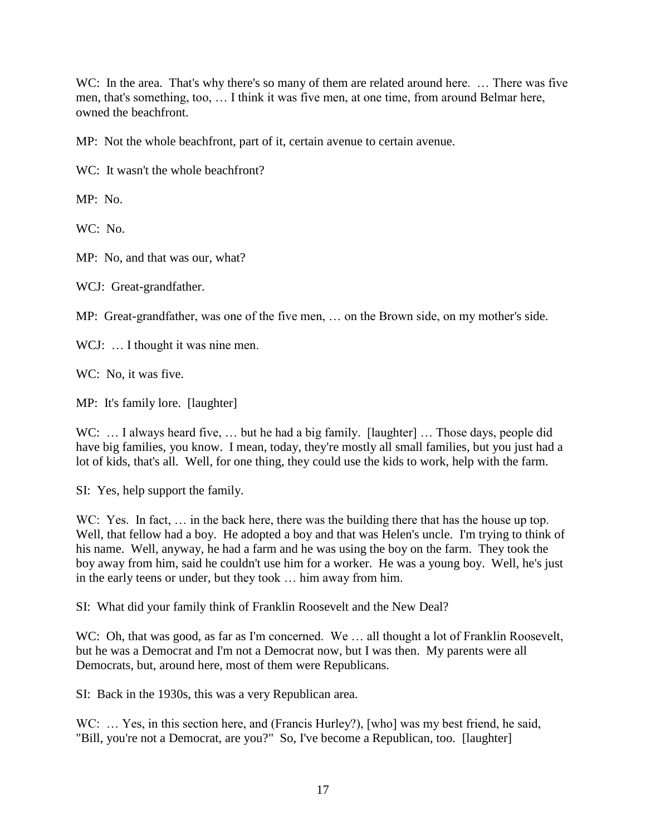WC: In the area. That's why there's so many of them are related around here. ... There was five men, that's something, too, … I think it was five men, at one time, from around Belmar here, owned the beachfront.

MP: Not the whole beachfront, part of it, certain avenue to certain avenue.

WC: It wasn't the whole beachfront?

MP: No.

WC: No.

MP: No, and that was our, what?

WCJ: Great-grandfather.

MP: Great-grandfather, was one of the five men, … on the Brown side, on my mother's side.

WCJ: ... I thought it was nine men.

WC: No, it was five.

MP: It's family lore. [laughter]

WC: ... I always heard five, ... but he had a big family. [laughter] ... Those days, people did have big families, you know. I mean, today, they're mostly all small families, but you just had a lot of kids, that's all. Well, for one thing, they could use the kids to work, help with the farm.

SI: Yes, help support the family.

WC: Yes. In fact, ... in the back here, there was the building there that has the house up top. Well, that fellow had a boy. He adopted a boy and that was Helen's uncle. I'm trying to think of his name. Well, anyway, he had a farm and he was using the boy on the farm. They took the boy away from him, said he couldn't use him for a worker. He was a young boy. Well, he's just in the early teens or under, but they took … him away from him.

SI: What did your family think of Franklin Roosevelt and the New Deal?

WC: Oh, that was good, as far as I'm concerned. We ... all thought a lot of Franklin Roosevelt, but he was a Democrat and I'm not a Democrat now, but I was then. My parents were all Democrats, but, around here, most of them were Republicans.

SI: Back in the 1930s, this was a very Republican area.

WC: ... Yes, in this section here, and (Francis Hurley?), [who] was my best friend, he said, "Bill, you're not a Democrat, are you?" So, I've become a Republican, too. [laughter]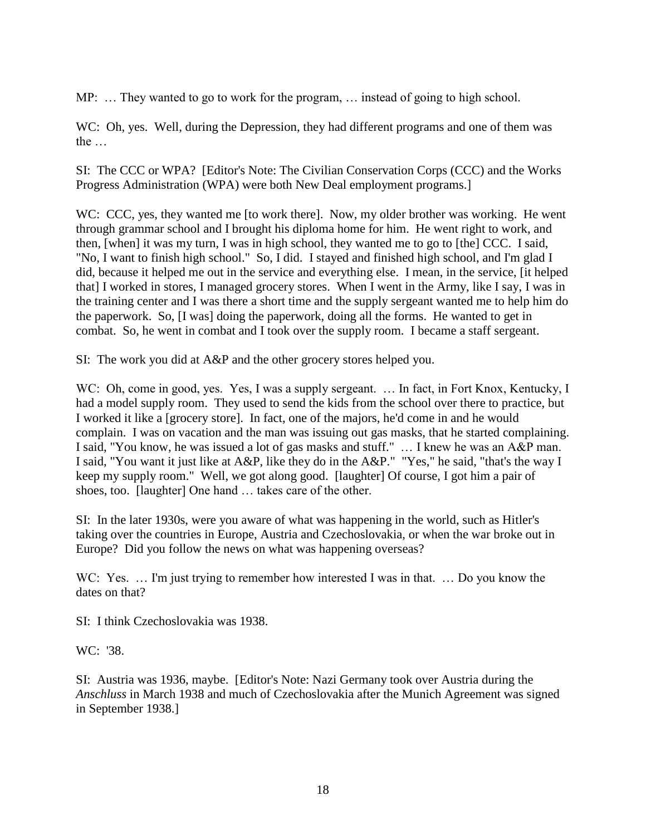MP: … They wanted to go to work for the program, … instead of going to high school.

WC: Oh, yes. Well, during the Depression, they had different programs and one of them was the …

SI: The CCC or WPA? [Editor's Note: The Civilian Conservation Corps (CCC) and the Works Progress Administration (WPA) were both New Deal employment programs.]

WC: CCC, yes, they wanted me [to work there]. Now, my older brother was working. He went through grammar school and I brought his diploma home for him. He went right to work, and then, [when] it was my turn, I was in high school, they wanted me to go to [the] CCC. I said, "No, I want to finish high school." So, I did. I stayed and finished high school, and I'm glad I did, because it helped me out in the service and everything else. I mean, in the service, [it helped that] I worked in stores, I managed grocery stores. When I went in the Army, like I say, I was in the training center and I was there a short time and the supply sergeant wanted me to help him do the paperwork. So, [I was] doing the paperwork, doing all the forms. He wanted to get in combat. So, he went in combat and I took over the supply room. I became a staff sergeant.

SI: The work you did at A&P and the other grocery stores helped you.

WC: Oh, come in good, yes. Yes, I was a supply sergeant. ... In fact, in Fort Knox, Kentucky, I had a model supply room. They used to send the kids from the school over there to practice, but I worked it like a [grocery store]. In fact, one of the majors, he'd come in and he would complain. I was on vacation and the man was issuing out gas masks, that he started complaining. I said, "You know, he was issued a lot of gas masks and stuff." … I knew he was an A&P man. I said, "You want it just like at A&P, like they do in the A&P." "Yes," he said, "that's the way I keep my supply room." Well, we got along good. [laughter] Of course, I got him a pair of shoes, too. [laughter] One hand ... takes care of the other.

SI: In the later 1930s, were you aware of what was happening in the world, such as Hitler's taking over the countries in Europe, Austria and Czechoslovakia, or when the war broke out in Europe? Did you follow the news on what was happening overseas?

WC: Yes. ... I'm just trying to remember how interested I was in that. ... Do you know the dates on that?

SI: I think Czechoslovakia was 1938.

WC: '38.

SI: Austria was 1936, maybe. [Editor's Note: Nazi Germany took over Austria during the *Anschluss* in March 1938 and much of Czechoslovakia after the Munich Agreement was signed in September 1938.]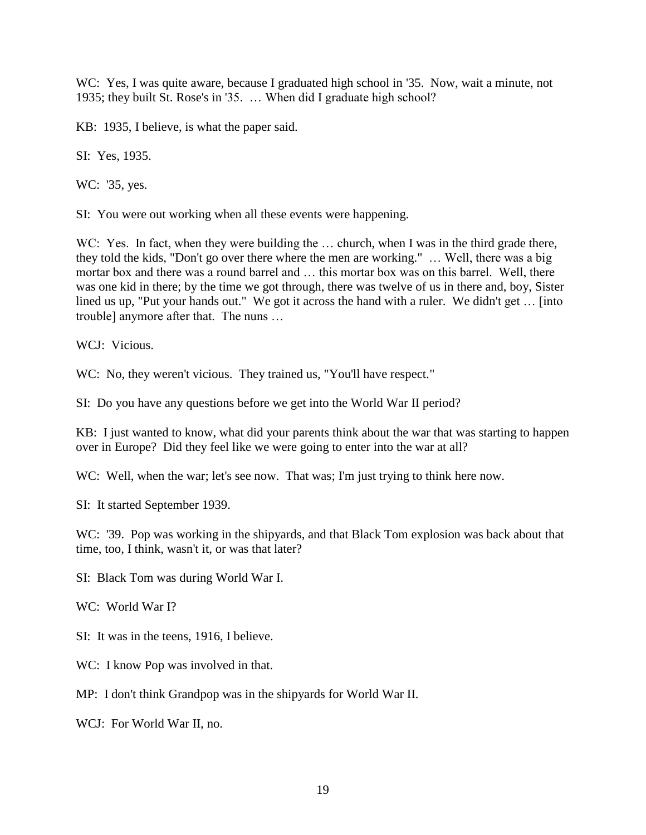WC: Yes, I was quite aware, because I graduated high school in '35. Now, wait a minute, not 1935; they built St. Rose's in '35. … When did I graduate high school?

KB: 1935, I believe, is what the paper said.

SI: Yes, 1935.

WC: '35, yes.

SI: You were out working when all these events were happening.

WC: Yes. In fact, when they were building the ... church, when I was in the third grade there, they told the kids, "Don't go over there where the men are working." … Well, there was a big mortar box and there was a round barrel and … this mortar box was on this barrel. Well, there was one kid in there; by the time we got through, there was twelve of us in there and, boy, Sister lined us up, "Put your hands out." We got it across the hand with a ruler. We didn't get ... [into trouble] anymore after that. The nuns …

WCJ: Vicious.

WC: No, they weren't vicious. They trained us, "You'll have respect."

SI: Do you have any questions before we get into the World War II period?

KB: I just wanted to know, what did your parents think about the war that was starting to happen over in Europe? Did they feel like we were going to enter into the war at all?

WC: Well, when the war; let's see now. That was; I'm just trying to think here now.

SI: It started September 1939.

WC: '39. Pop was working in the shipyards, and that Black Tom explosion was back about that time, too, I think, wasn't it, or was that later?

SI: Black Tom was during World War I.

WC: World War I?

SI: It was in the teens, 1916, I believe.

WC: I know Pop was involved in that.

MP: I don't think Grandpop was in the shipyards for World War II.

WCJ: For World War II, no.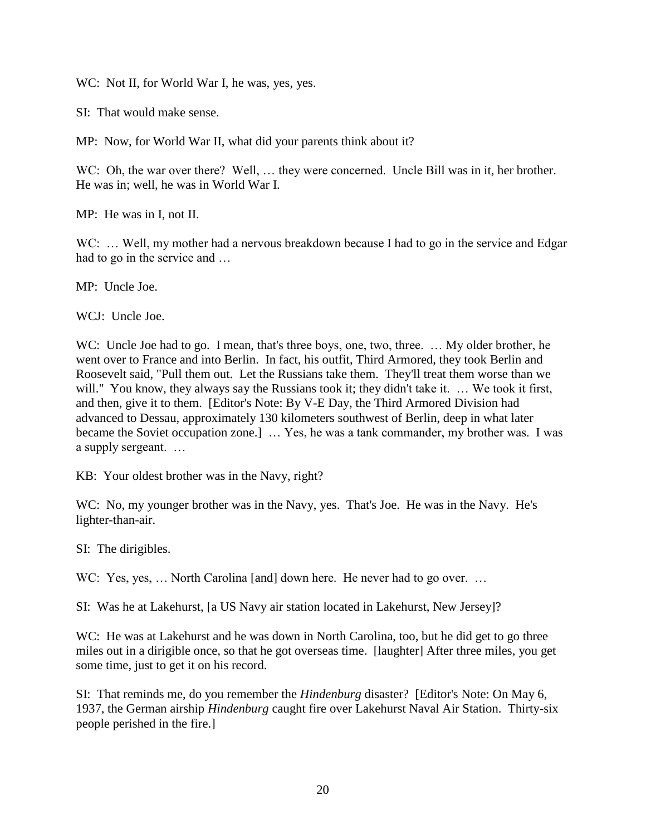WC: Not II, for World War I, he was, yes, yes.

SI: That would make sense.

MP: Now, for World War II, what did your parents think about it?

WC: Oh, the war over there? Well, ... they were concerned. Uncle Bill was in it, her brother. He was in; well, he was in World War I.

MP: He was in I, not II.

WC: ... Well, my mother had a nervous breakdown because I had to go in the service and Edgar had to go in the service and …

MP: Uncle Joe.

WCJ: Uncle Joe.

WC: Uncle Joe had to go. I mean, that's three boys, one, two, three. ... My older brother, he went over to France and into Berlin. In fact, his outfit, Third Armored, they took Berlin and Roosevelt said, "Pull them out. Let the Russians take them. They'll treat them worse than we will." You know, they always say the Russians took it; they didn't take it. ... We took it first, and then, give it to them. [Editor's Note: By V-E Day, the Third Armored Division had advanced to Dessau, approximately 130 kilometers southwest of Berlin, deep in what later became the Soviet occupation zone.] … Yes, he was a tank commander, my brother was. I was a supply sergeant. …

KB: Your oldest brother was in the Navy, right?

WC: No, my younger brother was in the Navy, yes. That's Joe. He was in the Navy. He's lighter-than-air.

SI: The dirigibles.

WC: Yes, yes, ... North Carolina [and] down here. He never had to go over. ...

SI: Was he at Lakehurst, [a US Navy air station located in Lakehurst, New Jersey]?

WC: He was at Lakehurst and he was down in North Carolina, too, but he did get to go three miles out in a dirigible once, so that he got overseas time. [laughter] After three miles, you get some time, just to get it on his record.

SI: That reminds me, do you remember the *Hindenburg* disaster? [Editor's Note: On May 6, 1937, the German airship *Hindenburg* caught fire over Lakehurst Naval Air Station. Thirty-six people perished in the fire.]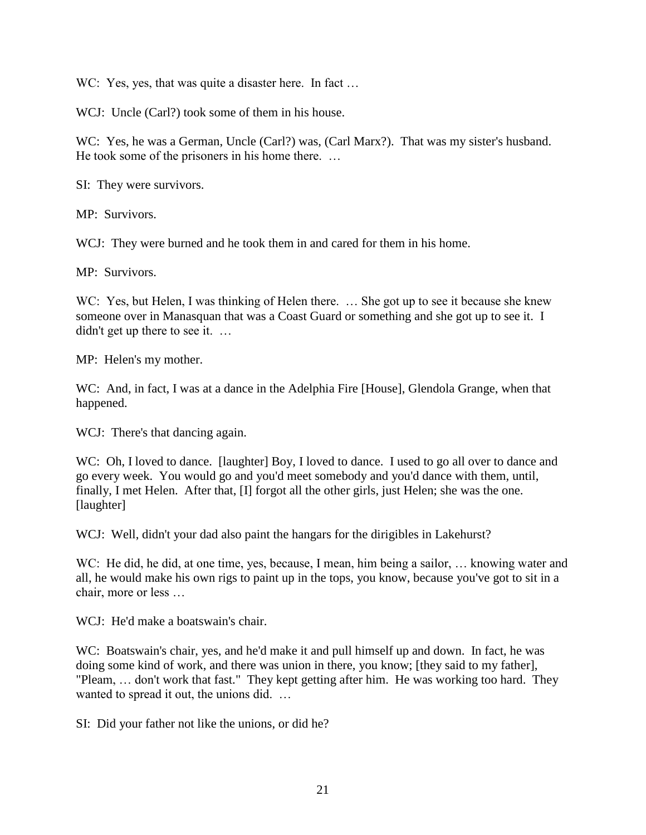WC: Yes, yes, that was quite a disaster here. In fact ...

WCJ: Uncle (Carl?) took some of them in his house.

WC: Yes, he was a German, Uncle (Carl?) was, (Carl Marx?). That was my sister's husband. He took some of the prisoners in his home there. …

SI: They were survivors.

MP: Survivors.

WCJ: They were burned and he took them in and cared for them in his home.

MP: Survivors.

WC: Yes, but Helen, I was thinking of Helen there. ... She got up to see it because she knew someone over in Manasquan that was a Coast Guard or something and she got up to see it. I didn't get up there to see it. ...

MP: Helen's my mother.

WC: And, in fact, I was at a dance in the Adelphia Fire [House], Glendola Grange, when that happened.

WCJ: There's that dancing again.

WC: Oh, I loved to dance. [laughter] Boy, I loved to dance. I used to go all over to dance and go every week. You would go and you'd meet somebody and you'd dance with them, until, finally, I met Helen. After that, [I] forgot all the other girls, just Helen; she was the one. [laughter]

WCJ: Well, didn't your dad also paint the hangars for the dirigibles in Lakehurst?

WC: He did, he did, at one time, yes, because, I mean, him being a sailor, ... knowing water and all, he would make his own rigs to paint up in the tops, you know, because you've got to sit in a chair, more or less …

WCJ: He'd make a boatswain's chair.

WC: Boatswain's chair, yes, and he'd make it and pull himself up and down. In fact, he was doing some kind of work, and there was union in there, you know; [they said to my father], "Pleam, … don't work that fast." They kept getting after him. He was working too hard. They wanted to spread it out, the unions did. ...

SI: Did your father not like the unions, or did he?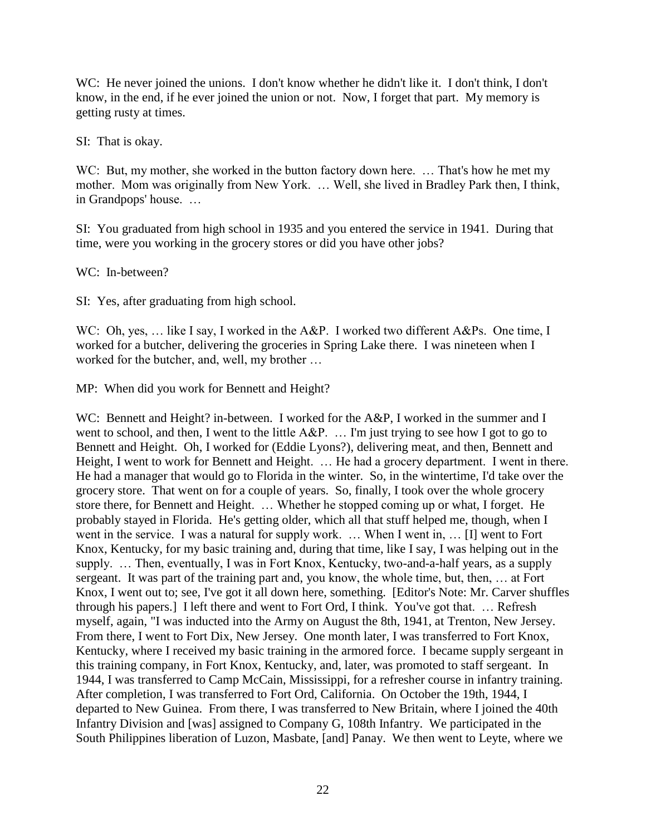WC: He never joined the unions. I don't know whether he didn't like it. I don't think, I don't know, in the end, if he ever joined the union or not. Now, I forget that part. My memory is getting rusty at times.

SI: That is okay.

WC: But, my mother, she worked in the button factory down here. ... That's how he met my mother. Mom was originally from New York. … Well, she lived in Bradley Park then, I think, in Grandpops' house. …

SI: You graduated from high school in 1935 and you entered the service in 1941. During that time, were you working in the grocery stores or did you have other jobs?

WC: In-between?

SI: Yes, after graduating from high school.

WC: Oh, yes, ... like I say, I worked in the A&P. I worked two different A&Ps. One time, I worked for a butcher, delivering the groceries in Spring Lake there. I was nineteen when I worked for the butcher, and, well, my brother …

MP: When did you work for Bennett and Height?

WC: Bennett and Height? in-between. I worked for the A&P, I worked in the summer and I went to school, and then, I went to the little A&P. ... I'm just trying to see how I got to go to Bennett and Height. Oh, I worked for (Eddie Lyons?), delivering meat, and then, Bennett and Height, I went to work for Bennett and Height. … He had a grocery department. I went in there. He had a manager that would go to Florida in the winter. So, in the wintertime, I'd take over the grocery store. That went on for a couple of years. So, finally, I took over the whole grocery store there, for Bennett and Height. … Whether he stopped coming up or what, I forget. He probably stayed in Florida. He's getting older, which all that stuff helped me, though, when I went in the service. I was a natural for supply work. … When I went in, … [I] went to Fort Knox, Kentucky, for my basic training and, during that time, like I say, I was helping out in the supply. … Then, eventually, I was in Fort Knox, Kentucky, two-and-a-half years, as a supply sergeant. It was part of the training part and, you know, the whole time, but, then, … at Fort Knox, I went out to; see, I've got it all down here, something. [Editor's Note: Mr. Carver shuffles through his papers.] I left there and went to Fort Ord, I think. You've got that. … Refresh myself, again, "I was inducted into the Army on August the 8th, 1941, at Trenton, New Jersey. From there, I went to Fort Dix, New Jersey. One month later, I was transferred to Fort Knox, Kentucky, where I received my basic training in the armored force. I became supply sergeant in this training company, in Fort Knox, Kentucky, and, later, was promoted to staff sergeant. In 1944, I was transferred to Camp McCain, Mississippi, for a refresher course in infantry training. After completion, I was transferred to Fort Ord, California. On October the 19th, 1944, I departed to New Guinea. From there, I was transferred to New Britain, where I joined the 40th Infantry Division and [was] assigned to Company G, 108th Infantry. We participated in the South Philippines liberation of Luzon, Masbate, [and] Panay. We then went to Leyte, where we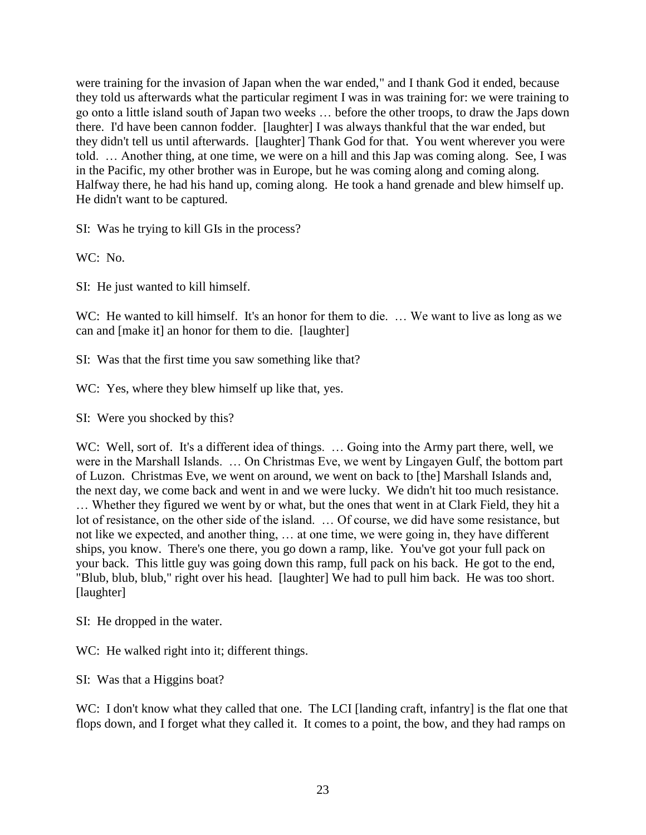were training for the invasion of Japan when the war ended," and I thank God it ended, because they told us afterwards what the particular regiment I was in was training for: we were training to go onto a little island south of Japan two weeks … before the other troops, to draw the Japs down there. I'd have been cannon fodder. [laughter] I was always thankful that the war ended, but they didn't tell us until afterwards. [laughter] Thank God for that. You went wherever you were told. … Another thing, at one time, we were on a hill and this Jap was coming along. See, I was in the Pacific, my other brother was in Europe, but he was coming along and coming along. Halfway there, he had his hand up, coming along. He took a hand grenade and blew himself up. He didn't want to be captured.

SI: Was he trying to kill GIs in the process?

WC: No.

SI: He just wanted to kill himself.

WC: He wanted to kill himself. It's an honor for them to die. ... We want to live as long as we can and [make it] an honor for them to die. [laughter]

SI: Was that the first time you saw something like that?

WC: Yes, where they blew himself up like that, yes.

SI: Were you shocked by this?

WC: Well, sort of. It's a different idea of things. ... Going into the Army part there, well, we were in the Marshall Islands. … On Christmas Eve, we went by Lingayen Gulf, the bottom part of Luzon. Christmas Eve, we went on around, we went on back to [the] Marshall Islands and, the next day, we come back and went in and we were lucky. We didn't hit too much resistance. … Whether they figured we went by or what, but the ones that went in at Clark Field, they hit a lot of resistance, on the other side of the island. … Of course, we did have some resistance, but not like we expected, and another thing, … at one time, we were going in, they have different ships, you know. There's one there, you go down a ramp, like. You've got your full pack on your back. This little guy was going down this ramp, full pack on his back. He got to the end, "Blub, blub, blub," right over his head. [laughter] We had to pull him back. He was too short. [laughter]

SI: He dropped in the water.

WC: He walked right into it; different things.

SI: Was that a Higgins boat?

WC: I don't know what they called that one. The LCI [landing craft, infantry] is the flat one that flops down, and I forget what they called it. It comes to a point, the bow, and they had ramps on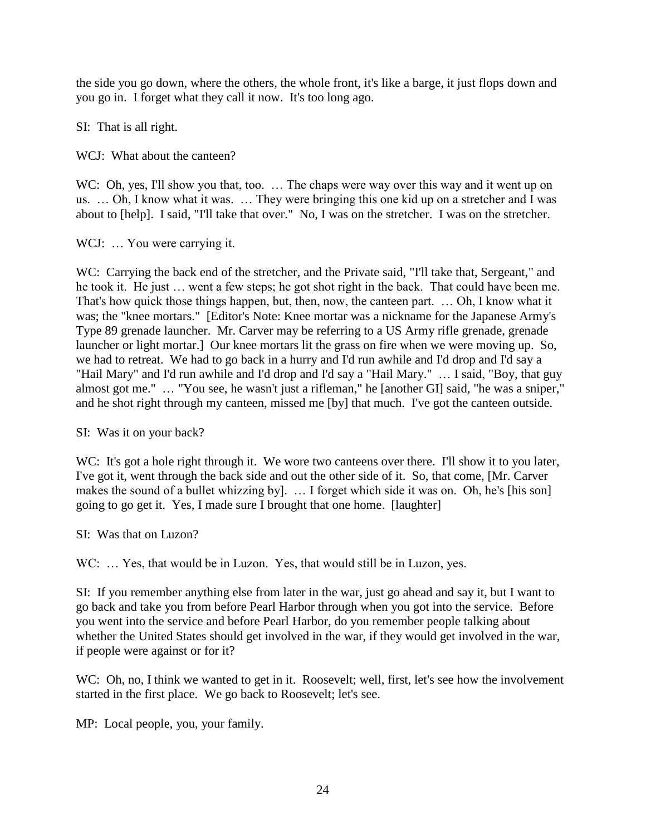the side you go down, where the others, the whole front, it's like a barge, it just flops down and you go in. I forget what they call it now. It's too long ago.

SI: That is all right.

WCJ: What about the canteen?

WC: Oh, yes, I'll show you that, too. ... The chaps were way over this way and it went up on us. … Oh, I know what it was. … They were bringing this one kid up on a stretcher and I was about to [help]. I said, "I'll take that over." No, I was on the stretcher. I was on the stretcher.

WCJ: ... You were carrying it.

WC: Carrying the back end of the stretcher, and the Private said, "I'll take that, Sergeant," and he took it. He just … went a few steps; he got shot right in the back. That could have been me. That's how quick those things happen, but, then, now, the canteen part. … Oh, I know what it was; the "knee mortars." [Editor's Note: Knee mortar was a nickname for the Japanese Army's Type 89 grenade launcher. Mr. Carver may be referring to a US Army rifle grenade, grenade launcher or light mortar.] Our knee mortars lit the grass on fire when we were moving up. So, we had to retreat. We had to go back in a hurry and I'd run awhile and I'd drop and I'd say a "Hail Mary" and I'd run awhile and I'd drop and I'd say a "Hail Mary." … I said, "Boy, that guy almost got me." … "You see, he wasn't just a rifleman," he [another GI] said, "he was a sniper," and he shot right through my canteen, missed me [by] that much. I've got the canteen outside.

SI: Was it on your back?

WC: It's got a hole right through it. We wore two canteens over there. I'll show it to you later, I've got it, went through the back side and out the other side of it. So, that come, [Mr. Carver makes the sound of a bullet whizzing by]. … I forget which side it was on. Oh, he's [his son] going to go get it. Yes, I made sure I brought that one home. [laughter]

SI: Was that on Luzon?

WC: ... Yes, that would be in Luzon. Yes, that would still be in Luzon, yes.

SI: If you remember anything else from later in the war, just go ahead and say it, but I want to go back and take you from before Pearl Harbor through when you got into the service. Before you went into the service and before Pearl Harbor, do you remember people talking about whether the United States should get involved in the war, if they would get involved in the war, if people were against or for it?

WC: Oh, no, I think we wanted to get in it. Roosevelt; well, first, let's see how the involvement started in the first place. We go back to Roosevelt; let's see.

MP: Local people, you, your family.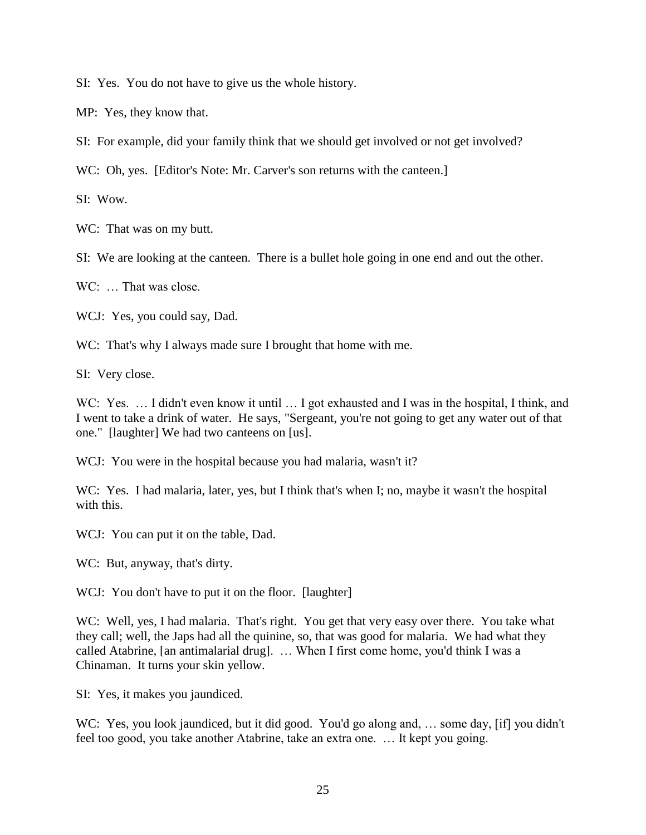SI: Yes. You do not have to give us the whole history.

MP: Yes, they know that.

SI: For example, did your family think that we should get involved or not get involved?

WC: Oh, yes. [Editor's Note: Mr. Carver's son returns with the canteen.]

SI: Wow.

WC: That was on my butt.

SI: We are looking at the canteen. There is a bullet hole going in one end and out the other.

 $WC$ : That was close.

WCJ: Yes, you could say, Dad.

WC: That's why I always made sure I brought that home with me.

SI: Very close.

WC: Yes. ... I didn't even know it until ... I got exhausted and I was in the hospital, I think, and I went to take a drink of water. He says, "Sergeant, you're not going to get any water out of that one." [laughter] We had two canteens on [us].

WCJ: You were in the hospital because you had malaria, wasn't it?

WC: Yes. I had malaria, later, yes, but I think that's when I; no, maybe it wasn't the hospital with this.

WCJ: You can put it on the table, Dad.

WC: But, anyway, that's dirty.

WCJ: You don't have to put it on the floor. [laughter]

WC: Well, yes, I had malaria. That's right. You get that very easy over there. You take what they call; well, the Japs had all the quinine, so, that was good for malaria. We had what they called Atabrine, [an antimalarial drug]. … When I first come home, you'd think I was a Chinaman. It turns your skin yellow.

SI: Yes, it makes you jaundiced.

WC: Yes, you look jaundiced, but it did good. You'd go along and, ... some day, [if] you didn't feel too good, you take another Atabrine, take an extra one. … It kept you going.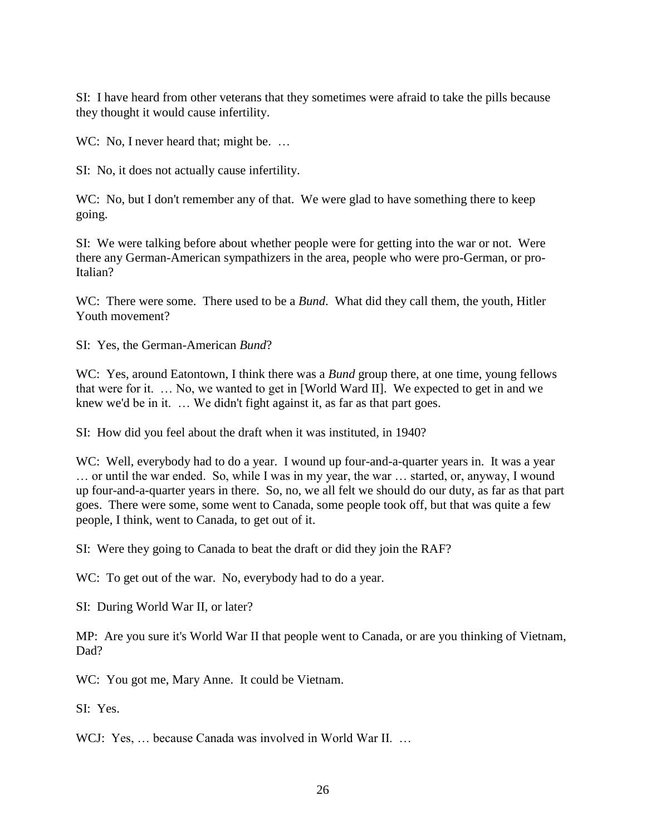SI: I have heard from other veterans that they sometimes were afraid to take the pills because they thought it would cause infertility.

WC: No, I never heard that; might be. ...

SI: No, it does not actually cause infertility.

WC: No, but I don't remember any of that. We were glad to have something there to keep going.

SI: We were talking before about whether people were for getting into the war or not. Were there any German-American sympathizers in the area, people who were pro-German, or pro-Italian?

WC: There were some. There used to be a *Bund*. What did they call them, the youth, Hitler Youth movement?

SI: Yes, the German-American *Bund*?

WC: Yes, around Eatontown, I think there was a *Bund* group there, at one time, young fellows that were for it. … No, we wanted to get in [World Ward II]. We expected to get in and we knew we'd be in it. ... We didn't fight against it, as far as that part goes.

SI: How did you feel about the draft when it was instituted, in 1940?

WC: Well, everybody had to do a year. I wound up four-and-a-quarter years in. It was a year … or until the war ended. So, while I was in my year, the war … started, or, anyway, I wound up four-and-a-quarter years in there. So, no, we all felt we should do our duty, as far as that part goes. There were some, some went to Canada, some people took off, but that was quite a few people, I think, went to Canada, to get out of it.

SI: Were they going to Canada to beat the draft or did they join the RAF?

WC: To get out of the war. No, everybody had to do a year.

SI: During World War II, or later?

MP: Are you sure it's World War II that people went to Canada, or are you thinking of Vietnam, Dad?

WC: You got me, Mary Anne. It could be Vietnam.

SI: Yes.

WCJ: Yes, ... because Canada was involved in World War II. ...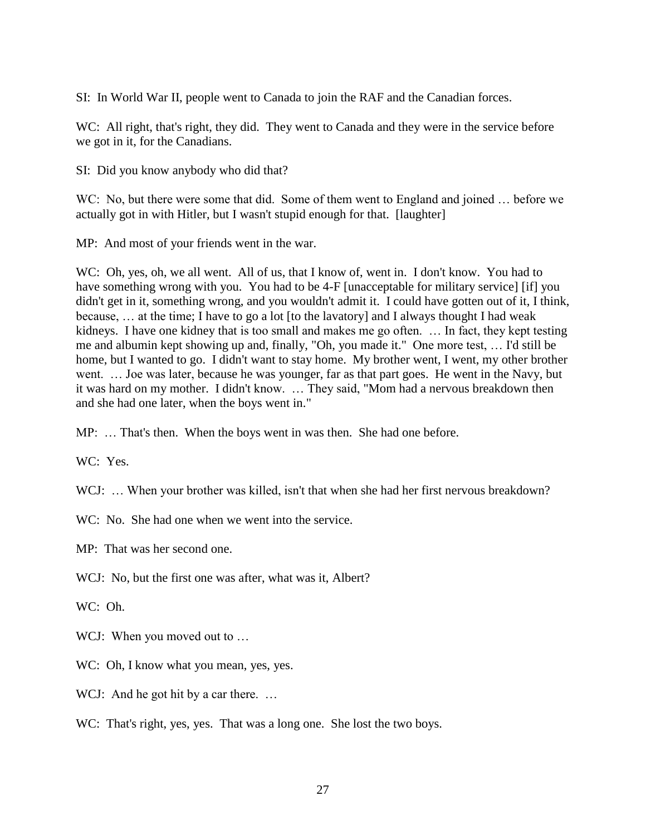SI: In World War II, people went to Canada to join the RAF and the Canadian forces.

WC: All right, that's right, they did. They went to Canada and they were in the service before we got in it, for the Canadians.

SI: Did you know anybody who did that?

WC: No, but there were some that did. Some of them went to England and joined … before we actually got in with Hitler, but I wasn't stupid enough for that. [laughter]

MP: And most of your friends went in the war.

WC: Oh, yes, oh, we all went. All of us, that I know of, went in. I don't know. You had to have something wrong with you. You had to be 4-F [unacceptable for military service] [if] you didn't get in it, something wrong, and you wouldn't admit it. I could have gotten out of it, I think, because, … at the time; I have to go a lot [to the lavatory] and I always thought I had weak kidneys. I have one kidney that is too small and makes me go often. … In fact, they kept testing me and albumin kept showing up and, finally, "Oh, you made it." One more test, … I'd still be home, but I wanted to go. I didn't want to stay home. My brother went, I went, my other brother went. … Joe was later, because he was younger, far as that part goes. He went in the Navy, but it was hard on my mother. I didn't know. … They said, "Mom had a nervous breakdown then and she had one later, when the boys went in."

MP: … That's then. When the boys went in was then. She had one before.

WC: Yes.

WCJ: ... When your brother was killed, isn't that when she had her first nervous breakdown?

WC: No. She had one when we went into the service.

MP: That was her second one.

WCJ: No, but the first one was after, what was it, Albert?

WC: Oh.

WCJ: When you moved out to ...

WC: Oh, I know what you mean, yes, yes.

WCJ: And he got hit by a car there. ...

WC: That's right, yes, yes. That was a long one. She lost the two boys.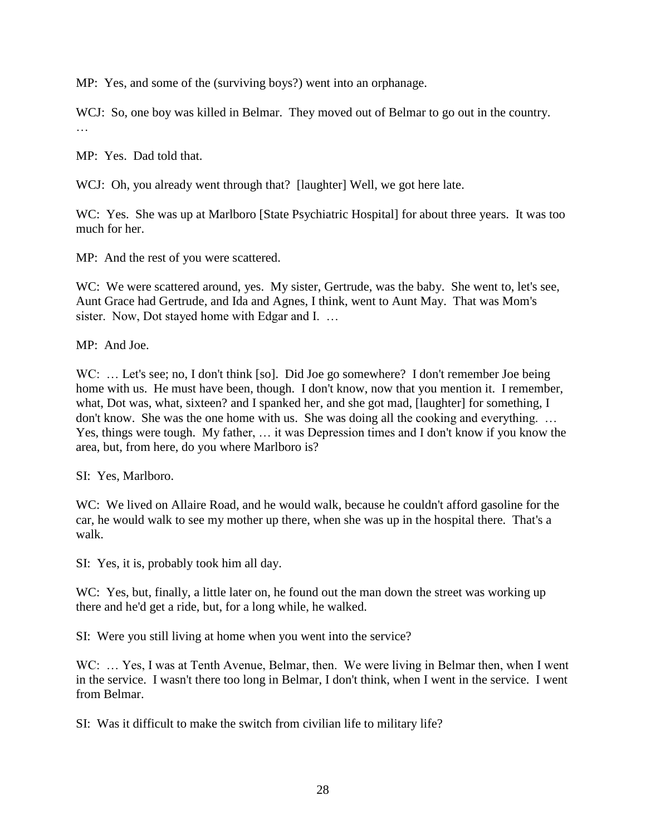MP: Yes, and some of the (surviving boys?) went into an orphanage.

WCJ: So, one boy was killed in Belmar. They moved out of Belmar to go out in the country. …

MP: Yes. Dad told that.

WCJ: Oh, you already went through that? [laughter] Well, we got here late.

WC: Yes. She was up at Marlboro [State Psychiatric Hospital] for about three years. It was too much for her.

MP: And the rest of you were scattered.

WC: We were scattered around, yes. My sister, Gertrude, was the baby. She went to, let's see, Aunt Grace had Gertrude, and Ida and Agnes, I think, went to Aunt May. That was Mom's sister. Now, Dot stayed home with Edgar and I...

MP: And Joe.

WC: ... Let's see; no, I don't think [so]. Did Joe go somewhere? I don't remember Joe being home with us. He must have been, though. I don't know, now that you mention it. I remember, what, Dot was, what, sixteen? and I spanked her, and she got mad, [laughter] for something, I don't know. She was the one home with us. She was doing all the cooking and everything. … Yes, things were tough. My father, … it was Depression times and I don't know if you know the area, but, from here, do you where Marlboro is?

SI: Yes, Marlboro.

WC: We lived on Allaire Road, and he would walk, because he couldn't afford gasoline for the car, he would walk to see my mother up there, when she was up in the hospital there. That's a walk.

SI: Yes, it is, probably took him all day.

WC: Yes, but, finally, a little later on, he found out the man down the street was working up there and he'd get a ride, but, for a long while, he walked.

SI: Were you still living at home when you went into the service?

WC: ... Yes, I was at Tenth Avenue, Belmar, then. We were living in Belmar then, when I went in the service. I wasn't there too long in Belmar, I don't think, when I went in the service. I went from Belmar.

SI: Was it difficult to make the switch from civilian life to military life?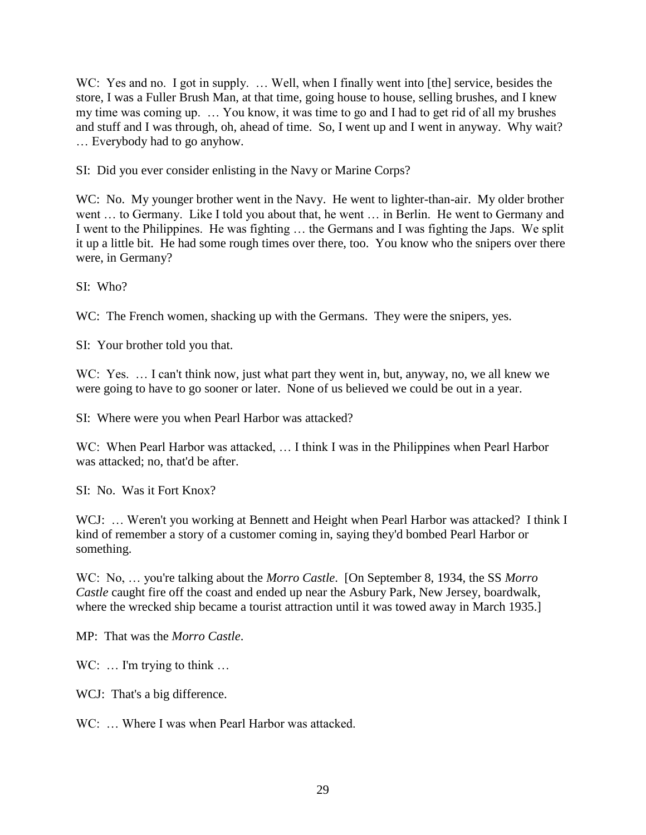WC: Yes and no. I got in supply. ... Well, when I finally went into [the] service, besides the store, I was a Fuller Brush Man, at that time, going house to house, selling brushes, and I knew my time was coming up. … You know, it was time to go and I had to get rid of all my brushes and stuff and I was through, oh, ahead of time. So, I went up and I went in anyway. Why wait? … Everybody had to go anyhow.

SI: Did you ever consider enlisting in the Navy or Marine Corps?

WC: No. My younger brother went in the Navy. He went to lighter-than-air. My older brother went … to Germany. Like I told you about that, he went … in Berlin. He went to Germany and I went to the Philippines. He was fighting … the Germans and I was fighting the Japs. We split it up a little bit. He had some rough times over there, too. You know who the snipers over there were, in Germany?

SI: Who?

WC: The French women, shacking up with the Germans. They were the snipers, yes.

SI: Your brother told you that.

WC: Yes. ... I can't think now, just what part they went in, but, anyway, no, we all knew we were going to have to go sooner or later. None of us believed we could be out in a year.

SI: Where were you when Pearl Harbor was attacked?

WC: When Pearl Harbor was attacked, ... I think I was in the Philippines when Pearl Harbor was attacked; no, that'd be after.

SI: No. Was it Fort Knox?

WCJ: ... Weren't you working at Bennett and Height when Pearl Harbor was attacked? I think I kind of remember a story of a customer coming in, saying they'd bombed Pearl Harbor or something.

WC: No, … you're talking about the *Morro Castle*. [On September 8, 1934, the SS *Morro Castle* caught fire off the coast and ended up near the Asbury Park, New Jersey, boardwalk, where the wrecked ship became a tourist attraction until it was towed away in March 1935.]

MP: That was the *Morro Castle*.

WC: ... I'm trying to think ...

WCJ: That's a big difference.

WC: ... Where I was when Pearl Harbor was attacked.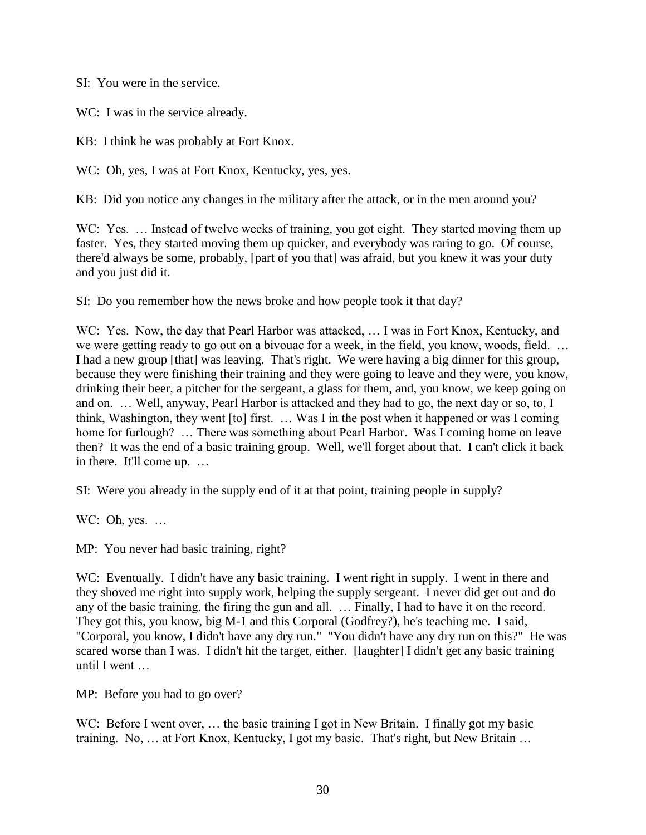SI: You were in the service.

WC: I was in the service already.

KB: I think he was probably at Fort Knox.

WC: Oh, yes, I was at Fort Knox, Kentucky, yes, yes.

KB: Did you notice any changes in the military after the attack, or in the men around you?

WC: Yes. ... Instead of twelve weeks of training, you got eight. They started moving them up faster. Yes, they started moving them up quicker, and everybody was raring to go. Of course, there'd always be some, probably, [part of you that] was afraid, but you knew it was your duty and you just did it.

SI: Do you remember how the news broke and how people took it that day?

WC: Yes. Now, the day that Pearl Harbor was attacked, ... I was in Fort Knox, Kentucky, and we were getting ready to go out on a bivouac for a week, in the field, you know, woods, field. … I had a new group [that] was leaving. That's right. We were having a big dinner for this group, because they were finishing their training and they were going to leave and they were, you know, drinking their beer, a pitcher for the sergeant, a glass for them, and, you know, we keep going on and on. … Well, anyway, Pearl Harbor is attacked and they had to go, the next day or so, to, I think, Washington, they went [to] first. … Was I in the post when it happened or was I coming home for furlough? ... There was something about Pearl Harbor. Was I coming home on leave then? It was the end of a basic training group. Well, we'll forget about that. I can't click it back in there. It'll come up. …

SI: Were you already in the supply end of it at that point, training people in supply?

WC: Oh, yes. ...

MP: You never had basic training, right?

WC: Eventually. I didn't have any basic training. I went right in supply. I went in there and they shoved me right into supply work, helping the supply sergeant. I never did get out and do any of the basic training, the firing the gun and all. … Finally, I had to have it on the record. They got this, you know, big M-1 and this Corporal (Godfrey?), he's teaching me. I said, "Corporal, you know, I didn't have any dry run." "You didn't have any dry run on this?" He was scared worse than I was. I didn't hit the target, either. [laughter] I didn't get any basic training until I went …

MP: Before you had to go over?

WC: Before I went over, ... the basic training I got in New Britain. I finally got my basic training. No, … at Fort Knox, Kentucky, I got my basic. That's right, but New Britain …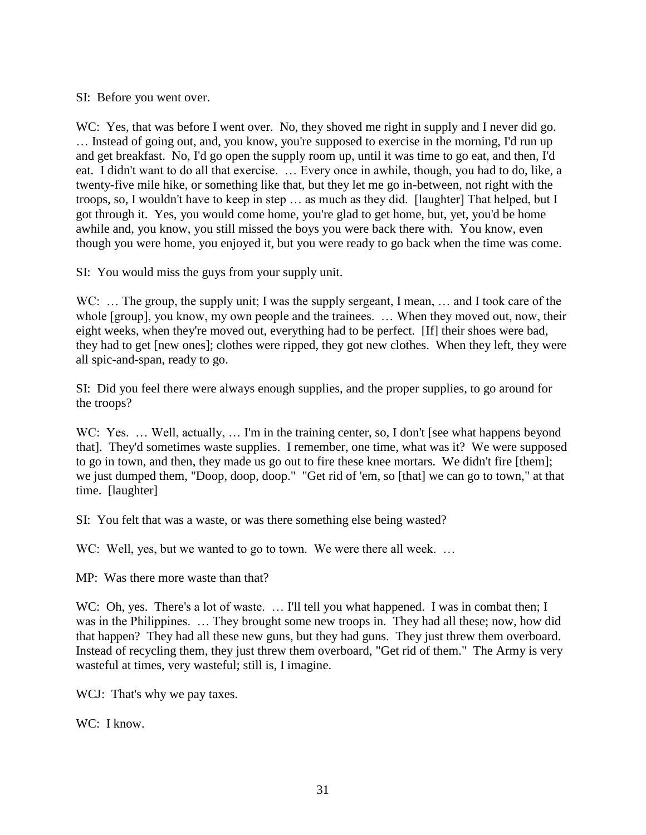SI: Before you went over.

WC: Yes, that was before I went over. No, they shoved me right in supply and I never did go. … Instead of going out, and, you know, you're supposed to exercise in the morning, I'd run up and get breakfast. No, I'd go open the supply room up, until it was time to go eat, and then, I'd eat. I didn't want to do all that exercise. … Every once in awhile, though, you had to do, like, a twenty-five mile hike, or something like that, but they let me go in-between, not right with the troops, so, I wouldn't have to keep in step … as much as they did. [laughter] That helped, but I got through it. Yes, you would come home, you're glad to get home, but, yet, you'd be home awhile and, you know, you still missed the boys you were back there with. You know, even though you were home, you enjoyed it, but you were ready to go back when the time was come.

SI: You would miss the guys from your supply unit.

WC: ... The group, the supply unit; I was the supply sergeant, I mean, ... and I took care of the whole [group], you know, my own people and the trainees. … When they moved out, now, their eight weeks, when they're moved out, everything had to be perfect. [If] their shoes were bad, they had to get [new ones]; clothes were ripped, they got new clothes. When they left, they were all spic-and-span, ready to go.

SI: Did you feel there were always enough supplies, and the proper supplies, to go around for the troops?

WC: Yes. ... Well, actually, ... I'm in the training center, so, I don't [see what happens beyond that]. They'd sometimes waste supplies. I remember, one time, what was it? We were supposed to go in town, and then, they made us go out to fire these knee mortars. We didn't fire [them]; we just dumped them, "Doop, doop, doop." "Get rid of 'em, so [that] we can go to town," at that time. [laughter]

SI: You felt that was a waste, or was there something else being wasted?

WC: Well, yes, but we wanted to go to town. We were there all week. ...

MP: Was there more waste than that?

WC: Oh, yes. There's a lot of waste. ... I'll tell you what happened. I was in combat then; I was in the Philippines. ... They brought some new troops in. They had all these; now, how did that happen? They had all these new guns, but they had guns. They just threw them overboard. Instead of recycling them, they just threw them overboard, "Get rid of them." The Army is very wasteful at times, very wasteful; still is, I imagine.

WCJ: That's why we pay taxes.

WC: I know.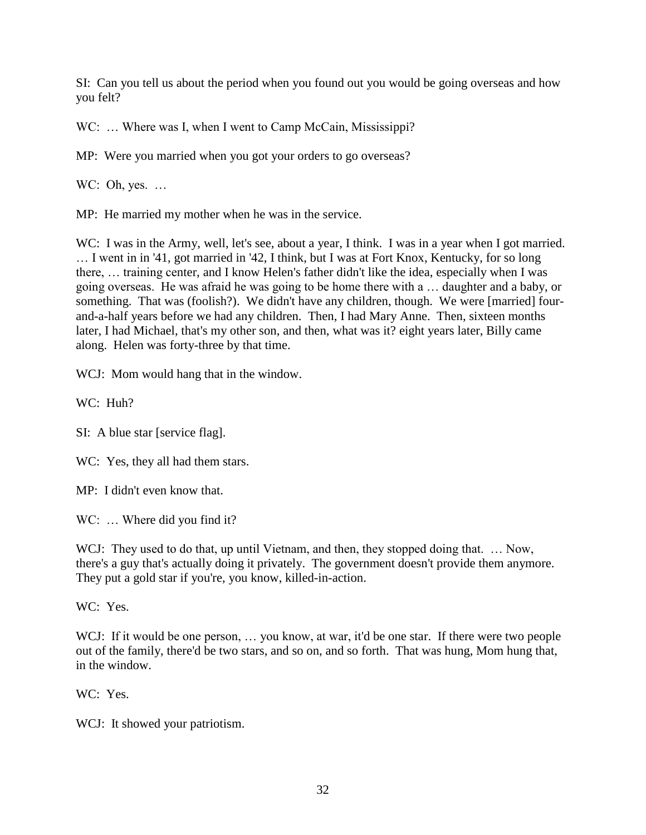SI: Can you tell us about the period when you found out you would be going overseas and how you felt?

WC: ... Where was I, when I went to Camp McCain, Mississippi?

MP: Were you married when you got your orders to go overseas?

WC: Oh, yes. ...

MP: He married my mother when he was in the service.

WC: I was in the Army, well, let's see, about a year, I think. I was in a year when I got married. … I went in in '41, got married in '42, I think, but I was at Fort Knox, Kentucky, for so long there, … training center, and I know Helen's father didn't like the idea, especially when I was going overseas. He was afraid he was going to be home there with a … daughter and a baby, or something. That was (foolish?). We didn't have any children, though. We were [married] fourand-a-half years before we had any children. Then, I had Mary Anne. Then, sixteen months later, I had Michael, that's my other son, and then, what was it? eight years later, Billy came along. Helen was forty-three by that time.

WCJ: Mom would hang that in the window.

WC: Huh?

SI: A blue star [service flag].

WC: Yes, they all had them stars.

MP: I didn't even know that.

WC: ... Where did you find it?

WCJ: They used to do that, up until Vietnam, and then, they stopped doing that. ... Now, there's a guy that's actually doing it privately. The government doesn't provide them anymore. They put a gold star if you're, you know, killed-in-action.

WC: Yes.

WCJ: If it would be one person, ... you know, at war, it'd be one star. If there were two people out of the family, there'd be two stars, and so on, and so forth. That was hung, Mom hung that, in the window.

WC: Yes.

WCJ: It showed your patriotism.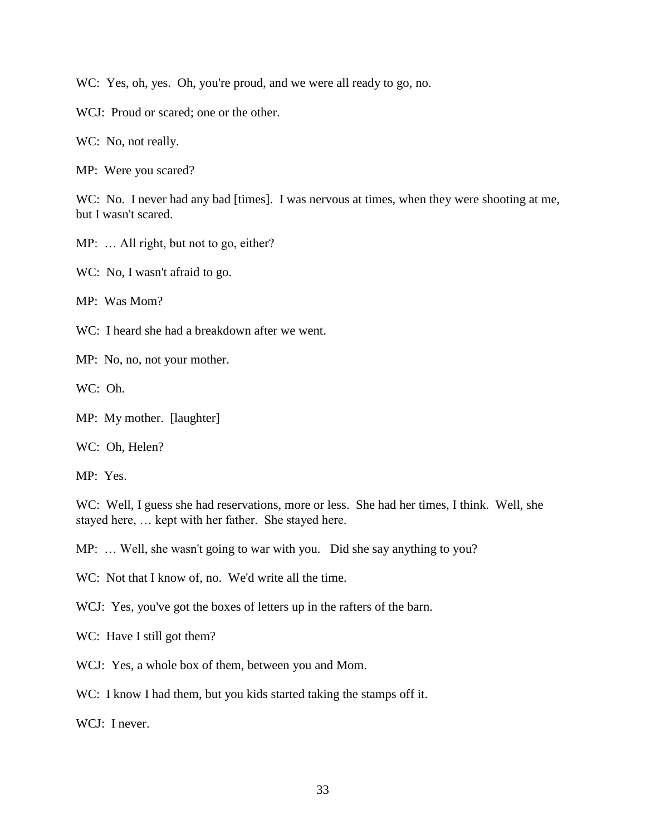WC: Yes, oh, yes. Oh, you're proud, and we were all ready to go, no.

WCJ: Proud or scared; one or the other.

WC: No, not really.

MP: Were you scared?

WC: No. I never had any bad [times]. I was nervous at times, when they were shooting at me, but I wasn't scared.

MP: ... All right, but not to go, either?

WC: No, I wasn't afraid to go.

MP: Was Mom?

WC: I heard she had a breakdown after we went.

MP: No, no, not your mother.

WC: Oh.

MP: My mother. [laughter]

WC: Oh, Helen?

MP: Yes.

WC: Well, I guess she had reservations, more or less. She had her times, I think. Well, she stayed here, … kept with her father. She stayed here.

MP: … Well, she wasn't going to war with you. Did she say anything to you?

WC: Not that I know of, no. We'd write all the time.

WCJ: Yes, you've got the boxes of letters up in the rafters of the barn.

WC: Have I still got them?

WCJ: Yes, a whole box of them, between you and Mom.

WC: I know I had them, but you kids started taking the stamps off it.

WCJ: I never.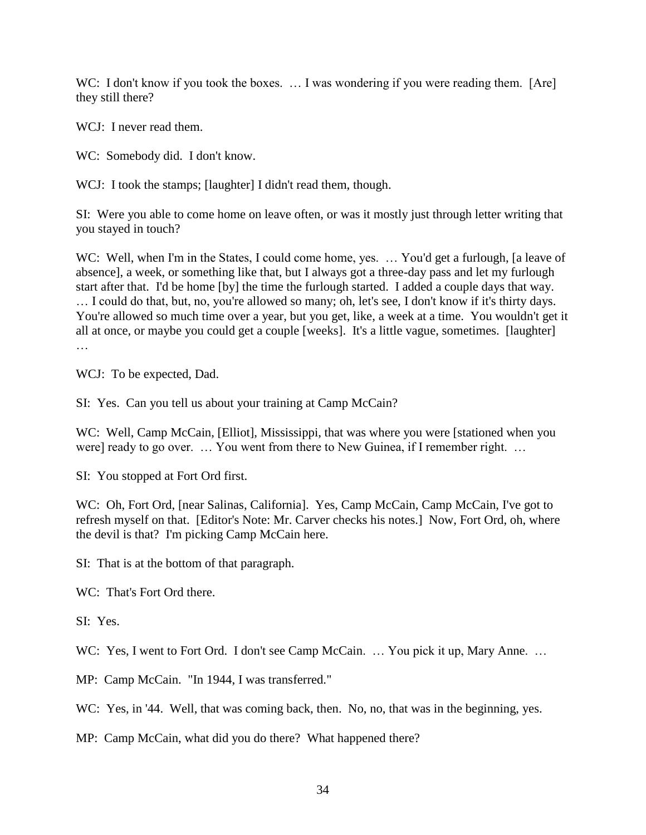WC: I don't know if you took the boxes. ... I was wondering if you were reading them. [Are] they still there?

WCJ: I never read them.

WC: Somebody did. I don't know.

WCJ: I took the stamps; [laughter] I didn't read them, though.

SI: Were you able to come home on leave often, or was it mostly just through letter writing that you stayed in touch?

WC: Well, when I'm in the States, I could come home, yes. ... You'd get a furlough, [a leave of absence], a week, or something like that, but I always got a three-day pass and let my furlough start after that. I'd be home [by] the time the furlough started. I added a couple days that way. … I could do that, but, no, you're allowed so many; oh, let's see, I don't know if it's thirty days. You're allowed so much time over a year, but you get, like, a week at a time. You wouldn't get it all at once, or maybe you could get a couple [weeks]. It's a little vague, sometimes. [laughter] …

WCJ: To be expected, Dad.

SI: Yes. Can you tell us about your training at Camp McCain?

WC: Well, Camp McCain, [Elliot], Mississippi, that was where you were [stationed when you were] ready to go over. … You went from there to New Guinea, if I remember right. …

SI: You stopped at Fort Ord first.

WC: Oh, Fort Ord, [near Salinas, California]. Yes, Camp McCain, Camp McCain, I've got to refresh myself on that. [Editor's Note: Mr. Carver checks his notes.] Now, Fort Ord, oh, where the devil is that? I'm picking Camp McCain here.

SI: That is at the bottom of that paragraph.

WC: That's Fort Ord there.

SI: Yes.

WC: Yes, I went to Fort Ord. I don't see Camp McCain. ... You pick it up, Mary Anne. ...

MP: Camp McCain. "In 1944, I was transferred."

WC: Yes, in '44. Well, that was coming back, then. No, no, that was in the beginning, yes.

MP: Camp McCain, what did you do there? What happened there?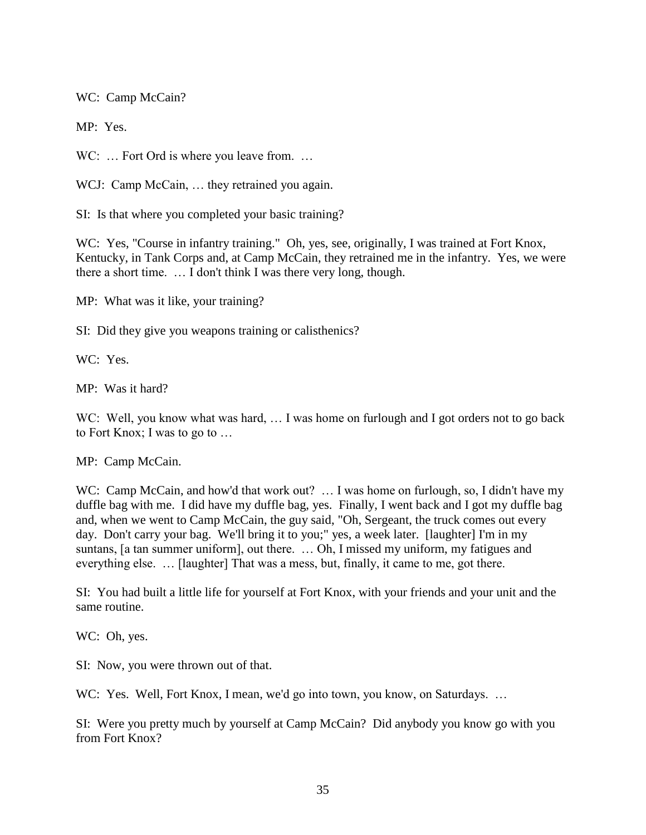WC: Camp McCain?

MP: Yes.

WC: ... Fort Ord is where you leave from. ...

WCJ: Camp McCain, ... they retrained you again.

SI: Is that where you completed your basic training?

WC: Yes, "Course in infantry training." Oh, yes, see, originally, I was trained at Fort Knox, Kentucky, in Tank Corps and, at Camp McCain, they retrained me in the infantry. Yes, we were there a short time. … I don't think I was there very long, though.

MP: What was it like, your training?

SI: Did they give you weapons training or calisthenics?

WC: Yes.

MP: Was it hard?

WC: Well, you know what was hard, ... I was home on furlough and I got orders not to go back to Fort Knox; I was to go to …

MP: Camp McCain.

WC: Camp McCain, and how'd that work out? ... I was home on furlough, so, I didn't have my duffle bag with me. I did have my duffle bag, yes. Finally, I went back and I got my duffle bag and, when we went to Camp McCain, the guy said, "Oh, Sergeant, the truck comes out every day. Don't carry your bag. We'll bring it to you;" yes, a week later. [laughter] I'm in my suntans, [a tan summer uniform], out there. … Oh, I missed my uniform, my fatigues and everything else. … [laughter] That was a mess, but, finally, it came to me, got there.

SI: You had built a little life for yourself at Fort Knox, with your friends and your unit and the same routine.

WC: Oh, yes.

SI: Now, you were thrown out of that.

WC: Yes. Well, Fort Knox, I mean, we'd go into town, you know, on Saturdays. ...

SI: Were you pretty much by yourself at Camp McCain? Did anybody you know go with you from Fort Knox?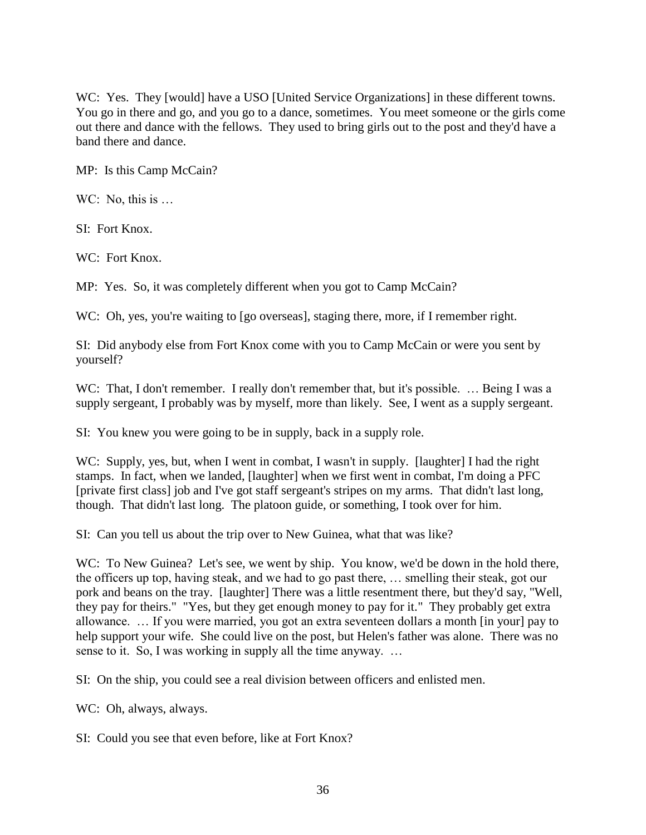WC: Yes. They [would] have a USO [United Service Organizations] in these different towns. You go in there and go, and you go to a dance, sometimes. You meet someone or the girls come out there and dance with the fellows. They used to bring girls out to the post and they'd have a band there and dance.

MP: Is this Camp McCain?

WC: No, this is ...

SI: Fort Knox.

WC: Fort Knox.

MP: Yes. So, it was completely different when you got to Camp McCain?

WC: Oh, yes, you're waiting to [go overseas], staging there, more, if I remember right.

SI: Did anybody else from Fort Knox come with you to Camp McCain or were you sent by yourself?

WC: That, I don't remember. I really don't remember that, but it's possible. ... Being I was a supply sergeant, I probably was by myself, more than likely. See, I went as a supply sergeant.

SI: You knew you were going to be in supply, back in a supply role.

WC: Supply, yes, but, when I went in combat, I wasn't in supply. [laughter] I had the right stamps. In fact, when we landed, [laughter] when we first went in combat, I'm doing a PFC [private first class] job and I've got staff sergeant's stripes on my arms. That didn't last long, though. That didn't last long. The platoon guide, or something, I took over for him.

SI: Can you tell us about the trip over to New Guinea, what that was like?

WC: To New Guinea? Let's see, we went by ship. You know, we'd be down in the hold there, the officers up top, having steak, and we had to go past there, … smelling their steak, got our pork and beans on the tray. [laughter] There was a little resentment there, but they'd say, "Well, they pay for theirs." "Yes, but they get enough money to pay for it." They probably get extra allowance. … If you were married, you got an extra seventeen dollars a month [in your] pay to help support your wife. She could live on the post, but Helen's father was alone. There was no sense to it. So, I was working in supply all the time anyway. ...

SI: On the ship, you could see a real division between officers and enlisted men.

WC: Oh, always, always.

SI: Could you see that even before, like at Fort Knox?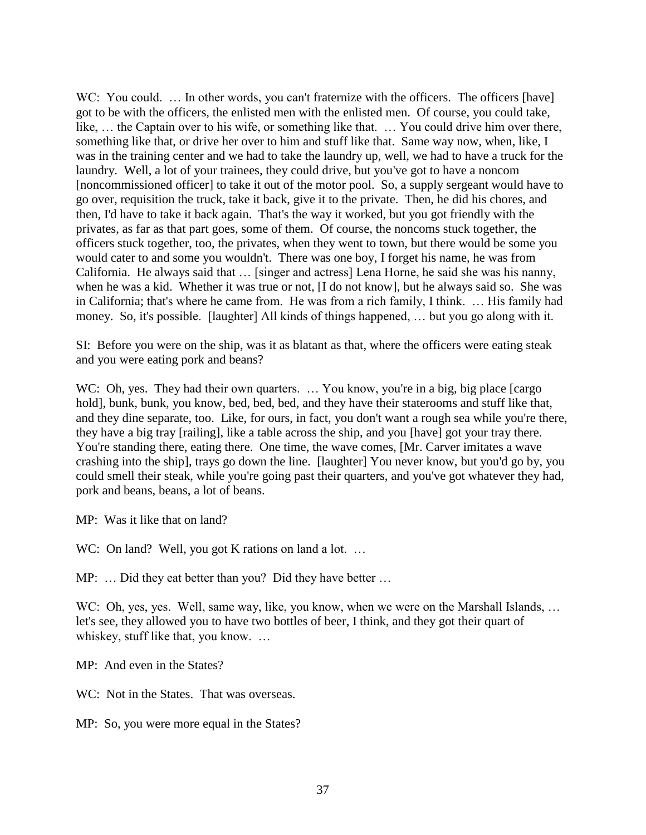WC: You could. ... In other words, you can't fraternize with the officers. The officers [have] got to be with the officers, the enlisted men with the enlisted men. Of course, you could take, like, … the Captain over to his wife, or something like that. … You could drive him over there, something like that, or drive her over to him and stuff like that. Same way now, when, like, I was in the training center and we had to take the laundry up, well, we had to have a truck for the laundry. Well, a lot of your trainees, they could drive, but you've got to have a noncom [noncommissioned officer] to take it out of the motor pool. So, a supply sergeant would have to go over, requisition the truck, take it back, give it to the private. Then, he did his chores, and then, I'd have to take it back again. That's the way it worked, but you got friendly with the privates, as far as that part goes, some of them. Of course, the noncoms stuck together, the officers stuck together, too, the privates, when they went to town, but there would be some you would cater to and some you wouldn't. There was one boy, I forget his name, he was from California. He always said that … [singer and actress] Lena Horne, he said she was his nanny, when he was a kid. Whether it was true or not, [I do not know], but he always said so. She was in California; that's where he came from. He was from a rich family, I think. … His family had money. So, it's possible. [laughter] All kinds of things happened, … but you go along with it.

SI: Before you were on the ship, was it as blatant as that, where the officers were eating steak and you were eating pork and beans?

WC: Oh, yes. They had their own quarters. ... You know, you're in a big, big place [cargo] hold], bunk, bunk, you know, bed, bed, bed, and they have their staterooms and stuff like that, and they dine separate, too. Like, for ours, in fact, you don't want a rough sea while you're there, they have a big tray [railing], like a table across the ship, and you [have] got your tray there. You're standing there, eating there. One time, the wave comes, [Mr. Carver imitates a wave crashing into the ship], trays go down the line. [laughter] You never know, but you'd go by, you could smell their steak, while you're going past their quarters, and you've got whatever they had, pork and beans, beans, a lot of beans.

MP: Was it like that on land?

WC: On land? Well, you got K rations on land a lot. ...

MP: ... Did they eat better than you? Did they have better ...

WC: Oh, yes, yes. Well, same way, like, you know, when we were on the Marshall Islands, ... let's see, they allowed you to have two bottles of beer, I think, and they got their quart of whiskey, stuff like that, you know. …

MP: And even in the States?

WC: Not in the States. That was overseas.

MP: So, you were more equal in the States?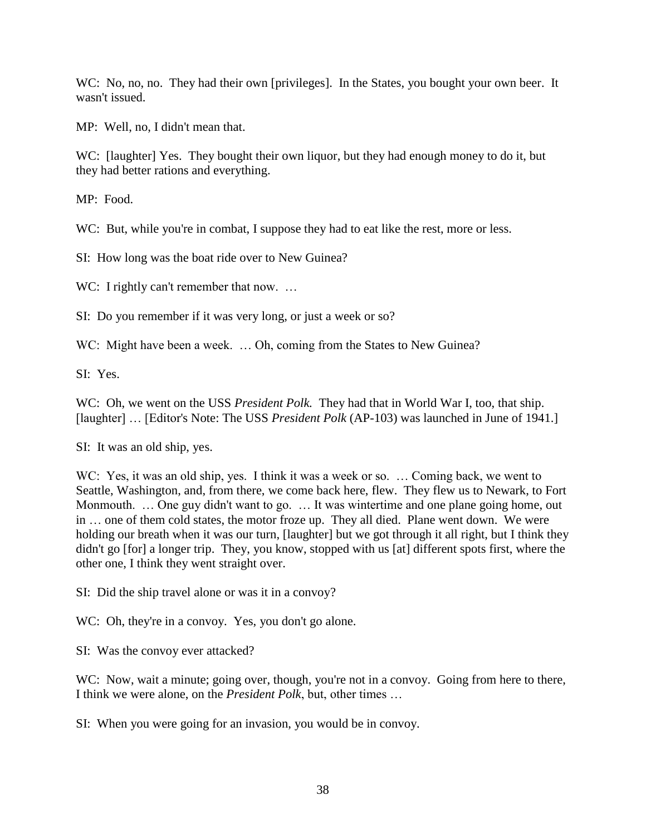WC: No, no, no. They had their own [privileges]. In the States, you bought your own beer. It wasn't issued.

MP: Well, no, I didn't mean that.

WC: [laughter] Yes. They bought their own liquor, but they had enough money to do it, but they had better rations and everything.

MP: Food.

WC: But, while you're in combat, I suppose they had to eat like the rest, more or less.

SI: How long was the boat ride over to New Guinea?

WC: I rightly can't remember that now. ...

SI: Do you remember if it was very long, or just a week or so?

WC: Might have been a week. ... Oh, coming from the States to New Guinea?

SI: Yes.

WC: Oh, we went on the USS *President Polk*. They had that in World War I, too, that ship. [laughter] ... [Editor's Note: The USS *President Polk* (AP-103) was launched in June of 1941.]

SI: It was an old ship, yes.

WC: Yes, it was an old ship, yes. I think it was a week or so. ... Coming back, we went to Seattle, Washington, and, from there, we come back here, flew. They flew us to Newark, to Fort Monmouth. … One guy didn't want to go. … It was wintertime and one plane going home, out in … one of them cold states, the motor froze up. They all died. Plane went down. We were holding our breath when it was our turn, [laughter] but we got through it all right, but I think they didn't go [for] a longer trip. They, you know, stopped with us [at] different spots first, where the other one, I think they went straight over.

SI: Did the ship travel alone or was it in a convoy?

WC: Oh, they're in a convoy. Yes, you don't go alone.

SI: Was the convoy ever attacked?

WC: Now, wait a minute; going over, though, you're not in a convoy. Going from here to there, I think we were alone, on the *President Polk*, but, other times …

SI: When you were going for an invasion, you would be in convoy.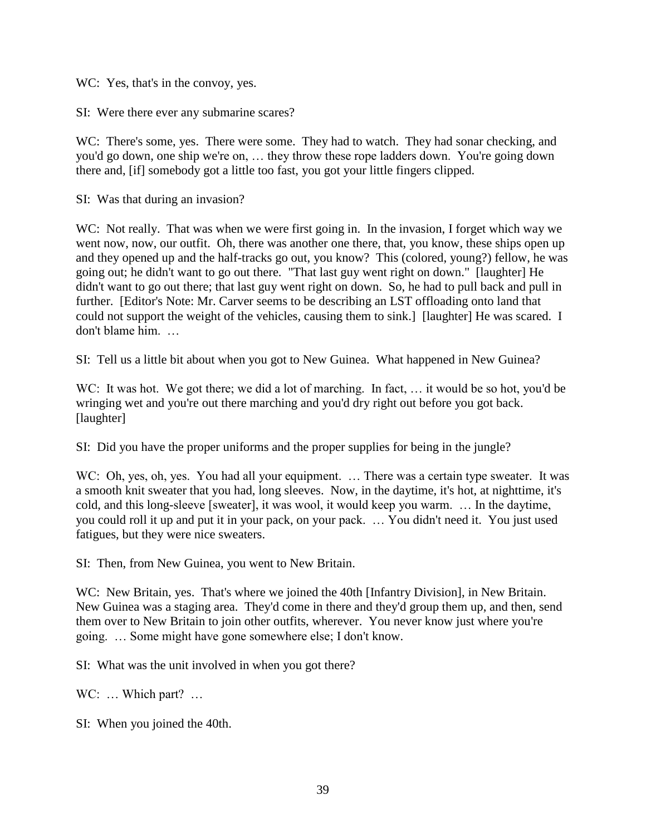WC: Yes, that's in the convoy, yes.

SI: Were there ever any submarine scares?

WC: There's some, yes. There were some. They had to watch. They had sonar checking, and you'd go down, one ship we're on, … they throw these rope ladders down. You're going down there and, [if] somebody got a little too fast, you got your little fingers clipped.

SI: Was that during an invasion?

WC: Not really. That was when we were first going in. In the invasion, I forget which way we went now, now, our outfit. Oh, there was another one there, that, you know, these ships open up and they opened up and the half-tracks go out, you know? This (colored, young?) fellow, he was going out; he didn't want to go out there. "That last guy went right on down." [laughter] He didn't want to go out there; that last guy went right on down. So, he had to pull back and pull in further. [Editor's Note: Mr. Carver seems to be describing an LST offloading onto land that could not support the weight of the vehicles, causing them to sink.] [laughter] He was scared. I don't blame him. …

SI: Tell us a little bit about when you got to New Guinea. What happened in New Guinea?

WC: It was hot. We got there; we did a lot of marching. In fact, ... it would be so hot, you'd be wringing wet and you're out there marching and you'd dry right out before you got back. [laughter]

SI: Did you have the proper uniforms and the proper supplies for being in the jungle?

WC: Oh, yes, oh, yes. You had all your equipment. ... There was a certain type sweater. It was a smooth knit sweater that you had, long sleeves. Now, in the daytime, it's hot, at nighttime, it's cold, and this long-sleeve [sweater], it was wool, it would keep you warm. … In the daytime, you could roll it up and put it in your pack, on your pack. … You didn't need it. You just used fatigues, but they were nice sweaters.

SI: Then, from New Guinea, you went to New Britain.

WC: New Britain, yes. That's where we joined the 40th [Infantry Division], in New Britain. New Guinea was a staging area. They'd come in there and they'd group them up, and then, send them over to New Britain to join other outfits, wherever. You never know just where you're going. … Some might have gone somewhere else; I don't know.

SI: What was the unit involved in when you got there?

WC: ... Which part? ...

SI: When you joined the 40th.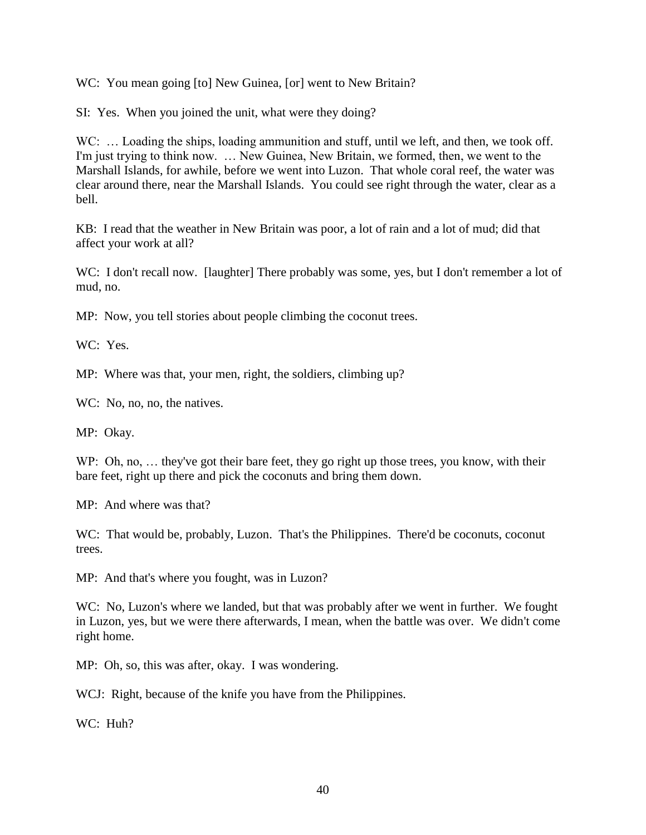WC: You mean going [to] New Guinea, [or] went to New Britain?

SI: Yes. When you joined the unit, what were they doing?

WC: ... Loading the ships, loading ammunition and stuff, until we left, and then, we took off. I'm just trying to think now. … New Guinea, New Britain, we formed, then, we went to the Marshall Islands, for awhile, before we went into Luzon. That whole coral reef, the water was clear around there, near the Marshall Islands. You could see right through the water, clear as a bell.

KB: I read that the weather in New Britain was poor, a lot of rain and a lot of mud; did that affect your work at all?

WC: I don't recall now. [laughter] There probably was some, yes, but I don't remember a lot of mud, no.

MP: Now, you tell stories about people climbing the coconut trees.

WC: Yes.

MP: Where was that, your men, right, the soldiers, climbing up?

WC: No, no, no, the natives.

MP: Okay.

WP: Oh, no, ... they've got their bare feet, they go right up those trees, you know, with their bare feet, right up there and pick the coconuts and bring them down.

MP: And where was that?

WC: That would be, probably, Luzon. That's the Philippines. There'd be coconuts, coconut trees.

MP: And that's where you fought, was in Luzon?

WC: No, Luzon's where we landed, but that was probably after we went in further. We fought in Luzon, yes, but we were there afterwards, I mean, when the battle was over. We didn't come right home.

MP: Oh, so, this was after, okay. I was wondering.

WCJ: Right, because of the knife you have from the Philippines.

WC: Huh?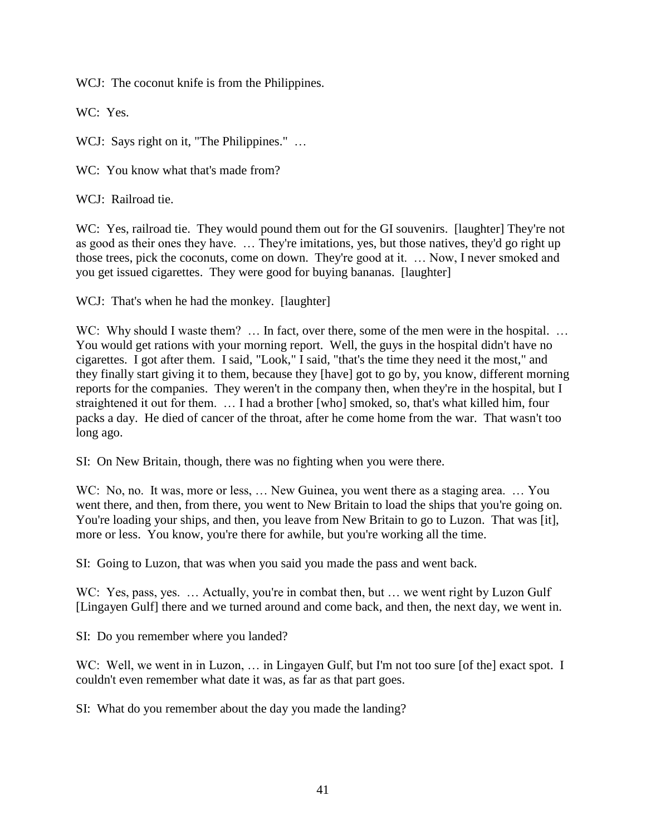WCJ: The coconut knife is from the Philippines.

WC: Yes.

WCJ: Says right on it, "The Philippines." ...

WC: You know what that's made from?

WCJ: Railroad tie.

WC: Yes, railroad tie. They would pound them out for the GI souvenirs. [laughter] They're not as good as their ones they have. … They're imitations, yes, but those natives, they'd go right up those trees, pick the coconuts, come on down. They're good at it. … Now, I never smoked and you get issued cigarettes. They were good for buying bananas. [laughter]

WCJ: That's when he had the monkey. [laughter]

WC: Why should I waste them? ... In fact, over there, some of the men were in the hospital. ... You would get rations with your morning report. Well, the guys in the hospital didn't have no cigarettes. I got after them. I said, "Look," I said, "that's the time they need it the most," and they finally start giving it to them, because they [have] got to go by, you know, different morning reports for the companies. They weren't in the company then, when they're in the hospital, but I straightened it out for them. … I had a brother [who] smoked, so, that's what killed him, four packs a day. He died of cancer of the throat, after he come home from the war. That wasn't too long ago.

SI: On New Britain, though, there was no fighting when you were there.

WC: No, no. It was, more or less, ... New Guinea, you went there as a staging area. ... You went there, and then, from there, you went to New Britain to load the ships that you're going on. You're loading your ships, and then, you leave from New Britain to go to Luzon. That was [it], more or less. You know, you're there for awhile, but you're working all the time.

SI: Going to Luzon, that was when you said you made the pass and went back.

WC: Yes, pass, yes. ... Actually, you're in combat then, but ... we went right by Luzon Gulf [Lingayen Gulf] there and we turned around and come back, and then, the next day, we went in.

SI: Do you remember where you landed?

WC: Well, we went in in Luzon, ... in Lingayen Gulf, but I'm not too sure [of the] exact spot. I couldn't even remember what date it was, as far as that part goes.

SI: What do you remember about the day you made the landing?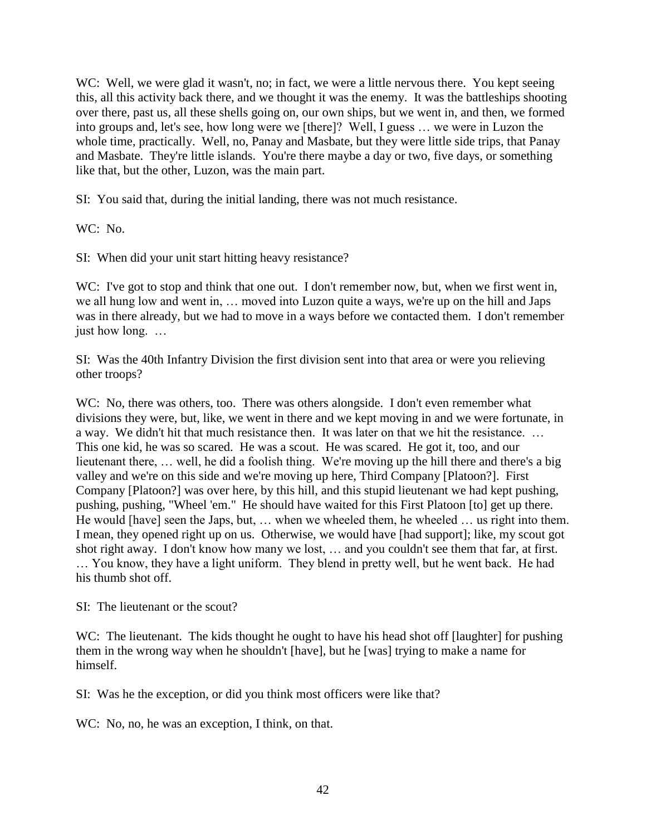WC: Well, we were glad it wasn't, no; in fact, we were a little nervous there. You kept seeing this, all this activity back there, and we thought it was the enemy. It was the battleships shooting over there, past us, all these shells going on, our own ships, but we went in, and then, we formed into groups and, let's see, how long were we [there]? Well, I guess … we were in Luzon the whole time, practically. Well, no, Panay and Masbate, but they were little side trips, that Panay and Masbate. They're little islands. You're there maybe a day or two, five days, or something like that, but the other, Luzon, was the main part.

SI: You said that, during the initial landing, there was not much resistance.

WC: No.

SI: When did your unit start hitting heavy resistance?

WC: I've got to stop and think that one out. I don't remember now, but, when we first went in, we all hung low and went in, … moved into Luzon quite a ways, we're up on the hill and Japs was in there already, but we had to move in a ways before we contacted them. I don't remember just how long. …

SI: Was the 40th Infantry Division the first division sent into that area or were you relieving other troops?

WC: No, there was others, too. There was others alongside. I don't even remember what divisions they were, but, like, we went in there and we kept moving in and we were fortunate, in a way. We didn't hit that much resistance then. It was later on that we hit the resistance. … This one kid, he was so scared. He was a scout. He was scared. He got it, too, and our lieutenant there, … well, he did a foolish thing. We're moving up the hill there and there's a big valley and we're on this side and we're moving up here, Third Company [Platoon?]. First Company [Platoon?] was over here, by this hill, and this stupid lieutenant we had kept pushing, pushing, pushing, "Wheel 'em." He should have waited for this First Platoon [to] get up there. He would [have] seen the Japs, but, … when we wheeled them, he wheeled … us right into them. I mean, they opened right up on us. Otherwise, we would have [had support]; like, my scout got shot right away. I don't know how many we lost, … and you couldn't see them that far, at first. … You know, they have a light uniform. They blend in pretty well, but he went back. He had his thumb shot off.

SI: The lieutenant or the scout?

WC: The lieutenant. The kids thought he ought to have his head shot off [laughter] for pushing them in the wrong way when he shouldn't [have], but he [was] trying to make a name for himself.

SI: Was he the exception, or did you think most officers were like that?

WC: No, no, he was an exception, I think, on that.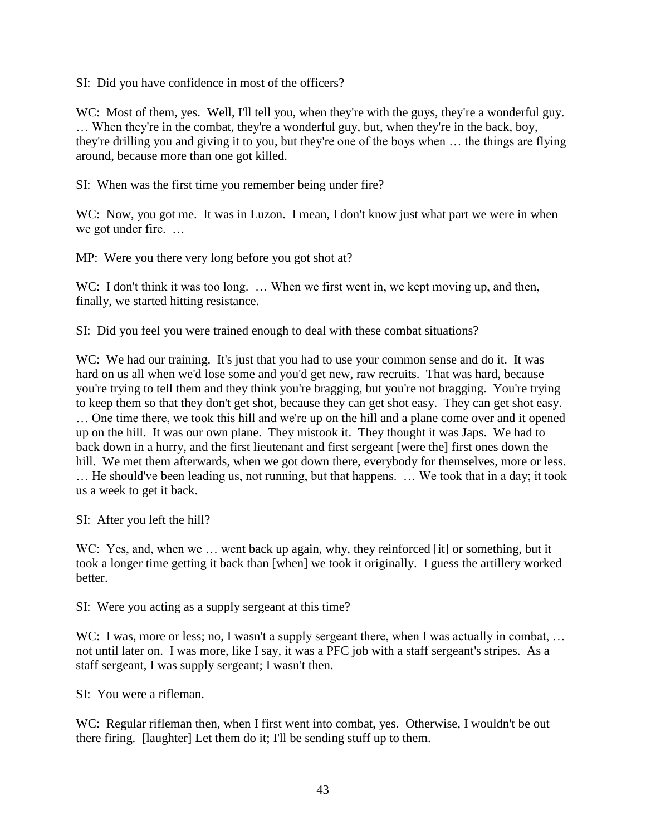SI: Did you have confidence in most of the officers?

WC: Most of them, yes. Well, I'll tell you, when they're with the guys, they're a wonderful guy. … When they're in the combat, they're a wonderful guy, but, when they're in the back, boy, they're drilling you and giving it to you, but they're one of the boys when … the things are flying around, because more than one got killed.

SI: When was the first time you remember being under fire?

WC: Now, you got me. It was in Luzon. I mean, I don't know just what part we were in when we got under fire. …

MP: Were you there very long before you got shot at?

WC: I don't think it was too long. ... When we first went in, we kept moving up, and then, finally, we started hitting resistance.

SI: Did you feel you were trained enough to deal with these combat situations?

WC: We had our training. It's just that you had to use your common sense and do it. It was hard on us all when we'd lose some and you'd get new, raw recruits. That was hard, because you're trying to tell them and they think you're bragging, but you're not bragging. You're trying to keep them so that they don't get shot, because they can get shot easy. They can get shot easy. … One time there, we took this hill and we're up on the hill and a plane come over and it opened up on the hill. It was our own plane. They mistook it. They thought it was Japs. We had to back down in a hurry, and the first lieutenant and first sergeant [were the] first ones down the hill. We met them afterwards, when we got down there, everybody for themselves, more or less. … He should've been leading us, not running, but that happens. … We took that in a day; it took us a week to get it back.

SI: After you left the hill?

WC: Yes, and, when we ... went back up again, why, they reinforced [it] or something, but it took a longer time getting it back than [when] we took it originally. I guess the artillery worked better.

SI: Were you acting as a supply sergeant at this time?

WC: I was, more or less; no, I wasn't a supply sergeant there, when I was actually in combat, ... not until later on. I was more, like I say, it was a PFC job with a staff sergeant's stripes. As a staff sergeant, I was supply sergeant; I wasn't then.

SI: You were a rifleman.

WC: Regular rifleman then, when I first went into combat, yes. Otherwise, I wouldn't be out there firing. [laughter] Let them do it; I'll be sending stuff up to them.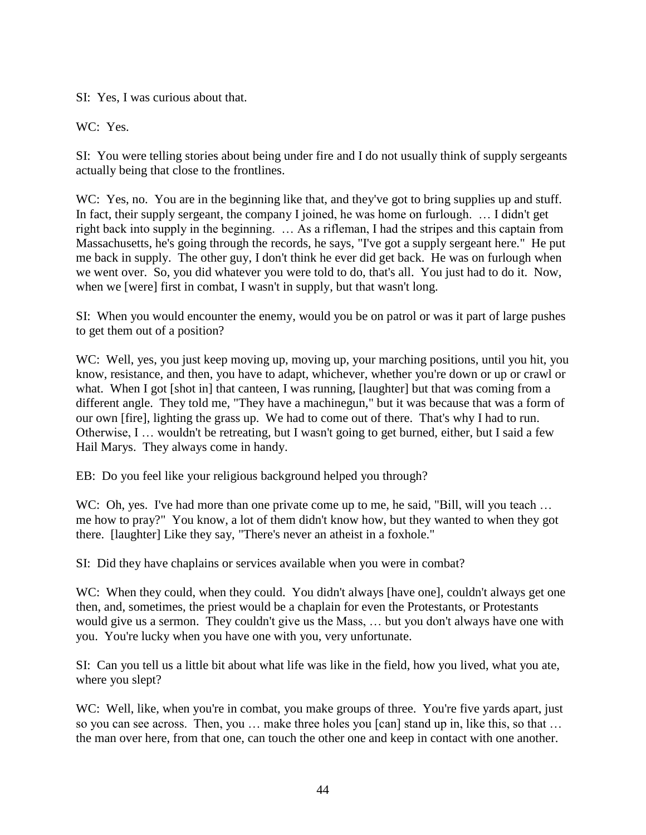SI: Yes, I was curious about that.

WC: Yes.

SI: You were telling stories about being under fire and I do not usually think of supply sergeants actually being that close to the frontlines.

WC: Yes, no. You are in the beginning like that, and they've got to bring supplies up and stuff. In fact, their supply sergeant, the company I joined, he was home on furlough. … I didn't get right back into supply in the beginning. … As a rifleman, I had the stripes and this captain from Massachusetts, he's going through the records, he says, "I've got a supply sergeant here." He put me back in supply. The other guy, I don't think he ever did get back. He was on furlough when we went over. So, you did whatever you were told to do, that's all. You just had to do it. Now, when we [were] first in combat, I wasn't in supply, but that wasn't long.

SI: When you would encounter the enemy, would you be on patrol or was it part of large pushes to get them out of a position?

WC: Well, yes, you just keep moving up, moving up, your marching positions, until you hit, you know, resistance, and then, you have to adapt, whichever, whether you're down or up or crawl or what. When I got [shot in] that canteen, I was running, [laughter] but that was coming from a different angle. They told me, "They have a machinegun," but it was because that was a form of our own [fire], lighting the grass up. We had to come out of there. That's why I had to run. Otherwise, I … wouldn't be retreating, but I wasn't going to get burned, either, but I said a few Hail Marys. They always come in handy.

EB: Do you feel like your religious background helped you through?

WC: Oh, yes. I've had more than one private come up to me, he said, "Bill, will you teach ... me how to pray?" You know, a lot of them didn't know how, but they wanted to when they got there. [laughter] Like they say, "There's never an atheist in a foxhole."

SI: Did they have chaplains or services available when you were in combat?

WC: When they could, when they could. You didn't always [have one], couldn't always get one then, and, sometimes, the priest would be a chaplain for even the Protestants, or Protestants would give us a sermon. They couldn't give us the Mass, … but you don't always have one with you. You're lucky when you have one with you, very unfortunate.

SI: Can you tell us a little bit about what life was like in the field, how you lived, what you ate, where you slept?

WC: Well, like, when you're in combat, you make groups of three. You're five yards apart, just so you can see across. Then, you … make three holes you [can] stand up in, like this, so that … the man over here, from that one, can touch the other one and keep in contact with one another.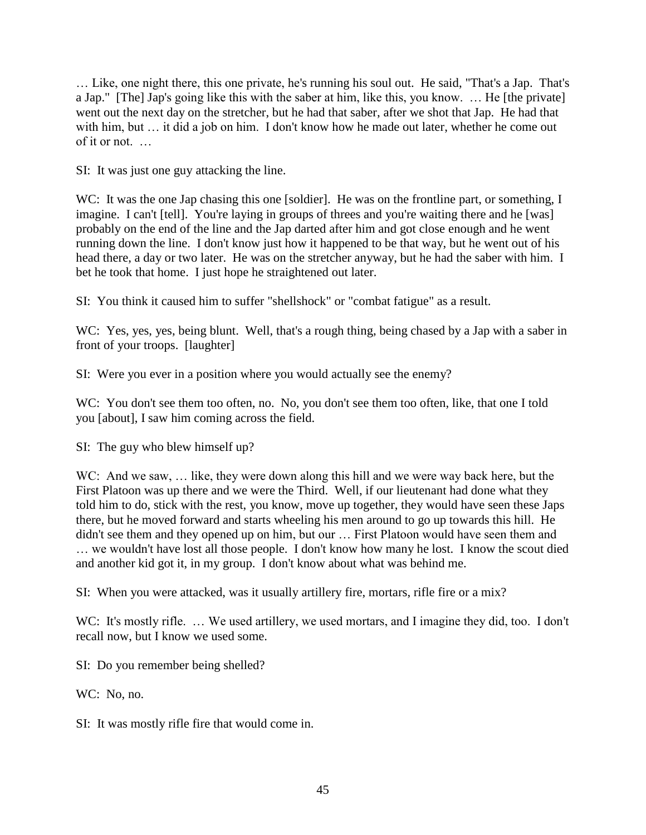… Like, one night there, this one private, he's running his soul out. He said, "That's a Jap. That's a Jap." [The] Jap's going like this with the saber at him, like this, you know. … He [the private] went out the next day on the stretcher, but he had that saber, after we shot that Jap. He had that with him, but ... it did a job on him. I don't know how he made out later, whether he come out of it or not. …

SI: It was just one guy attacking the line.

WC: It was the one Jap chasing this one [soldier]. He was on the frontline part, or something, I imagine. I can't [tell]. You're laying in groups of threes and you're waiting there and he [was] probably on the end of the line and the Jap darted after him and got close enough and he went running down the line. I don't know just how it happened to be that way, but he went out of his head there, a day or two later. He was on the stretcher anyway, but he had the saber with him. I bet he took that home. I just hope he straightened out later.

SI: You think it caused him to suffer "shellshock" or "combat fatigue" as a result.

WC: Yes, yes, yes, being blunt. Well, that's a rough thing, being chased by a Jap with a saber in front of your troops. [laughter]

SI: Were you ever in a position where you would actually see the enemy?

WC: You don't see them too often, no. No, you don't see them too often, like, that one I told you [about], I saw him coming across the field.

SI: The guy who blew himself up?

WC: And we saw, ... like, they were down along this hill and we were way back here, but the First Platoon was up there and we were the Third. Well, if our lieutenant had done what they told him to do, stick with the rest, you know, move up together, they would have seen these Japs there, but he moved forward and starts wheeling his men around to go up towards this hill. He didn't see them and they opened up on him, but our … First Platoon would have seen them and … we wouldn't have lost all those people. I don't know how many he lost. I know the scout died and another kid got it, in my group. I don't know about what was behind me.

SI: When you were attacked, was it usually artillery fire, mortars, rifle fire or a mix?

WC: It's mostly rifle. ... We used artillery, we used mortars, and I imagine they did, too. I don't recall now, but I know we used some.

SI: Do you remember being shelled?

WC: No. no.

SI: It was mostly rifle fire that would come in.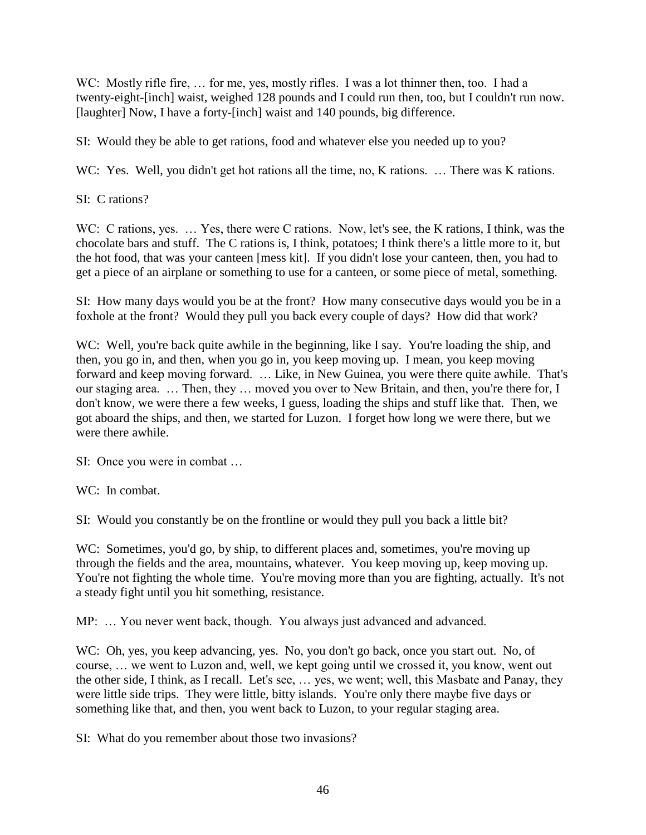WC: Mostly rifle fire, ... for me, yes, mostly rifles. I was a lot thinner then, too. I had a twenty-eight-[inch] waist, weighed 128 pounds and I could run then, too, but I couldn't run now. [laughter] Now, I have a forty-[inch] waist and 140 pounds, big difference.

SI: Would they be able to get rations, food and whatever else you needed up to you?

WC: Yes. Well, you didn't get hot rations all the time, no, K rations. ... There was K rations.

SI: C rations?

WC: C rations, yes. ... Yes, there were C rations. Now, let's see, the K rations, I think, was the chocolate bars and stuff. The C rations is, I think, potatoes; I think there's a little more to it, but the hot food, that was your canteen [mess kit]. If you didn't lose your canteen, then, you had to get a piece of an airplane or something to use for a canteen, or some piece of metal, something.

SI: How many days would you be at the front? How many consecutive days would you be in a foxhole at the front? Would they pull you back every couple of days? How did that work?

WC: Well, you're back quite awhile in the beginning, like I say. You're loading the ship, and then, you go in, and then, when you go in, you keep moving up. I mean, you keep moving forward and keep moving forward. … Like, in New Guinea, you were there quite awhile. That's our staging area. … Then, they … moved you over to New Britain, and then, you're there for, I don't know, we were there a few weeks, I guess, loading the ships and stuff like that. Then, we got aboard the ships, and then, we started for Luzon. I forget how long we were there, but we were there awhile.

SI: Once you were in combat …

WC: In combat.

SI: Would you constantly be on the frontline or would they pull you back a little bit?

WC: Sometimes, you'd go, by ship, to different places and, sometimes, you're moving up through the fields and the area, mountains, whatever. You keep moving up, keep moving up. You're not fighting the whole time. You're moving more than you are fighting, actually. It's not a steady fight until you hit something, resistance.

MP: … You never went back, though. You always just advanced and advanced.

WC: Oh, yes, you keep advancing, yes. No, you don't go back, once you start out. No, of course, … we went to Luzon and, well, we kept going until we crossed it, you know, went out the other side, I think, as I recall. Let's see, … yes, we went; well, this Masbate and Panay, they were little side trips. They were little, bitty islands. You're only there maybe five days or something like that, and then, you went back to Luzon, to your regular staging area.

SI: What do you remember about those two invasions?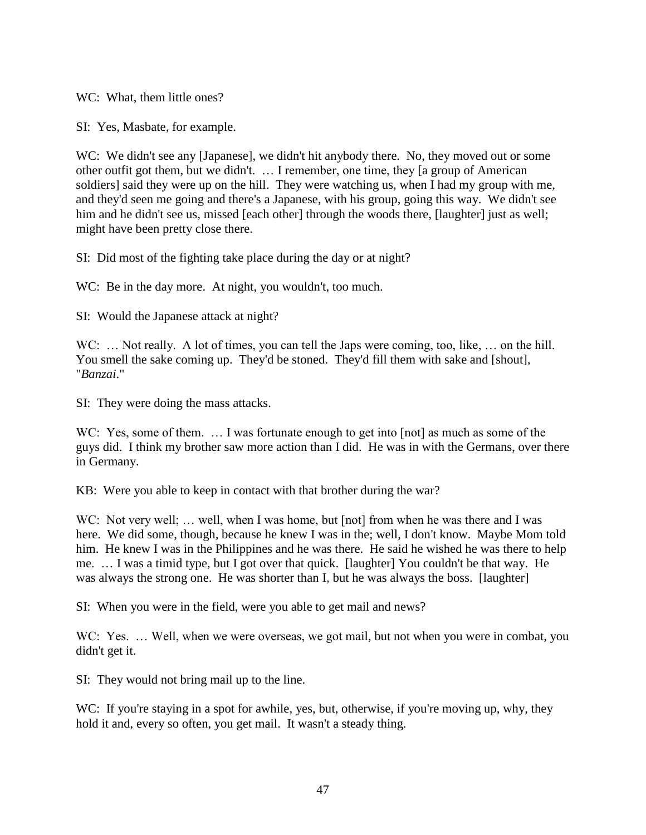WC: What, them little ones?

SI: Yes, Masbate, for example.

WC: We didn't see any [Japanese], we didn't hit anybody there. No, they moved out or some other outfit got them, but we didn't. … I remember, one time, they [a group of American soldiers] said they were up on the hill. They were watching us, when I had my group with me, and they'd seen me going and there's a Japanese, with his group, going this way. We didn't see him and he didn't see us, missed [each other] through the woods there, [laughter] just as well; might have been pretty close there.

SI: Did most of the fighting take place during the day or at night?

WC: Be in the day more. At night, you wouldn't, too much.

SI: Would the Japanese attack at night?

WC: ... Not really. A lot of times, you can tell the Japs were coming, too, like, ... on the hill. You smell the sake coming up. They'd be stoned. They'd fill them with sake and [shout], "*Banzai*."

SI: They were doing the mass attacks.

WC: Yes, some of them. ... I was fortunate enough to get into [not] as much as some of the guys did. I think my brother saw more action than I did. He was in with the Germans, over there in Germany.

KB: Were you able to keep in contact with that brother during the war?

WC: Not very well; ... well, when I was home, but [not] from when he was there and I was here. We did some, though, because he knew I was in the; well, I don't know. Maybe Mom told him. He knew I was in the Philippines and he was there. He said he wished he was there to help me. … I was a timid type, but I got over that quick. [laughter] You couldn't be that way. He was always the strong one. He was shorter than I, but he was always the boss. [laughter]

SI: When you were in the field, were you able to get mail and news?

WC: Yes. ... Well, when we were overseas, we got mail, but not when you were in combat, you didn't get it.

SI: They would not bring mail up to the line.

WC: If you're staying in a spot for awhile, yes, but, otherwise, if you're moving up, why, they hold it and, every so often, you get mail. It wasn't a steady thing.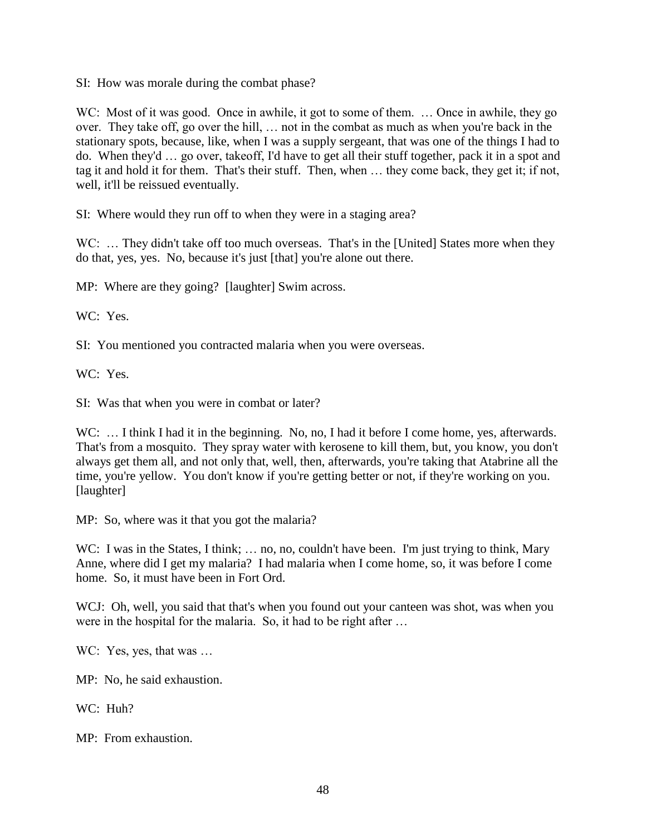SI: How was morale during the combat phase?

WC: Most of it was good. Once in awhile, it got to some of them. ... Once in awhile, they go over. They take off, go over the hill, … not in the combat as much as when you're back in the stationary spots, because, like, when I was a supply sergeant, that was one of the things I had to do. When they'd … go over, takeoff, I'd have to get all their stuff together, pack it in a spot and tag it and hold it for them. That's their stuff. Then, when … they come back, they get it; if not, well, it'll be reissued eventually.

SI: Where would they run off to when they were in a staging area?

WC: ... They didn't take off too much overseas. That's in the [United] States more when they do that, yes, yes. No, because it's just [that] you're alone out there.

MP: Where are they going? [laughter] Swim across.

WC: Yes.

SI: You mentioned you contracted malaria when you were overseas.

WC: Yes.

SI: Was that when you were in combat or later?

WC: ... I think I had it in the beginning. No, no, I had it before I come home, yes, afterwards. That's from a mosquito. They spray water with kerosene to kill them, but, you know, you don't always get them all, and not only that, well, then, afterwards, you're taking that Atabrine all the time, you're yellow. You don't know if you're getting better or not, if they're working on you. [laughter]

MP: So, where was it that you got the malaria?

WC: I was in the States, I think; ... no, no, couldn't have been. I'm just trying to think, Mary Anne, where did I get my malaria? I had malaria when I come home, so, it was before I come home. So, it must have been in Fort Ord.

WCJ: Oh, well, you said that that's when you found out your canteen was shot, was when you were in the hospital for the malaria. So, it had to be right after …

WC: Yes, yes, that was ...

MP: No, he said exhaustion.

WC: Huh?

MP: From exhaustion.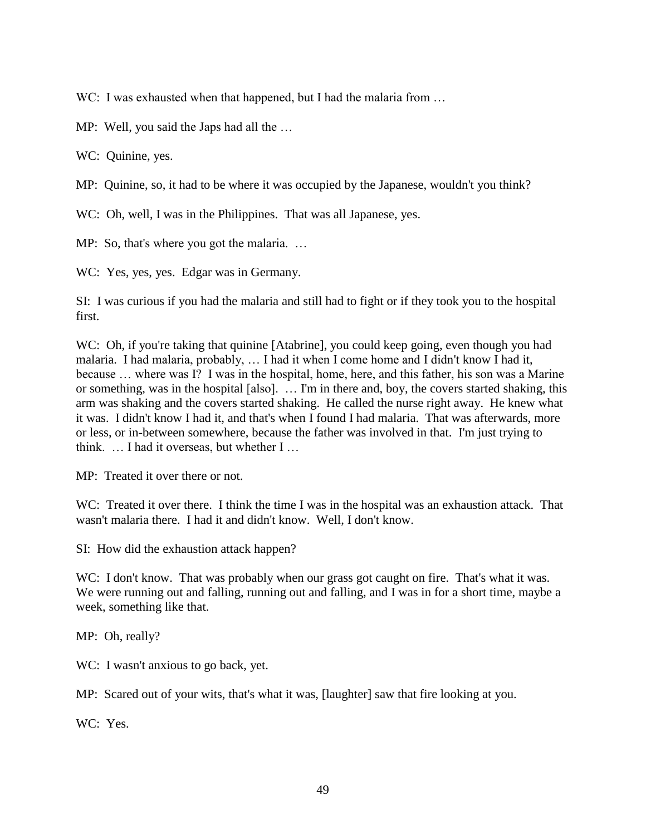WC: I was exhausted when that happened, but I had the malaria from ...

MP: Well, you said the Japs had all the …

WC: Quinine, yes.

MP: Quinine, so, it had to be where it was occupied by the Japanese, wouldn't you think?

WC: Oh, well, I was in the Philippines. That was all Japanese, yes.

MP: So, that's where you got the malaria. ...

WC: Yes, yes, yes. Edgar was in Germany.

SI: I was curious if you had the malaria and still had to fight or if they took you to the hospital first.

WC: Oh, if you're taking that quinine [Atabrine], you could keep going, even though you had malaria. I had malaria, probably, … I had it when I come home and I didn't know I had it, because … where was I? I was in the hospital, home, here, and this father, his son was a Marine or something, was in the hospital [also]. … I'm in there and, boy, the covers started shaking, this arm was shaking and the covers started shaking. He called the nurse right away. He knew what it was. I didn't know I had it, and that's when I found I had malaria. That was afterwards, more or less, or in-between somewhere, because the father was involved in that. I'm just trying to think. … I had it overseas, but whether I …

MP: Treated it over there or not.

WC: Treated it over there. I think the time I was in the hospital was an exhaustion attack. That wasn't malaria there. I had it and didn't know. Well, I don't know.

SI: How did the exhaustion attack happen?

WC: I don't know. That was probably when our grass got caught on fire. That's what it was. We were running out and falling, running out and falling, and I was in for a short time, maybe a week, something like that.

MP: Oh, really?

WC: I wasn't anxious to go back, yet.

MP: Scared out of your wits, that's what it was, [laughter] saw that fire looking at you.

WC: Yes.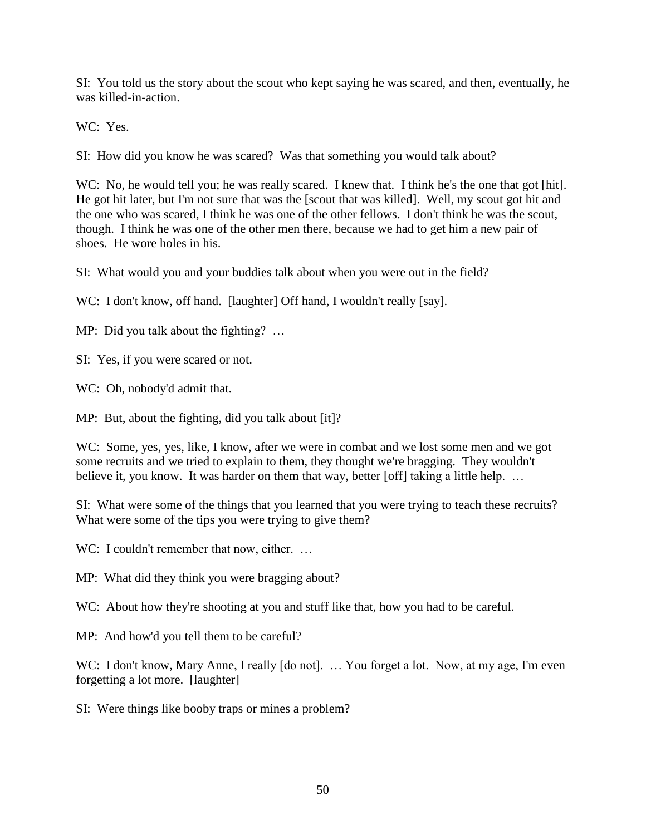SI: You told us the story about the scout who kept saying he was scared, and then, eventually, he was killed-in-action.

WC: Yes.

SI: How did you know he was scared? Was that something you would talk about?

WC: No, he would tell you; he was really scared. I knew that. I think he's the one that got [hit]. He got hit later, but I'm not sure that was the [scout that was killed]. Well, my scout got hit and the one who was scared, I think he was one of the other fellows. I don't think he was the scout, though. I think he was one of the other men there, because we had to get him a new pair of shoes. He wore holes in his.

SI: What would you and your buddies talk about when you were out in the field?

WC: I don't know, off hand. [laughter] Off hand, I wouldn't really [say].

MP: Did you talk about the fighting? ...

SI: Yes, if you were scared or not.

WC: Oh, nobody'd admit that.

MP: But, about the fighting, did you talk about [it]?

WC: Some, yes, yes, like, I know, after we were in combat and we lost some men and we got some recruits and we tried to explain to them, they thought we're bragging. They wouldn't believe it, you know. It was harder on them that way, better [off] taking a little help. ...

SI: What were some of the things that you learned that you were trying to teach these recruits? What were some of the tips you were trying to give them?

WC: I couldn't remember that now, either. ...

MP: What did they think you were bragging about?

WC: About how they're shooting at you and stuff like that, how you had to be careful.

MP: And how'd you tell them to be careful?

WC: I don't know, Mary Anne, I really [do not]. ... You forget a lot. Now, at my age, I'm even forgetting a lot more. [laughter]

SI: Were things like booby traps or mines a problem?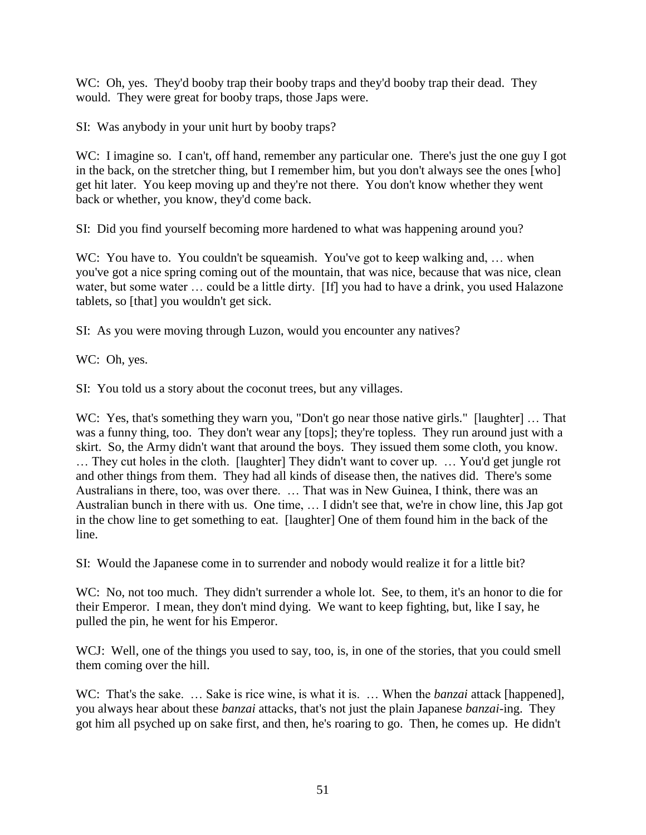WC: Oh, yes. They'd booby trap their booby traps and they'd booby trap their dead. They would. They were great for booby traps, those Japs were.

SI: Was anybody in your unit hurt by booby traps?

WC: I imagine so. I can't, off hand, remember any particular one. There's just the one guy I got in the back, on the stretcher thing, but I remember him, but you don't always see the ones [who] get hit later. You keep moving up and they're not there. You don't know whether they went back or whether, you know, they'd come back.

SI: Did you find yourself becoming more hardened to what was happening around you?

WC: You have to. You couldn't be squeamish. You've got to keep walking and, ... when you've got a nice spring coming out of the mountain, that was nice, because that was nice, clean water, but some water ... could be a little dirty. [If] you had to have a drink, you used Halazone tablets, so [that] you wouldn't get sick.

SI: As you were moving through Luzon, would you encounter any natives?

WC: Oh, yes.

SI: You told us a story about the coconut trees, but any villages.

WC: Yes, that's something they warn you, "Don't go near those native girls." [laughter] ... That was a funny thing, too. They don't wear any [tops]; they're topless. They run around just with a skirt. So, the Army didn't want that around the boys. They issued them some cloth, you know. … They cut holes in the cloth. [laughter] They didn't want to cover up. … You'd get jungle rot and other things from them. They had all kinds of disease then, the natives did. There's some Australians in there, too, was over there. … That was in New Guinea, I think, there was an Australian bunch in there with us. One time, … I didn't see that, we're in chow line, this Jap got in the chow line to get something to eat. [laughter] One of them found him in the back of the line.

SI: Would the Japanese come in to surrender and nobody would realize it for a little bit?

WC: No, not too much. They didn't surrender a whole lot. See, to them, it's an honor to die for their Emperor. I mean, they don't mind dying. We want to keep fighting, but, like I say, he pulled the pin, he went for his Emperor.

WCJ: Well, one of the things you used to say, too, is, in one of the stories, that you could smell them coming over the hill.

WC: That's the sake. … Sake is rice wine, is what it is. … When the *banzai* attack [happened], you always hear about these *banzai* attacks, that's not just the plain Japanese *banzai*-ing. They got him all psyched up on sake first, and then, he's roaring to go. Then, he comes up. He didn't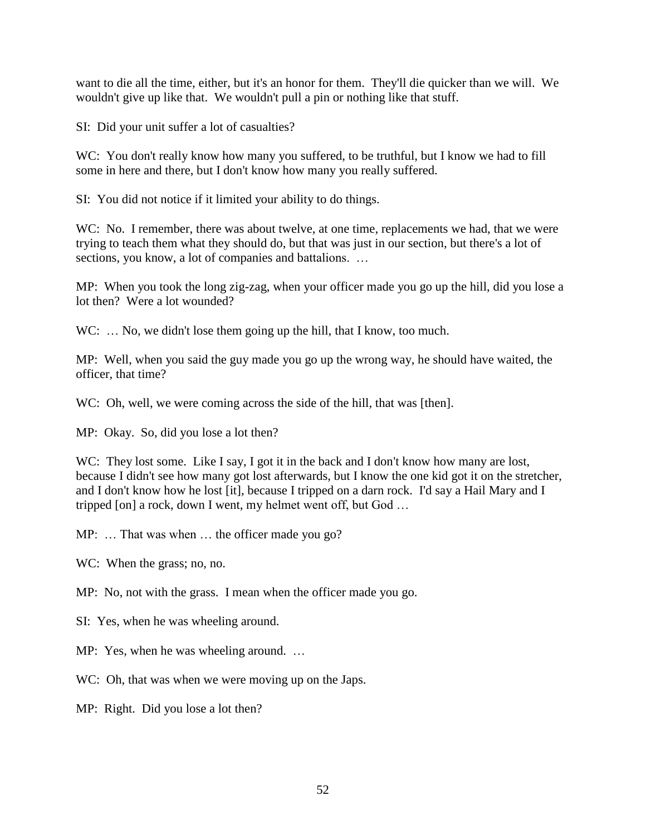want to die all the time, either, but it's an honor for them. They'll die quicker than we will. We wouldn't give up like that. We wouldn't pull a pin or nothing like that stuff.

SI: Did your unit suffer a lot of casualties?

WC: You don't really know how many you suffered, to be truthful, but I know we had to fill some in here and there, but I don't know how many you really suffered.

SI: You did not notice if it limited your ability to do things.

WC: No. I remember, there was about twelve, at one time, replacements we had, that we were trying to teach them what they should do, but that was just in our section, but there's a lot of sections, you know, a lot of companies and battalions. ...

MP: When you took the long zig-zag, when your officer made you go up the hill, did you lose a lot then? Were a lot wounded?

WC: ... No, we didn't lose them going up the hill, that I know, too much.

MP: Well, when you said the guy made you go up the wrong way, he should have waited, the officer, that time?

WC: Oh, well, we were coming across the side of the hill, that was [then].

MP: Okay. So, did you lose a lot then?

WC: They lost some. Like I say, I got it in the back and I don't know how many are lost, because I didn't see how many got lost afterwards, but I know the one kid got it on the stretcher, and I don't know how he lost [it], because I tripped on a darn rock. I'd say a Hail Mary and I tripped [on] a rock, down I went, my helmet went off, but God …

MP: ... That was when ... the officer made you go?

WC: When the grass; no, no.

MP: No, not with the grass. I mean when the officer made you go.

SI: Yes, when he was wheeling around.

MP: Yes, when he was wheeling around. …

WC: Oh, that was when we were moving up on the Japs.

MP: Right. Did you lose a lot then?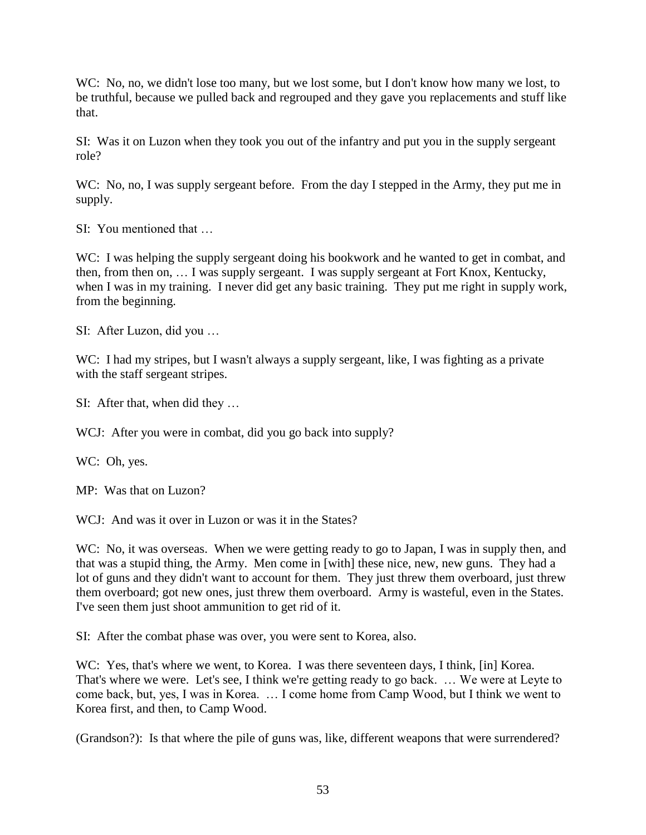WC: No, no, we didn't lose too many, but we lost some, but I don't know how many we lost, to be truthful, because we pulled back and regrouped and they gave you replacements and stuff like that.

SI: Was it on Luzon when they took you out of the infantry and put you in the supply sergeant role?

WC: No, no, I was supply sergeant before. From the day I stepped in the Army, they put me in supply.

SI: You mentioned that

WC: I was helping the supply sergeant doing his bookwork and he wanted to get in combat, and then, from then on, … I was supply sergeant. I was supply sergeant at Fort Knox, Kentucky, when I was in my training. I never did get any basic training. They put me right in supply work, from the beginning.

SI: After Luzon, did you …

WC: I had my stripes, but I wasn't always a supply sergeant, like, I was fighting as a private with the staff sergeant stripes.

SI: After that, when did they …

WCJ: After you were in combat, did you go back into supply?

WC: Oh, yes.

MP: Was that on Luzon?

WCJ: And was it over in Luzon or was it in the States?

WC: No, it was overseas. When we were getting ready to go to Japan, I was in supply then, and that was a stupid thing, the Army. Men come in [with] these nice, new, new guns. They had a lot of guns and they didn't want to account for them. They just threw them overboard, just threw them overboard; got new ones, just threw them overboard. Army is wasteful, even in the States. I've seen them just shoot ammunition to get rid of it.

SI: After the combat phase was over, you were sent to Korea, also.

WC: Yes, that's where we went, to Korea. I was there seventeen days, I think, [in] Korea. That's where we were. Let's see, I think we're getting ready to go back. … We were at Leyte to come back, but, yes, I was in Korea. … I come home from Camp Wood, but I think we went to Korea first, and then, to Camp Wood.

(Grandson?): Is that where the pile of guns was, like, different weapons that were surrendered?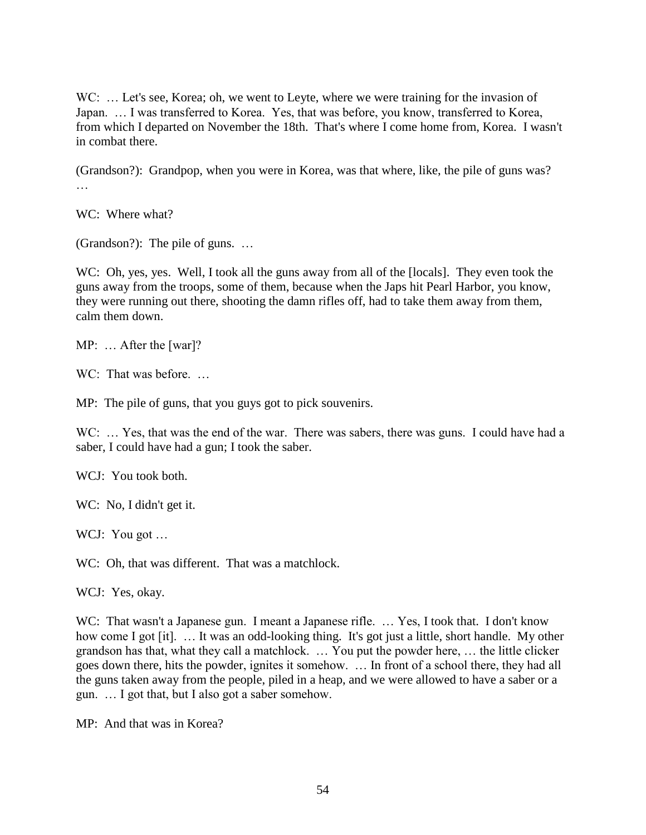WC: ... Let's see, Korea; oh, we went to Leyte, where we were training for the invasion of Japan. … I was transferred to Korea. Yes, that was before, you know, transferred to Korea, from which I departed on November the 18th. That's where I come home from, Korea. I wasn't in combat there.

(Grandson?): Grandpop, when you were in Korea, was that where, like, the pile of guns was? …

WC: Where what?

(Grandson?): The pile of guns. …

WC: Oh, yes, yes. Well, I took all the guns away from all of the [locals]. They even took the guns away from the troops, some of them, because when the Japs hit Pearl Harbor, you know, they were running out there, shooting the damn rifles off, had to take them away from them, calm them down.

MP: … After the [war]?

WC: That was before...

MP: The pile of guns, that you guys got to pick souvenirs.

WC: ... Yes, that was the end of the war. There was sabers, there was guns. I could have had a saber, I could have had a gun; I took the saber.

WCJ: You took both.

WC: No, I didn't get it.

WCJ: You got ...

WC: Oh, that was different. That was a matchlock.

WCJ: Yes, okay.

WC: That wasn't a Japanese gun. I meant a Japanese rifle. ... Yes, I took that. I don't know how come I got [it]. … It was an odd-looking thing. It's got just a little, short handle. My other grandson has that, what they call a matchlock. … You put the powder here, … the little clicker goes down there, hits the powder, ignites it somehow. … In front of a school there, they had all the guns taken away from the people, piled in a heap, and we were allowed to have a saber or a gun. … I got that, but I also got a saber somehow.

MP: And that was in Korea?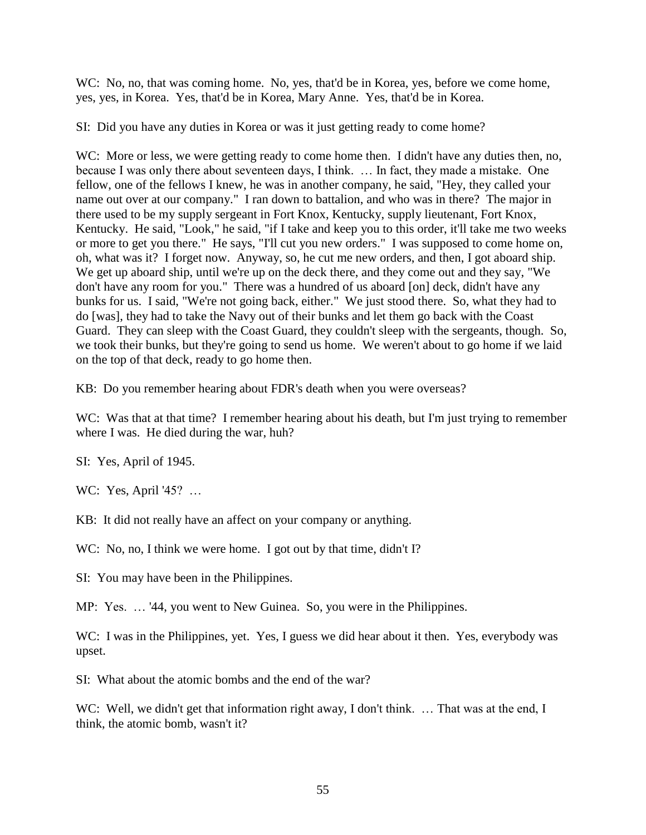WC: No, no, that was coming home. No, yes, that'd be in Korea, yes, before we come home, yes, yes, in Korea. Yes, that'd be in Korea, Mary Anne. Yes, that'd be in Korea.

SI: Did you have any duties in Korea or was it just getting ready to come home?

WC: More or less, we were getting ready to come home then. I didn't have any duties then, no, because I was only there about seventeen days, I think. … In fact, they made a mistake. One fellow, one of the fellows I knew, he was in another company, he said, "Hey, they called your name out over at our company." I ran down to battalion, and who was in there? The major in there used to be my supply sergeant in Fort Knox, Kentucky, supply lieutenant, Fort Knox, Kentucky. He said, "Look," he said, "if I take and keep you to this order, it'll take me two weeks or more to get you there." He says, "I'll cut you new orders." I was supposed to come home on, oh, what was it? I forget now. Anyway, so, he cut me new orders, and then, I got aboard ship. We get up aboard ship, until we're up on the deck there, and they come out and they say, "We don't have any room for you." There was a hundred of us aboard [on] deck, didn't have any bunks for us. I said, "We're not going back, either." We just stood there. So, what they had to do [was], they had to take the Navy out of their bunks and let them go back with the Coast Guard. They can sleep with the Coast Guard, they couldn't sleep with the sergeants, though. So, we took their bunks, but they're going to send us home. We weren't about to go home if we laid on the top of that deck, ready to go home then.

KB: Do you remember hearing about FDR's death when you were overseas?

WC: Was that at that time? I remember hearing about his death, but I'm just trying to remember where I was. He died during the war, huh?

SI: Yes, April of 1945.

WC: Yes, April '45? …

KB: It did not really have an affect on your company or anything.

WC: No, no, I think we were home. I got out by that time, didn't I?

SI: You may have been in the Philippines.

MP: Yes. … '44, you went to New Guinea. So, you were in the Philippines.

WC: I was in the Philippines, yet. Yes, I guess we did hear about it then. Yes, everybody was upset.

SI: What about the atomic bombs and the end of the war?

WC: Well, we didn't get that information right away, I don't think. ... That was at the end, I think, the atomic bomb, wasn't it?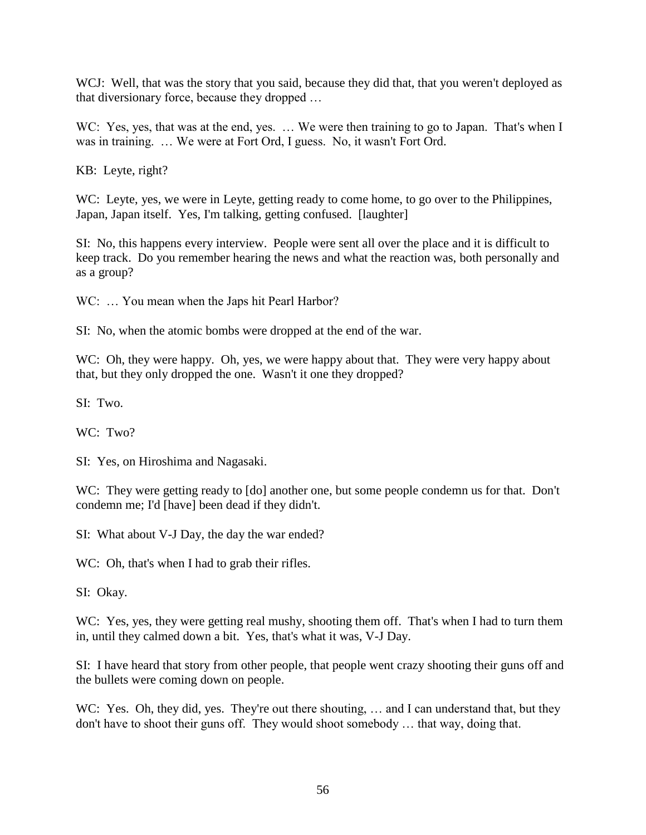WCJ: Well, that was the story that you said, because they did that, that you weren't deployed as that diversionary force, because they dropped …

WC: Yes, yes, that was at the end, yes. ... We were then training to go to Japan. That's when I was in training. … We were at Fort Ord, I guess. No, it wasn't Fort Ord.

KB: Leyte, right?

WC: Leyte, yes, we were in Leyte, getting ready to come home, to go over to the Philippines, Japan, Japan itself. Yes, I'm talking, getting confused. [laughter]

SI: No, this happens every interview. People were sent all over the place and it is difficult to keep track. Do you remember hearing the news and what the reaction was, both personally and as a group?

WC: ... You mean when the Japs hit Pearl Harbor?

SI: No, when the atomic bombs were dropped at the end of the war.

WC: Oh, they were happy. Oh, yes, we were happy about that. They were very happy about that, but they only dropped the one. Wasn't it one they dropped?

SI: Two.

WC: Two?

SI: Yes, on Hiroshima and Nagasaki.

WC: They were getting ready to [do] another one, but some people condemn us for that. Don't condemn me; I'd [have] been dead if they didn't.

SI: What about V-J Day, the day the war ended?

WC: Oh, that's when I had to grab their rifles.

SI: Okay.

WC: Yes, yes, they were getting real mushy, shooting them off. That's when I had to turn them in, until they calmed down a bit. Yes, that's what it was, V-J Day.

SI: I have heard that story from other people, that people went crazy shooting their guns off and the bullets were coming down on people.

WC: Yes. Oh, they did, yes. They're out there shouting, ... and I can understand that, but they don't have to shoot their guns off. They would shoot somebody … that way, doing that.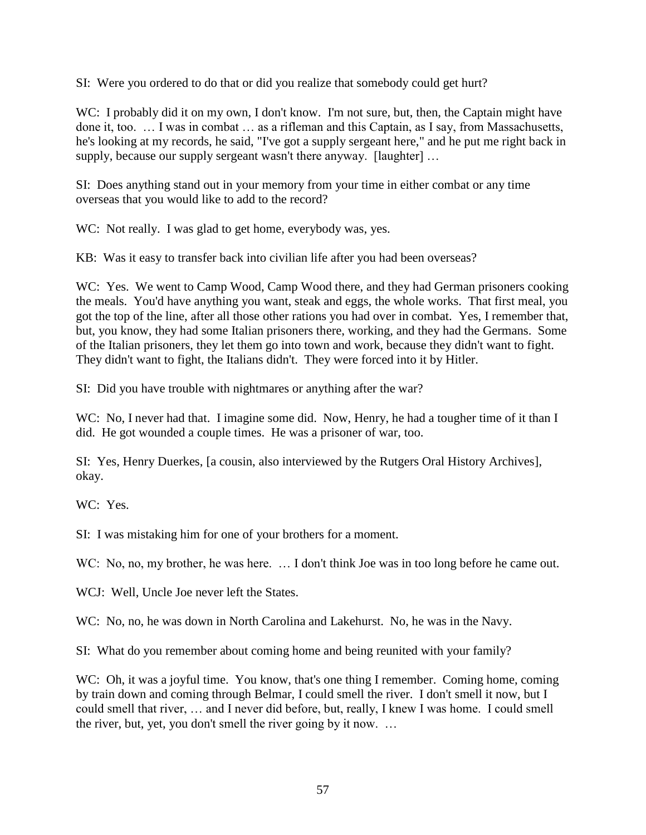SI: Were you ordered to do that or did you realize that somebody could get hurt?

WC: I probably did it on my own, I don't know. I'm not sure, but, then, the Captain might have done it, too. … I was in combat … as a rifleman and this Captain, as I say, from Massachusetts, he's looking at my records, he said, "I've got a supply sergeant here," and he put me right back in supply, because our supply sergeant wasn't there anyway. [laughter] ...

SI: Does anything stand out in your memory from your time in either combat or any time overseas that you would like to add to the record?

WC: Not really. I was glad to get home, everybody was, yes.

KB: Was it easy to transfer back into civilian life after you had been overseas?

WC: Yes. We went to Camp Wood, Camp Wood there, and they had German prisoners cooking the meals. You'd have anything you want, steak and eggs, the whole works. That first meal, you got the top of the line, after all those other rations you had over in combat. Yes, I remember that, but, you know, they had some Italian prisoners there, working, and they had the Germans. Some of the Italian prisoners, they let them go into town and work, because they didn't want to fight. They didn't want to fight, the Italians didn't. They were forced into it by Hitler.

SI: Did you have trouble with nightmares or anything after the war?

WC: No, I never had that. I imagine some did. Now, Henry, he had a tougher time of it than I did. He got wounded a couple times. He was a prisoner of war, too.

SI: Yes, Henry Duerkes, [a cousin, also interviewed by the Rutgers Oral History Archives], okay.

WC: Yes.

SI: I was mistaking him for one of your brothers for a moment.

WC: No, no, my brother, he was here. ... I don't think Joe was in too long before he came out.

WCJ: Well, Uncle Joe never left the States.

WC: No, no, he was down in North Carolina and Lakehurst. No, he was in the Navy.

SI: What do you remember about coming home and being reunited with your family?

WC: Oh, it was a joyful time. You know, that's one thing I remember. Coming home, coming by train down and coming through Belmar, I could smell the river. I don't smell it now, but I could smell that river, … and I never did before, but, really, I knew I was home. I could smell the river, but, yet, you don't smell the river going by it now. …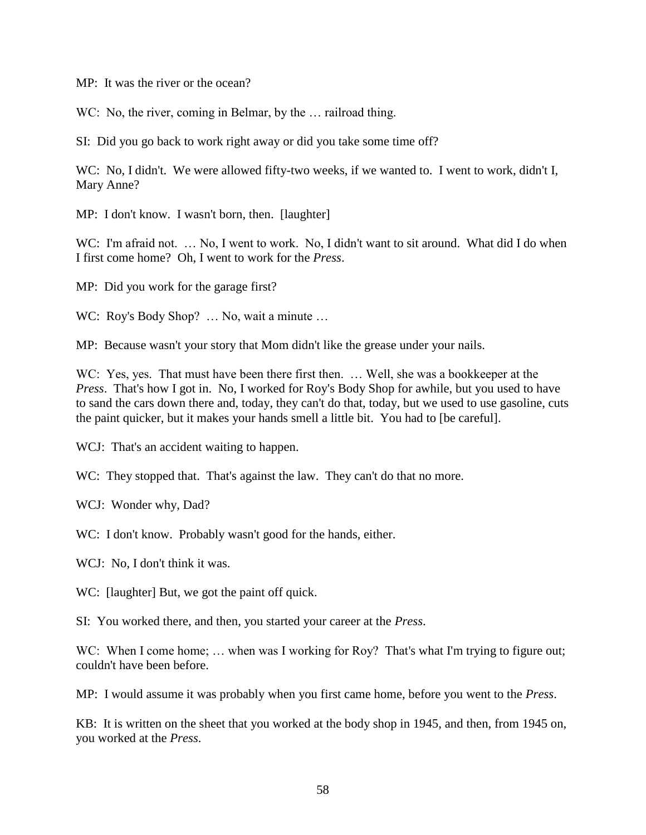MP: It was the river or the ocean?

WC: No, the river, coming in Belmar, by the ... railroad thing.

SI: Did you go back to work right away or did you take some time off?

WC: No, I didn't. We were allowed fifty-two weeks, if we wanted to. I went to work, didn't I, Mary Anne?

MP: I don't know. I wasn't born, then. [laughter]

WC: I'm afraid not. ... No, I went to work. No, I didn't want to sit around. What did I do when I first come home? Oh, I went to work for the *Press*.

MP: Did you work for the garage first?

WC: Roy's Body Shop? ... No, wait a minute ...

MP: Because wasn't your story that Mom didn't like the grease under your nails.

WC: Yes, yes. That must have been there first then. ... Well, she was a bookkeeper at the *Press*. That's how I got in. No, I worked for Roy's Body Shop for awhile, but you used to have to sand the cars down there and, today, they can't do that, today, but we used to use gasoline, cuts the paint quicker, but it makes your hands smell a little bit. You had to [be careful].

WCJ: That's an accident waiting to happen.

WC: They stopped that. That's against the law. They can't do that no more.

WCJ: Wonder why, Dad?

WC: I don't know. Probably wasn't good for the hands, either.

WCJ: No, I don't think it was.

WC: [laughter] But, we got the paint off quick.

SI: You worked there, and then, you started your career at the *Press*.

WC: When I come home; ... when was I working for Roy? That's what I'm trying to figure out; couldn't have been before.

MP: I would assume it was probably when you first came home, before you went to the *Press*.

KB: It is written on the sheet that you worked at the body shop in 1945, and then, from 1945 on, you worked at the *Press*.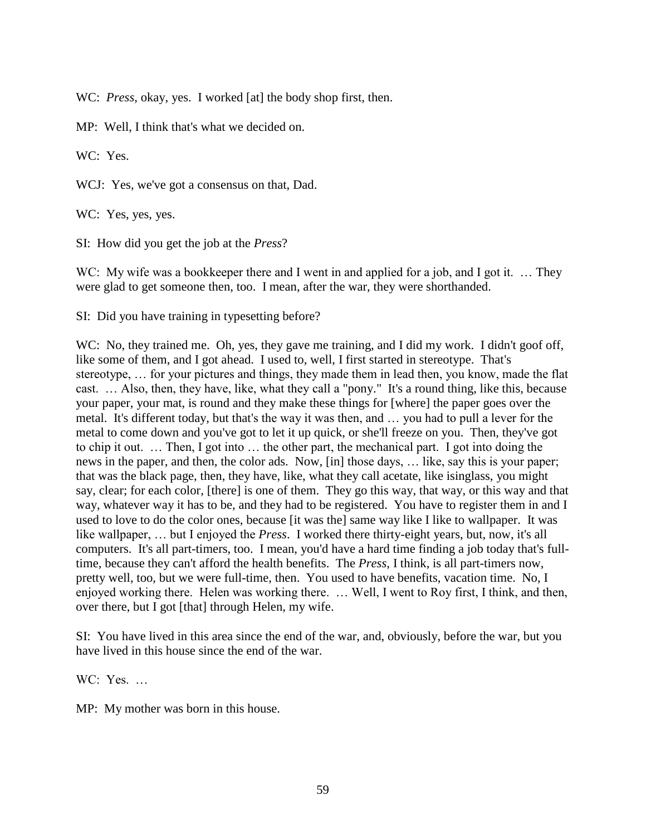WC: *Press*, okay, yes. I worked [at] the body shop first, then.

MP: Well, I think that's what we decided on.

WC: Yes.

WCJ: Yes, we've got a consensus on that, Dad.

WC: Yes, yes, yes.

SI: How did you get the job at the *Press*?

WC: My wife was a bookkeeper there and I went in and applied for a job, and I got it. ... They were glad to get someone then, too. I mean, after the war, they were shorthanded.

SI: Did you have training in typesetting before?

WC: No, they trained me. Oh, yes, they gave me training, and I did my work. I didn't goof off, like some of them, and I got ahead. I used to, well, I first started in stereotype. That's stereotype, … for your pictures and things, they made them in lead then, you know, made the flat cast. … Also, then, they have, like, what they call a "pony." It's a round thing, like this, because your paper, your mat, is round and they make these things for [where] the paper goes over the metal. It's different today, but that's the way it was then, and … you had to pull a lever for the metal to come down and you've got to let it up quick, or she'll freeze on you. Then, they've got to chip it out. … Then, I got into … the other part, the mechanical part. I got into doing the news in the paper, and then, the color ads. Now, [in] those days, … like, say this is your paper; that was the black page, then, they have, like, what they call acetate, like isinglass, you might say, clear; for each color, [there] is one of them. They go this way, that way, or this way and that way, whatever way it has to be, and they had to be registered. You have to register them in and I used to love to do the color ones, because [it was the] same way like I like to wallpaper. It was like wallpaper, … but I enjoyed the *Press*. I worked there thirty-eight years, but, now, it's all computers. It's all part-timers, too. I mean, you'd have a hard time finding a job today that's fulltime, because they can't afford the health benefits. The *Press*, I think, is all part-timers now, pretty well, too, but we were full-time, then. You used to have benefits, vacation time. No, I enjoyed working there. Helen was working there. … Well, I went to Roy first, I think, and then, over there, but I got [that] through Helen, my wife.

SI: You have lived in this area since the end of the war, and, obviously, before the war, but you have lived in this house since the end of the war.

WC: Yes. …

MP: My mother was born in this house.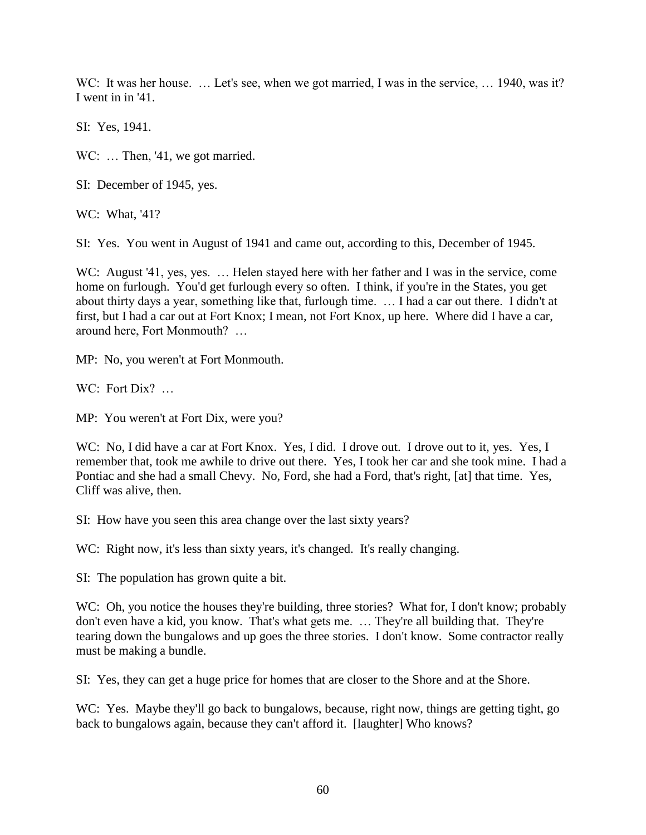WC: It was her house. ... Let's see, when we got married, I was in the service, ... 1940, was it? I went in in '41.

SI: Yes, 1941.

WC: ... Then, '41, we got married.

SI: December of 1945, yes.

WC: What, '41?

SI: Yes. You went in August of 1941 and came out, according to this, December of 1945.

WC: August '41, yes, yes. ... Helen stayed here with her father and I was in the service, come home on furlough. You'd get furlough every so often. I think, if you're in the States, you get about thirty days a year, something like that, furlough time. … I had a car out there. I didn't at first, but I had a car out at Fort Knox; I mean, not Fort Knox, up here. Where did I have a car, around here, Fort Monmouth? …

MP: No, you weren't at Fort Monmouth.

WC: Fort Dix? ...

MP: You weren't at Fort Dix, were you?

WC: No, I did have a car at Fort Knox. Yes, I did. I drove out. I drove out to it, yes. Yes, I remember that, took me awhile to drive out there. Yes, I took her car and she took mine. I had a Pontiac and she had a small Chevy. No, Ford, she had a Ford, that's right, [at] that time. Yes, Cliff was alive, then.

SI: How have you seen this area change over the last sixty years?

WC: Right now, it's less than sixty years, it's changed. It's really changing.

SI: The population has grown quite a bit.

WC: Oh, you notice the houses they're building, three stories? What for, I don't know; probably don't even have a kid, you know. That's what gets me. … They're all building that. They're tearing down the bungalows and up goes the three stories. I don't know. Some contractor really must be making a bundle.

SI: Yes, they can get a huge price for homes that are closer to the Shore and at the Shore.

WC: Yes. Maybe they'll go back to bungalows, because, right now, things are getting tight, go back to bungalows again, because they can't afford it. [laughter] Who knows?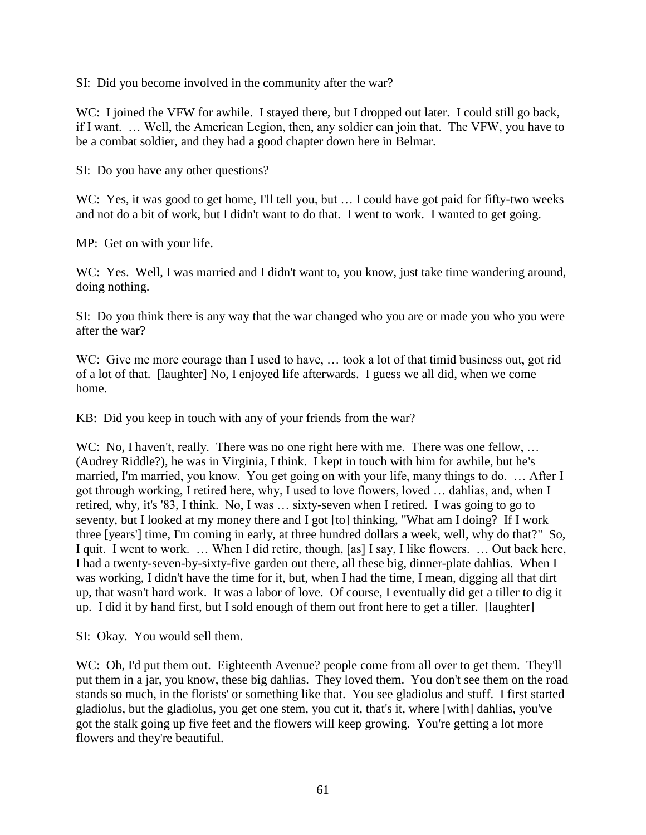SI: Did you become involved in the community after the war?

WC: I joined the VFW for awhile. I stayed there, but I dropped out later. I could still go back, if I want. … Well, the American Legion, then, any soldier can join that. The VFW, you have to be a combat soldier, and they had a good chapter down here in Belmar.

SI: Do you have any other questions?

WC: Yes, it was good to get home, I'll tell you, but ... I could have got paid for fifty-two weeks and not do a bit of work, but I didn't want to do that. I went to work. I wanted to get going.

MP: Get on with your life.

WC: Yes. Well, I was married and I didn't want to, you know, just take time wandering around, doing nothing.

SI: Do you think there is any way that the war changed who you are or made you who you were after the war?

WC: Give me more courage than I used to have, ... took a lot of that timid business out, got rid of a lot of that. [laughter] No, I enjoyed life afterwards. I guess we all did, when we come home.

KB: Did you keep in touch with any of your friends from the war?

WC: No, I haven't, really. There was no one right here with me. There was one fellow, ... (Audrey Riddle?), he was in Virginia, I think. I kept in touch with him for awhile, but he's married, I'm married, you know. You get going on with your life, many things to do. … After I got through working, I retired here, why, I used to love flowers, loved … dahlias, and, when I retired, why, it's '83, I think. No, I was … sixty-seven when I retired. I was going to go to seventy, but I looked at my money there and I got [to] thinking, "What am I doing? If I work three [years'] time, I'm coming in early, at three hundred dollars a week, well, why do that?" So, I quit. I went to work. … When I did retire, though, [as] I say, I like flowers. … Out back here, I had a twenty-seven-by-sixty-five garden out there, all these big, dinner-plate dahlias. When I was working, I didn't have the time for it, but, when I had the time, I mean, digging all that dirt up, that wasn't hard work. It was a labor of love. Of course, I eventually did get a tiller to dig it up. I did it by hand first, but I sold enough of them out front here to get a tiller. [laughter]

SI: Okay. You would sell them.

WC: Oh, I'd put them out. Eighteenth Avenue? people come from all over to get them. They'll put them in a jar, you know, these big dahlias. They loved them. You don't see them on the road stands so much, in the florists' or something like that. You see gladiolus and stuff. I first started gladiolus, but the gladiolus, you get one stem, you cut it, that's it, where [with] dahlias, you've got the stalk going up five feet and the flowers will keep growing. You're getting a lot more flowers and they're beautiful.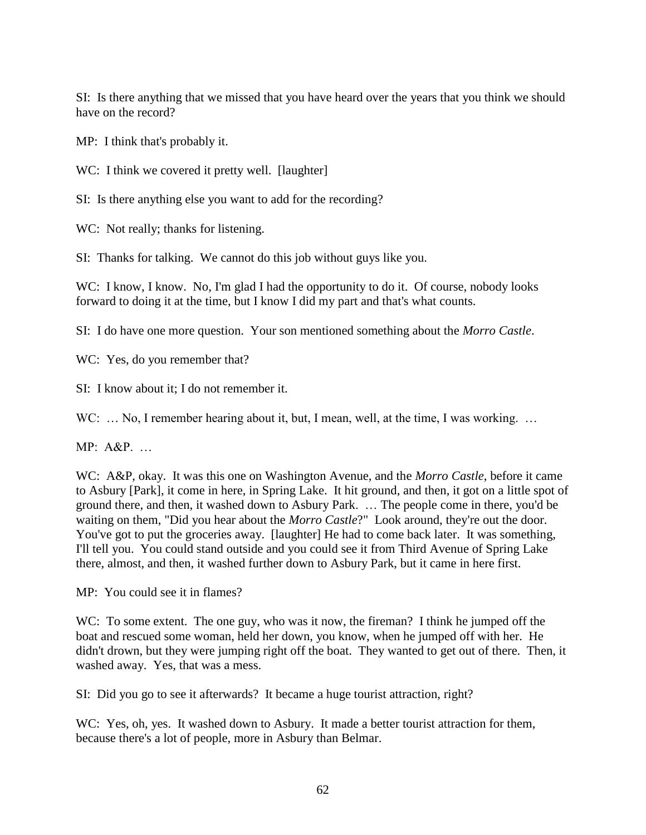SI: Is there anything that we missed that you have heard over the years that you think we should have on the record?

MP: I think that's probably it.

WC: I think we covered it pretty well. [laughter]

SI: Is there anything else you want to add for the recording?

WC: Not really; thanks for listening.

SI: Thanks for talking. We cannot do this job without guys like you.

WC: I know, I know. No, I'm glad I had the opportunity to do it. Of course, nobody looks forward to doing it at the time, but I know I did my part and that's what counts.

SI: I do have one more question. Your son mentioned something about the *Morro Castle*.

WC: Yes, do you remember that?

SI: I know about it; I do not remember it.

WC: ... No, I remember hearing about it, but, I mean, well, at the time, I was working. ...

MP: A&P. …

WC: A&P, okay. It was this one on Washington Avenue, and the *Morro Castle*, before it came to Asbury [Park], it come in here, in Spring Lake. It hit ground, and then, it got on a little spot of ground there, and then, it washed down to Asbury Park. … The people come in there, you'd be waiting on them, "Did you hear about the *Morro Castle*?" Look around, they're out the door. You've got to put the groceries away. [laughter] He had to come back later. It was something, I'll tell you. You could stand outside and you could see it from Third Avenue of Spring Lake there, almost, and then, it washed further down to Asbury Park, but it came in here first.

MP: You could see it in flames?

WC: To some extent. The one guy, who was it now, the fireman? I think he jumped off the boat and rescued some woman, held her down, you know, when he jumped off with her. He didn't drown, but they were jumping right off the boat. They wanted to get out of there. Then, it washed away. Yes, that was a mess.

SI: Did you go to see it afterwards? It became a huge tourist attraction, right?

WC: Yes, oh, yes. It washed down to Asbury. It made a better tourist attraction for them, because there's a lot of people, more in Asbury than Belmar.